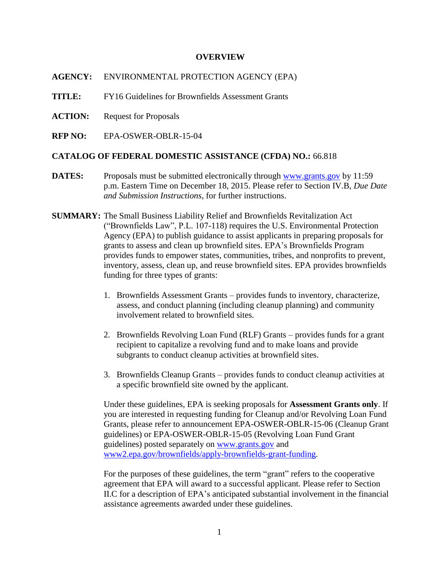#### **OVERVIEW**

**AGENCY:** ENVIRONMENTAL PROTECTION AGENCY (EPA)

**TITLE:** FY16 Guidelines for Brownfields Assessment Grants

**ACTION:** Request for Proposals

**RFP NO:** EPA-OSWER-OBLR-15-04

#### **CATALOG OF FEDERAL DOMESTIC ASSISTANCE (CFDA) NO.:** 66.818

- **DATES:** Proposals must be submitted electronically through [www.grants.gov](http://www.grants.gov/) by 11:59 p.m. Eastern Time on December 18, 2015. Please refer to Section IV.B, *Due Date and Submission Instructions*, for further instructions.
- **SUMMARY:** The Small Business Liability Relief and Brownfields Revitalization Act ("Brownfields Law", P.L. 107-118) requires the U.S. Environmental Protection Agency (EPA) to publish guidance to assist applicants in preparing proposals for grants to assess and clean up brownfield sites. EPA's Brownfields Program provides funds to empower states, communities, tribes, and nonprofits to prevent, inventory, assess, clean up, and reuse brownfield sites. EPA provides brownfields funding for three types of grants:
	- 1. Brownfields Assessment Grants provides funds to inventory, characterize, assess, and conduct planning (including cleanup planning) and community involvement related to brownfield sites.
	- 2. Brownfields Revolving Loan Fund (RLF) Grants provides funds for a grant recipient to capitalize a revolving fund and to make loans and provide subgrants to conduct cleanup activities at brownfield sites.
	- 3. Brownfields Cleanup Grants provides funds to conduct cleanup activities at a specific brownfield site owned by the applicant.

Under these guidelines, EPA is seeking proposals for **Assessment Grants only**. If you are interested in requesting funding for Cleanup and/or Revolving Loan Fund Grants, please refer to announcement EPA-OSWER-OBLR-15-06 (Cleanup Grant guidelines) or EPA-OSWER-OBLR-15-05 (Revolving Loan Fund Grant guidelines) posted separately on [www.grants.gov](http://www.grants.gov/) and [www2.epa.gov/brownfields/apply-brownfields-grant-funding.](http://www2.epa.gov/brownfields/apply-brownfields-grant-funding)

For the purposes of these guidelines, the term "grant" refers to the cooperative agreement that EPA will award to a successful applicant. Please refer to Section II.C for a description of EPA's anticipated substantial involvement in the financial assistance agreements awarded under these guidelines.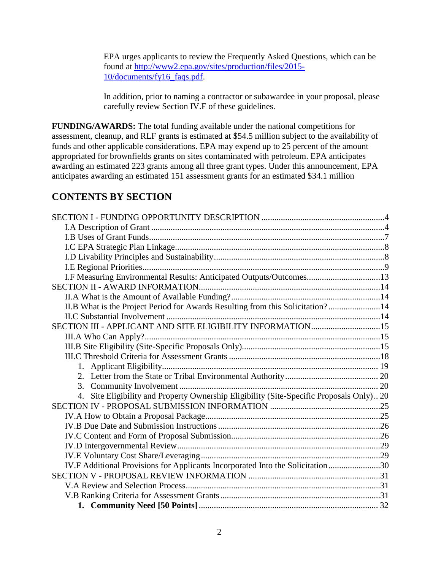EPA urges applicants to review the Frequently Asked Questions, which can be found at [http://www2.epa.gov/sites/production/files/2015-](http://www2.epa.gov/sites/production/files/2015-10/documents/fy16_faqs.pdf) [10/documents/fy16\\_faqs.pdf.](http://www2.epa.gov/sites/production/files/2015-10/documents/fy16_faqs.pdf)

In addition, prior to naming a contractor or subawardee in your proposal, please carefully review Section IV.F of these guidelines.

**FUNDING/AWARDS:** The total funding available under the national competitions for assessment, cleanup, and RLF grants is estimated at \$54.5 million subject to the availability of funds and other applicable considerations. EPA may expend up to 25 percent of the amount appropriated for brownfields grants on sites contaminated with petroleum. EPA anticipates awarding an estimated 223 grants among all three grant types. Under this announcement, EPA anticipates awarding an estimated 151 assessment grants for an estimated \$34.1 million

# **CONTENTS BY SECTION**

| I.F Measuring Environmental Results: Anticipated Outputs/Outcomes13                      |  |
|------------------------------------------------------------------------------------------|--|
|                                                                                          |  |
|                                                                                          |  |
| II.B What is the Project Period for Awards Resulting from this Solicitation?14           |  |
|                                                                                          |  |
| SECTION III - APPLICANT AND SITE ELIGIBILITY INFORMATION15                               |  |
|                                                                                          |  |
|                                                                                          |  |
|                                                                                          |  |
|                                                                                          |  |
|                                                                                          |  |
|                                                                                          |  |
| 4. Site Eligibility and Property Ownership Eligibility (Site-Specific Proposals Only) 20 |  |
|                                                                                          |  |
|                                                                                          |  |
|                                                                                          |  |
|                                                                                          |  |
|                                                                                          |  |
|                                                                                          |  |
| IV.F Additional Provisions for Applicants Incorporated Into the Solicitation30           |  |
|                                                                                          |  |
|                                                                                          |  |
|                                                                                          |  |
|                                                                                          |  |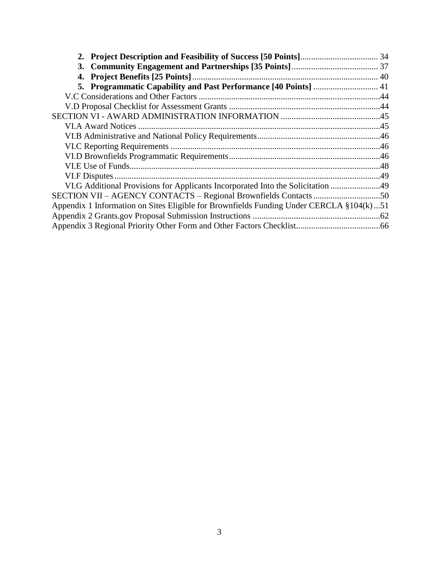| VI.G Additional Provisions for Applicants Incorporated Into the Solicitation 49         |  |
|-----------------------------------------------------------------------------------------|--|
|                                                                                         |  |
| Appendix 1 Information on Sites Eligible for Brownfields Funding Under CERCLA §104(k)51 |  |
|                                                                                         |  |
|                                                                                         |  |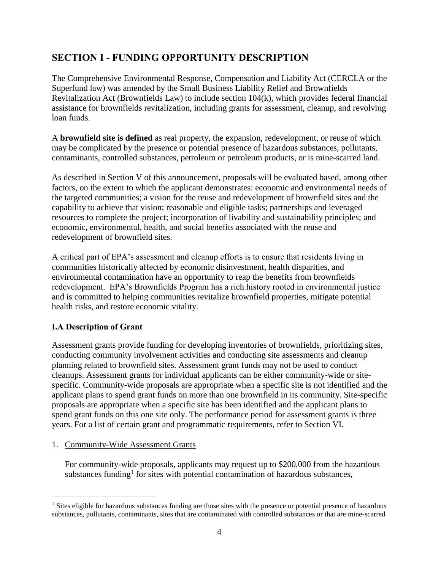# <span id="page-3-0"></span>**SECTION I - FUNDING OPPORTUNITY DESCRIPTION**

The Comprehensive Environmental Response, Compensation and Liability Act (CERCLA or the Superfund law) was amended by the Small Business Liability Relief and Brownfields Revitalization Act (Brownfields Law) to include section 104(k), which provides federal financial assistance for brownfields revitalization, including grants for assessment, cleanup, and revolving loan funds.

A **brownfield site is defined** as real property, the expansion, redevelopment, or reuse of which may be complicated by the presence or potential presence of hazardous substances, pollutants, contaminants, controlled substances, petroleum or petroleum products, or is mine-scarred land.

As described in Section V of this announcement, proposals will be evaluated based, among other factors, on the extent to which the applicant demonstrates: economic and environmental needs of the targeted communities; a vision for the reuse and redevelopment of brownfield sites and the capability to achieve that vision; reasonable and eligible tasks; partnerships and leveraged resources to complete the project; incorporation of livability and sustainability principles; and economic, environmental, health, and social benefits associated with the reuse and redevelopment of brownfield sites.

A critical part of EPA's assessment and cleanup efforts is to ensure that residents living in communities historically affected by economic disinvestment, health disparities, and environmental contamination have an opportunity to reap the benefits from brownfields redevelopment. EPA's Brownfields Program has a rich history rooted in environmental justice and is committed to helping communities revitalize brownfield properties, mitigate potential health risks, and restore economic vitality.

# <span id="page-3-1"></span>**I.A Description of Grant**

 $\overline{a}$ 

Assessment grants provide funding for developing inventories of brownfields, prioritizing sites, conducting community involvement activities and conducting site assessments and cleanup planning related to brownfield sites. Assessment grant funds may not be used to conduct cleanups. Assessment grants for individual applicants can be either community-wide or sitespecific. Community-wide proposals are appropriate when a specific site is not identified and the applicant plans to spend grant funds on more than one brownfield in its community. Site-specific proposals are appropriate when a specific site has been identified and the applicant plans to spend grant funds on this one site only. The performance period for assessment grants is three years. For a list of certain grant and programmatic requirements, refer to Section VI.

### 1. Community-Wide Assessment Grants

For community-wide proposals, applicants may request up to \$200,000 from the hazardous substances funding<sup>1</sup> for sites with potential contamination of hazardous substances,

<sup>&</sup>lt;sup>1</sup> Sites eligible for hazardous substances funding are those sites with the presence or potential presence of hazardous substances, pollutants, contaminants, sites that are contaminated with controlled substances or that are mine-scarred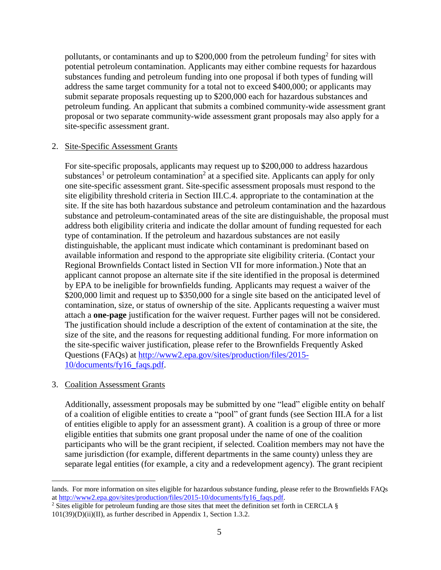pollutants, or contaminants and up to \$200,000 from the petroleum funding<sup>2</sup> for sites with potential petroleum contamination. Applicants may either combine requests for hazardous substances funding and petroleum funding into one proposal if both types of funding will address the same target community for a total not to exceed \$400,000; or applicants may submit separate proposals requesting up to \$200,000 each for hazardous substances and petroleum funding. An applicant that submits a combined community-wide assessment grant proposal or two separate community-wide assessment grant proposals may also apply for a site-specific assessment grant.

#### 2. Site-Specific Assessment Grants

For site-specific proposals, applicants may request up to \$200,000 to address hazardous substances<sup>1</sup> or petroleum contamination<sup>2</sup> at a specified site. Applicants can apply for only one site-specific assessment grant. Site-specific assessment proposals must respond to the site eligibility threshold criteria in Section III.C.4. appropriate to the contamination at the site. If the site has both hazardous substance and petroleum contamination and the hazardous substance and petroleum-contaminated areas of the site are distinguishable, the proposal must address both eligibility criteria and indicate the dollar amount of funding requested for each type of contamination. If the petroleum and hazardous substances are not easily distinguishable, the applicant must indicate which contaminant is predominant based on available information and respond to the appropriate site eligibility criteria. (Contact your Regional Brownfields Contact listed in Section VII for more information.) Note that an applicant cannot propose an alternate site if the site identified in the proposal is determined by EPA to be ineligible for brownfields funding. Applicants may request a waiver of the \$200,000 limit and request up to \$350,000 for a single site based on the anticipated level of contamination, size, or status of ownership of the site. Applicants requesting a waiver must attach a **one-page** justification for the waiver request. Further pages will not be considered. The justification should include a description of the extent of contamination at the site, the size of the site, and the reasons for requesting additional funding. For more information on the site-specific waiver justification, please refer to the Brownfields Frequently Asked Questions (FAQs) at [http://www2.epa.gov/sites/production/files/2015-](http://www2.epa.gov/sites/production/files/2015-10/documents/fy16_faqs.pdf) [10/documents/fy16\\_faqs.pdf.](http://www2.epa.gov/sites/production/files/2015-10/documents/fy16_faqs.pdf)

#### 3. Coalition Assessment Grants

 $\overline{a}$ 

Additionally, assessment proposals may be submitted by one "lead" eligible entity on behalf of a coalition of eligible entities to create a "pool" of grant funds (see Section III.A for a list of entities eligible to apply for an assessment grant). A coalition is a group of three or more eligible entities that submits one grant proposal under the name of one of the coalition participants who will be the grant recipient, if selected. Coalition members may not have the same jurisdiction (for example, different departments in the same county) unless they are separate legal entities (for example, a city and a redevelopment agency). The grant recipient

lands. For more information on sites eligible for hazardous substance funding, please refer to the Brownfields FAQs a[t http://www2.epa.gov/sites/production/files/2015-10/documents/fy16\\_faqs.pdf.](http://www2.epa.gov/sites/production/files/2015-10/documents/fy16_faqs.pdf)

<sup>&</sup>lt;sup>2</sup> Sites eligible for petroleum funding are those sites that meet the definition set forth in CERCLA  $\S$ 101(39)(D)(ii)(II), as further described in Appendix 1, Section 1.3.2.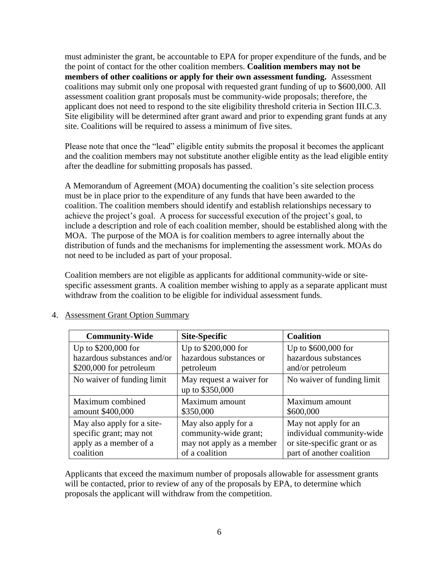must administer the grant, be accountable to EPA for proper expenditure of the funds, and be the point of contact for the other coalition members. **Coalition members may not be members of other coalitions or apply for their own assessment funding.** Assessment coalitions may submit only one proposal with requested grant funding of up to \$600,000. All assessment coalition grant proposals must be community-wide proposals; therefore, the applicant does not need to respond to the site eligibility threshold criteria in Section III.C.3. Site eligibility will be determined after grant award and prior to expending grant funds at any site. Coalitions will be required to assess a minimum of five sites.

Please note that once the "lead" eligible entity submits the proposal it becomes the applicant and the coalition members may not substitute another eligible entity as the lead eligible entity after the deadline for submitting proposals has passed.

A Memorandum of Agreement (MOA) documenting the coalition's site selection process must be in place prior to the expenditure of any funds that have been awarded to the coalition. The coalition members should identify and establish relationships necessary to achieve the project's goal. A process for successful execution of the project's goal, to include a description and role of each coalition member, should be established along with the MOA. The purpose of the MOA is for coalition members to agree internally about the distribution of funds and the mechanisms for implementing the assessment work. MOAs do not need to be included as part of your proposal.

Coalition members are not eligible as applicants for additional community-wide or sitespecific assessment grants. A coalition member wishing to apply as a separate applicant must withdraw from the coalition to be eligible for individual assessment funds.

| <b>Community-Wide</b>       | <b>Site-Specific</b>      | <b>Coalition</b>             |
|-----------------------------|---------------------------|------------------------------|
| Up to \$200,000 for         | Up to \$200,000 for       | Up to \$600,000 for          |
| hazardous substances and/or | hazardous substances or   | hazardous substances         |
| \$200,000 for petroleum     | petroleum                 | and/or petroleum             |
| No waiver of funding limit  | May request a waiver for  | No waiver of funding limit   |
|                             | up to \$350,000           |                              |
| Maximum combined            | Maximum amount            | Maximum amount               |
| amount \$400,000            | \$350,000                 | \$600,000                    |
| May also apply for a site-  | May also apply for a      | May not apply for an         |
| specific grant; may not     | community-wide grant;     | individual community-wide    |
| apply as a member of a      | may not apply as a member | or site-specific grant or as |
| coalition                   | of a coalition            | part of another coalition    |

### 4. Assessment Grant Option Summary

Applicants that exceed the maximum number of proposals allowable for assessment grants will be contacted, prior to review of any of the proposals by EPA, to determine which proposals the applicant will withdraw from the competition.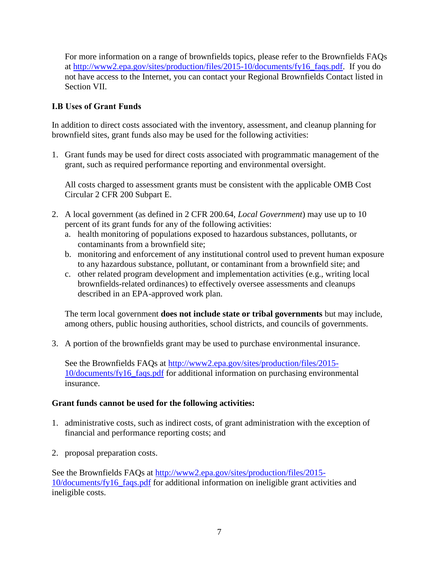For more information on a range of brownfields topics, please refer to the Brownfields FAQs at [http://www2.epa.gov/sites/production/files/2015-10/documents/fy16\\_faqs.pdf.](http://www2.epa.gov/sites/production/files/2015-10/documents/fy16_faqs.pdf) If you do not have access to the Internet, you can contact your Regional Brownfields Contact listed in Section VII.

# <span id="page-6-0"></span>**I.B Uses of Grant Funds**

In addition to direct costs associated with the inventory, assessment, and cleanup planning for brownfield sites, grant funds also may be used for the following activities:

1. Grant funds may be used for direct costs associated with programmatic management of the grant, such as required performance reporting and environmental oversight.

All costs charged to assessment grants must be consistent with the applicable OMB Cost Circular 2 CFR 200 Subpart E.

- 2. A local government (as defined in 2 CFR 200.64, *Local Government*) may use up to 10 percent of its grant funds for any of the following activities:
	- a. health monitoring of populations exposed to hazardous substances, pollutants, or contaminants from a brownfield site;
	- b. monitoring and enforcement of any institutional control used to prevent human exposure to any hazardous substance, pollutant, or contaminant from a brownfield site; and
	- c. other related program development and implementation activities (e.g., writing local brownfields-related ordinances) to effectively oversee assessments and cleanups described in an EPA-approved work plan.

The term local government **does not include state or tribal governments** but may include, among others, public housing authorities, school districts, and councils of governments.

3. A portion of the brownfields grant may be used to purchase environmental insurance.

See the Brownfields FAQs at [http://www2.epa.gov/sites/production/files/2015-](http://www2.epa.gov/sites/production/files/2015-10/documents/fy16_faqs.pdf) [10/documents/fy16\\_faqs.pdf](http://www2.epa.gov/sites/production/files/2015-10/documents/fy16_faqs.pdf) for additional information on purchasing environmental insurance.

#### **Grant funds cannot be used for the following activities:**

- 1. administrative costs, such as indirect costs, of grant administration with the exception of financial and performance reporting costs; and
- 2. proposal preparation costs.

See the Brownfields FAQs at [http://www2.epa.gov/sites/production/files/2015-](http://www2.epa.gov/sites/production/files/2015-10/documents/fy16_faqs.pdf) [10/documents/fy16\\_faqs.pdf](http://www2.epa.gov/sites/production/files/2015-10/documents/fy16_faqs.pdf) for additional information on ineligible grant activities and ineligible costs.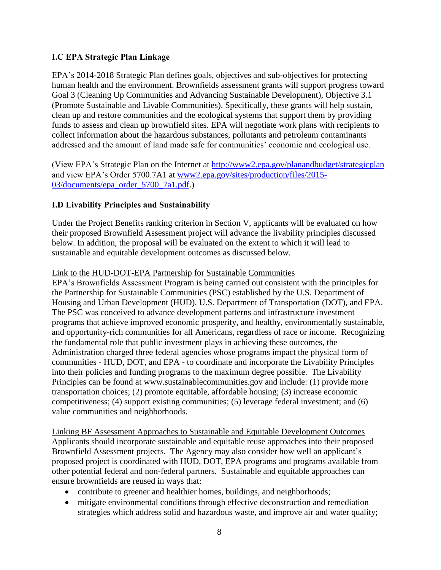### <span id="page-7-0"></span>**I.C EPA Strategic Plan Linkage**

EPA's 2014-2018 Strategic Plan defines goals, objectives and sub-objectives for protecting human health and the environment. Brownfields assessment grants will support progress toward Goal 3 (Cleaning Up Communities and Advancing Sustainable Development), Objective 3.1 (Promote Sustainable and Livable Communities). Specifically, these grants will help sustain, clean up and restore communities and the ecological systems that support them by providing funds to assess and clean up brownfield sites. EPA will negotiate work plans with recipients to collect information about the hazardous substances, pollutants and petroleum contaminants addressed and the amount of land made safe for communities' economic and ecological use.

(View EPA's Strategic Plan on the Internet at<http://www2.epa.gov/planandbudget/strategicplan> and view EPA's Order 5700.7A1 at [www2.epa.gov/sites/production/files/2015-](http://www2.epa.gov/sites/production/files/2015-03/documents/epa_order_5700_7a1.pdf) [03/documents/epa\\_order\\_5700\\_7a1.pdf.](http://www2.epa.gov/sites/production/files/2015-03/documents/epa_order_5700_7a1.pdf))

# <span id="page-7-1"></span>**I.D Livability Principles and Sustainability**

Under the Project Benefits ranking criterion in Section V, applicants will be evaluated on how their proposed Brownfield Assessment project will advance the livability principles discussed below. In addition, the proposal will be evaluated on the extent to which it will lead to sustainable and equitable development outcomes as discussed below.

#### Link to the HUD-DOT-EPA Partnership for Sustainable Communities

EPA's Brownfields Assessment Program is being carried out consistent with the principles for the Partnership for Sustainable Communities (PSC) established by the U.S. Department of Housing and Urban Development (HUD), U.S. Department of Transportation (DOT), and EPA. The PSC was conceived to advance development patterns and infrastructure investment programs that achieve improved economic prosperity, and healthy, environmentally sustainable, and opportunity-rich communities for all Americans, regardless of race or income. Recognizing the fundamental role that public investment plays in achieving these outcomes, the Administration charged three federal agencies whose programs impact the physical form of communities - HUD, DOT, and EPA - to coordinate and incorporate the Livability Principles into their policies and funding programs to the maximum degree possible. The Livability Principles can be found at [www.sustainablecommunities.gov](http://www.sustainablecommunities.gov/) and include: (1) provide more transportation choices; (2) promote equitable, affordable housing; (3) increase economic competitiveness; (4) support existing communities; (5) leverage federal investment; and (6) value communities and neighborhoods.

Linking BF Assessment Approaches to Sustainable and Equitable Development Outcomes Applicants should incorporate sustainable and equitable reuse approaches into their proposed Brownfield Assessment projects. The Agency may also consider how well an applicant's proposed project is coordinated with HUD, DOT, EPA programs and programs available from other potential federal and non-federal partners. Sustainable and equitable approaches can ensure brownfields are reused in ways that:

- contribute to greener and healthier homes, buildings, and neighborhoods;
- mitigate environmental conditions through effective deconstruction and remediation strategies which address solid and hazardous waste, and improve air and water quality;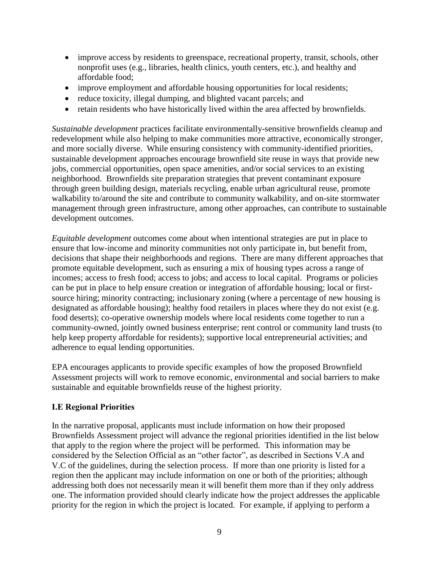- improve access by residents to greenspace, recreational property, transit, schools, other nonprofit uses (e.g., libraries, health clinics, youth centers, etc.), and healthy and affordable food;
- improve employment and affordable housing opportunities for local residents;
- reduce toxicity, illegal dumping, and blighted vacant parcels; and
- retain residents who have historically lived within the area affected by brownfields.

*Sustainable development* practices facilitate environmentally-sensitive brownfields cleanup and redevelopment while also helping to make communities more attractive, economically stronger, and more socially diverse. While ensuring consistency with community-identified priorities, sustainable development approaches encourage brownfield site reuse in ways that provide new jobs, commercial opportunities, open space amenities, and/or social services to an existing neighborhood. Brownfields site preparation strategies that prevent contaminant exposure through green building design, materials recycling, enable urban agricultural reuse, promote walkability to/around the site and contribute to community walkability, and on-site stormwater management through green infrastructure, among other approaches, can contribute to sustainable development outcomes.

*Equitable development* outcomes come about when intentional strategies are put in place to ensure that low-income and minority communities not only participate in, but benefit from, decisions that shape their neighborhoods and regions. There are many different approaches that promote equitable development, such as ensuring a mix of housing types across a range of incomes; access to fresh food; access to jobs; and access to local capital. Programs or policies can be put in place to help ensure creation or integration of affordable housing; local or firstsource hiring; minority contracting; inclusionary zoning (where a percentage of new housing is designated as affordable housing); healthy food retailers in places where they do not exist (e.g. food deserts); co-operative ownership models where local residents come together to run a community-owned, jointly owned business enterprise; rent control or community land trusts (to help keep property affordable for residents); supportive local entrepreneurial activities; and adherence to equal lending opportunities.

EPA encourages applicants to provide specific examples of how the proposed Brownfield Assessment projects will work to remove economic, environmental and social barriers to make sustainable and equitable brownfields reuse of the highest priority.

### <span id="page-8-0"></span>**I.E Regional Priorities**

In the narrative proposal, applicants must include information on how their proposed Brownfields Assessment project will advance the regional priorities identified in the list below that apply to the region where the project will be performed. This information may be considered by the Selection Official as an "other factor", as described in Sections V.A and V.C of the guidelines, during the selection process. If more than one priority is listed for a region then the applicant may include information on one or both of the priorities; although addressing both does not necessarily mean it will benefit them more than if they only address one. The information provided should clearly indicate how the project addresses the applicable priority for the region in which the project is located. For example, if applying to perform a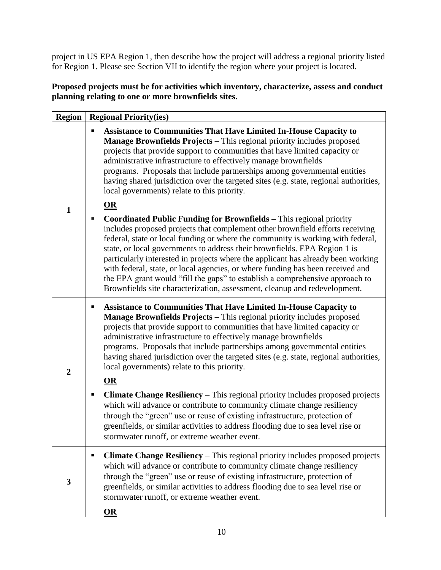project in US EPA Region 1, then describe how the project will address a regional priority listed for Region 1. Please see Section VII to identify the region where your project is located.

## **Proposed projects must be for activities which inventory, characterize, assess and conduct planning relating to one or more brownfields sites.**

| <b>Region</b>  | <b>Regional Priority(ies)</b>                                                                                                                                                                                                                                                                                                                                                                                                                                                                                                                                                                                                                                          |
|----------------|------------------------------------------------------------------------------------------------------------------------------------------------------------------------------------------------------------------------------------------------------------------------------------------------------------------------------------------------------------------------------------------------------------------------------------------------------------------------------------------------------------------------------------------------------------------------------------------------------------------------------------------------------------------------|
|                | <b>Assistance to Communities That Have Limited In-House Capacity to</b><br>٠<br>Manage Brownfields Projects - This regional priority includes proposed<br>projects that provide support to communities that have limited capacity or<br>administrative infrastructure to effectively manage brownfields<br>programs. Proposals that include partnerships among governmental entities<br>having shared jurisdiction over the targeted sites (e.g. state, regional authorities,<br>local governments) relate to this priority.                                                                                                                                           |
| $\mathbf{1}$   | $OR$<br><b>Coordinated Public Funding for Brownfields - This regional priority</b><br>includes proposed projects that complement other brownfield efforts receiving<br>federal, state or local funding or where the community is working with federal,<br>state, or local governments to address their brownfields. EPA Region 1 is<br>particularly interested in projects where the applicant has already been working<br>with federal, state, or local agencies, or where funding has been received and<br>the EPA grant would "fill the gaps" to establish a comprehensive approach to<br>Brownfields site characterization, assessment, cleanup and redevelopment. |
|                | <b>Assistance to Communities That Have Limited In-House Capacity to</b><br>٠<br>Manage Brownfields Projects - This regional priority includes proposed<br>projects that provide support to communities that have limited capacity or<br>administrative infrastructure to effectively manage brownfields<br>programs. Proposals that include partnerships among governmental entities<br>having shared jurisdiction over the targeted sites (e.g. state, regional authorities,<br>local governments) relate to this priority.                                                                                                                                           |
| $\overline{2}$ | OR<br>Climate Change Resiliency - This regional priority includes proposed projects<br>п<br>which will advance or contribute to community climate change resiliency<br>through the "green" use or reuse of existing infrastructure, protection of<br>greenfields, or similar activities to address flooding due to sea level rise or<br>stormwater runoff, or extreme weather event.                                                                                                                                                                                                                                                                                   |
| $\mathbf{3}$   | Climate Change Resiliency – This regional priority includes proposed projects<br>п<br>which will advance or contribute to community climate change resiliency<br>through the "green" use or reuse of existing infrastructure, protection of<br>greenfields, or similar activities to address flooding due to sea level rise or<br>stormwater runoff, or extreme weather event.<br><b>OR</b>                                                                                                                                                                                                                                                                            |
|                |                                                                                                                                                                                                                                                                                                                                                                                                                                                                                                                                                                                                                                                                        |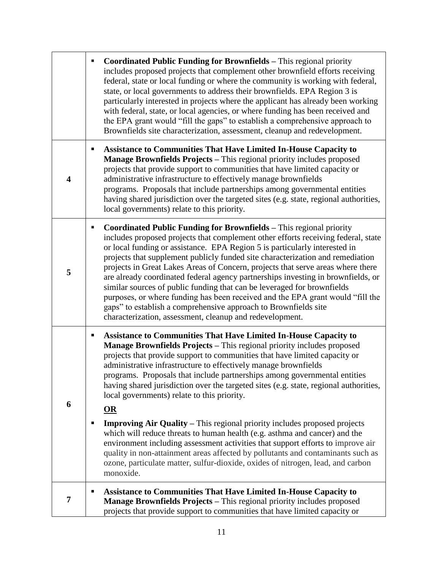|                         |        | <b>Coordinated Public Funding for Brownfields - This regional priority</b><br>includes proposed projects that complement other brownfield efforts receiving<br>federal, state or local funding or where the community is working with federal,<br>state, or local governments to address their brownfields. EPA Region 3 is<br>particularly interested in projects where the applicant has already been working<br>with federal, state, or local agencies, or where funding has been received and<br>the EPA grant would "fill the gaps" to establish a comprehensive approach to<br>Brownfields site characterization, assessment, cleanup and redevelopment.                                                                                                                                                                                                                                                                                           |
|-------------------------|--------|----------------------------------------------------------------------------------------------------------------------------------------------------------------------------------------------------------------------------------------------------------------------------------------------------------------------------------------------------------------------------------------------------------------------------------------------------------------------------------------------------------------------------------------------------------------------------------------------------------------------------------------------------------------------------------------------------------------------------------------------------------------------------------------------------------------------------------------------------------------------------------------------------------------------------------------------------------|
| $\overline{\mathbf{4}}$ |        | <b>Assistance to Communities That Have Limited In-House Capacity to</b><br>Manage Brownfields Projects - This regional priority includes proposed<br>projects that provide support to communities that have limited capacity or<br>administrative infrastructure to effectively manage brownfields<br>programs. Proposals that include partnerships among governmental entities<br>having shared jurisdiction over the targeted sites (e.g. state, regional authorities,<br>local governments) relate to this priority.                                                                                                                                                                                                                                                                                                                                                                                                                                  |
| 5                       | Е      | <b>Coordinated Public Funding for Brownfields - This regional priority</b><br>includes proposed projects that complement other efforts receiving federal, state<br>or local funding or assistance. EPA Region 5 is particularly interested in<br>projects that supplement publicly funded site characterization and remediation<br>projects in Great Lakes Areas of Concern, projects that serve areas where there<br>are already coordinated federal agency partnerships investing in brownfields, or<br>similar sources of public funding that can be leveraged for brownfields<br>purposes, or where funding has been received and the EPA grant would "fill the<br>gaps" to establish a comprehensive approach to Brownfields site<br>characterization, assessment, cleanup and redevelopment.                                                                                                                                                       |
| 6                       | п<br>п | <b>Assistance to Communities That Have Limited In-House Capacity to</b><br>Manage Brownfields Projects - This regional priority includes proposed<br>projects that provide support to communities that have limited capacity or<br>administrative infrastructure to effectively manage brownfields<br>programs. Proposals that include partnerships among governmental entities<br>having shared jurisdiction over the targeted sites (e.g. state, regional authorities,<br>local governments) relate to this priority.<br>OR<br><b>Improving Air Quality – This regional priority includes proposed projects</b><br>which will reduce threats to human health (e.g. asthma and cancer) and the<br>environment including assessment activities that support efforts to improve air<br>quality in non-attainment areas affected by pollutants and contaminants such as<br>ozone, particulate matter, sulfur-dioxide, oxides of nitrogen, lead, and carbon |
|                         |        | monoxide.                                                                                                                                                                                                                                                                                                                                                                                                                                                                                                                                                                                                                                                                                                                                                                                                                                                                                                                                                |
| 7                       | п      | <b>Assistance to Communities That Have Limited In-House Capacity to</b><br><b>Manage Brownfields Projects - This regional priority includes proposed</b><br>projects that provide support to communities that have limited capacity or                                                                                                                                                                                                                                                                                                                                                                                                                                                                                                                                                                                                                                                                                                                   |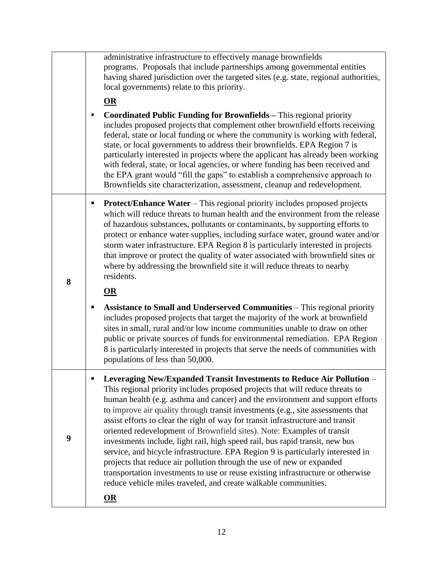|   | administrative infrastructure to effectively manage brownfields<br>programs. Proposals that include partnerships among governmental entities<br>having shared jurisdiction over the targeted sites (e.g. state, regional authorities,<br>local governments) relate to this priority.                                                                                                                                                                                                                                                                                                                                                                                                                                                                                                                                                                                                           |
|---|------------------------------------------------------------------------------------------------------------------------------------------------------------------------------------------------------------------------------------------------------------------------------------------------------------------------------------------------------------------------------------------------------------------------------------------------------------------------------------------------------------------------------------------------------------------------------------------------------------------------------------------------------------------------------------------------------------------------------------------------------------------------------------------------------------------------------------------------------------------------------------------------|
|   | $\Omega$                                                                                                                                                                                                                                                                                                                                                                                                                                                                                                                                                                                                                                                                                                                                                                                                                                                                                       |
|   | <b>Coordinated Public Funding for Brownfields – This regional priority</b><br>п<br>includes proposed projects that complement other brownfield efforts receiving<br>federal, state or local funding or where the community is working with federal,<br>state, or local governments to address their brownfields. EPA Region 7 is<br>particularly interested in projects where the applicant has already been working<br>with federal, state, or local agencies, or where funding has been received and<br>the EPA grant would "fill the gaps" to establish a comprehensive approach to<br>Brownfields site characterization, assessment, cleanup and redevelopment.                                                                                                                                                                                                                            |
| 8 | <b>Protect/Enhance Water – This regional priority includes proposed projects</b><br>п<br>which will reduce threats to human health and the environment from the release<br>of hazardous substances, pollutants or contaminants, by supporting efforts to<br>protect or enhance water supplies, including surface water, ground water and/or<br>storm water infrastructure. EPA Region 8 is particularly interested in projects<br>that improve or protect the quality of water associated with brownfield sites or<br>where by addressing the brownfield site it will reduce threats to nearby<br>residents.                                                                                                                                                                                                                                                                                   |
|   | OR                                                                                                                                                                                                                                                                                                                                                                                                                                                                                                                                                                                                                                                                                                                                                                                                                                                                                             |
|   |                                                                                                                                                                                                                                                                                                                                                                                                                                                                                                                                                                                                                                                                                                                                                                                                                                                                                                |
|   | <b>Assistance to Small and Underserved Communities - This regional priority</b><br>п<br>includes proposed projects that target the majority of the work at brownfield<br>sites in small, rural and/or low income communities unable to draw on other<br>public or private sources of funds for environmental remediation. EPA Region<br>8 is particularly interested in projects that serve the needs of communities with<br>populations of less than 50,000.                                                                                                                                                                                                                                                                                                                                                                                                                                  |
| 9 | Leveraging New/Expanded Transit Investments to Reduce Air Pollution –<br>п<br>This regional priority includes proposed projects that will reduce threats to<br>human health (e.g. asthma and cancer) and the environment and support efforts<br>to improve air quality through transit investments (e.g., site assessments that<br>assist efforts to clear the right of way for transit infrastructure and transit<br>oriented redevelopment of Brownfield sites). Note: Examples of transit<br>investments include, light rail, high speed rail, bus rapid transit, new bus<br>service, and bicycle infrastructure. EPA Region 9 is particularly interested in<br>projects that reduce air pollution through the use of new or expanded<br>transportation investments to use or reuse existing infrastructure or otherwise<br>reduce vehicle miles traveled, and create walkable communities. |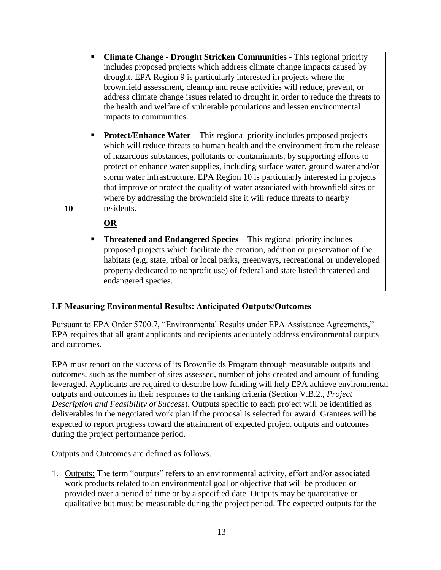|    | $\blacksquare$ | <b>Climate Change - Drought Stricken Communities - This regional priority</b><br>includes proposed projects which address climate change impacts caused by<br>drought. EPA Region 9 is particularly interested in projects where the<br>brownfield assessment, cleanup and reuse activities will reduce, prevent, or<br>address climate change issues related to drought in order to reduce the threats to<br>the health and welfare of vulnerable populations and lessen environmental<br>impacts to communities.                                                                                       |
|----|----------------|----------------------------------------------------------------------------------------------------------------------------------------------------------------------------------------------------------------------------------------------------------------------------------------------------------------------------------------------------------------------------------------------------------------------------------------------------------------------------------------------------------------------------------------------------------------------------------------------------------|
| 10 |                | <b>Protect/Enhance Water</b> – This regional priority includes proposed projects<br>which will reduce threats to human health and the environment from the release<br>of hazardous substances, pollutants or contaminants, by supporting efforts to<br>protect or enhance water supplies, including surface water, ground water and/or<br>storm water infrastructure. EPA Region 10 is particularly interested in projects<br>that improve or protect the quality of water associated with brownfield sites or<br>where by addressing the brownfield site it will reduce threats to nearby<br>residents. |
|    |                | OR                                                                                                                                                                                                                                                                                                                                                                                                                                                                                                                                                                                                       |
|    |                | <b>Threatened and Endangered Species – This regional priority includes</b><br>proposed projects which facilitate the creation, addition or preservation of the<br>habitats (e.g. state, tribal or local parks, greenways, recreational or undeveloped<br>property dedicated to nonprofit use) of federal and state listed threatened and<br>endangered species.                                                                                                                                                                                                                                          |

### <span id="page-12-0"></span>**I.F Measuring Environmental Results: Anticipated Outputs/Outcomes**

Pursuant to EPA Order 5700.7, "Environmental Results under EPA Assistance Agreements," EPA requires that all grant applicants and recipients adequately address environmental outputs and outcomes.

EPA must report on the success of its Brownfields Program through measurable outputs and outcomes, such as the number of sites assessed, number of jobs created and amount of funding leveraged. Applicants are required to describe how funding will help EPA achieve environmental outputs and outcomes in their responses to the ranking criteria (Section V.B.2., *Project Description and Feasibility of Success*). Outputs specific to each project will be identified as deliverables in the negotiated work plan if the proposal is selected for award. Grantees will be expected to report progress toward the attainment of expected project outputs and outcomes during the project performance period.

Outputs and Outcomes are defined as follows.

1. Outputs: The term "outputs" refers to an environmental activity, effort and/or associated work products related to an environmental goal or objective that will be produced or provided over a period of time or by a specified date. Outputs may be quantitative or qualitative but must be measurable during the project period. The expected outputs for the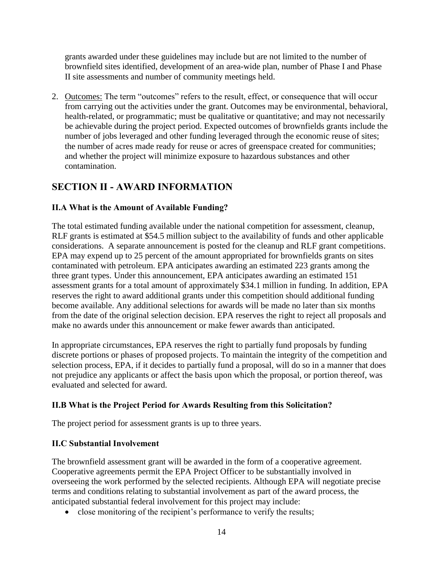grants awarded under these guidelines may include but are not limited to the number of brownfield sites identified, development of an area-wide plan, number of Phase I and Phase II site assessments and number of community meetings held.

2. Outcomes: The term "outcomes" refers to the result, effect, or consequence that will occur from carrying out the activities under the grant. Outcomes may be environmental, behavioral, health-related, or programmatic; must be qualitative or quantitative; and may not necessarily be achievable during the project period. Expected outcomes of brownfields grants include the number of jobs leveraged and other funding leveraged through the economic reuse of sites; the number of acres made ready for reuse or acres of greenspace created for communities; and whether the project will minimize exposure to hazardous substances and other contamination.

# <span id="page-13-0"></span>**SECTION II - AWARD INFORMATION**

# <span id="page-13-1"></span>**II.A What is the Amount of Available Funding?**

The total estimated funding available under the national competition for assessment, cleanup, RLF grants is estimated at \$54.5 million subject to the availability of funds and other applicable considerations. A separate announcement is posted for the cleanup and RLF grant competitions. EPA may expend up to 25 percent of the amount appropriated for brownfields grants on sites contaminated with petroleum. EPA anticipates awarding an estimated 223 grants among the three grant types. Under this announcement, EPA anticipates awarding an estimated 151 assessment grants for a total amount of approximately \$34.1 million in funding. In addition, EPA reserves the right to award additional grants under this competition should additional funding become available. Any additional selections for awards will be made no later than six months from the date of the original selection decision. EPA reserves the right to reject all proposals and make no awards under this announcement or make fewer awards than anticipated.

In appropriate circumstances, EPA reserves the right to partially fund proposals by funding discrete portions or phases of proposed projects. To maintain the integrity of the competition and selection process, EPA, if it decides to partially fund a proposal, will do so in a manner that does not prejudice any applicants or affect the basis upon which the proposal, or portion thereof, was evaluated and selected for award.

# <span id="page-13-2"></span>**II.B What is the Project Period for Awards Resulting from this Solicitation?**

The project period for assessment grants is up to three years.

# <span id="page-13-3"></span>**II.C Substantial Involvement**

The brownfield assessment grant will be awarded in the form of a cooperative agreement. Cooperative agreements permit the EPA Project Officer to be substantially involved in overseeing the work performed by the selected recipients. Although EPA will negotiate precise terms and conditions relating to substantial involvement as part of the award process, the anticipated substantial federal involvement for this project may include:

• close monitoring of the recipient's performance to verify the results;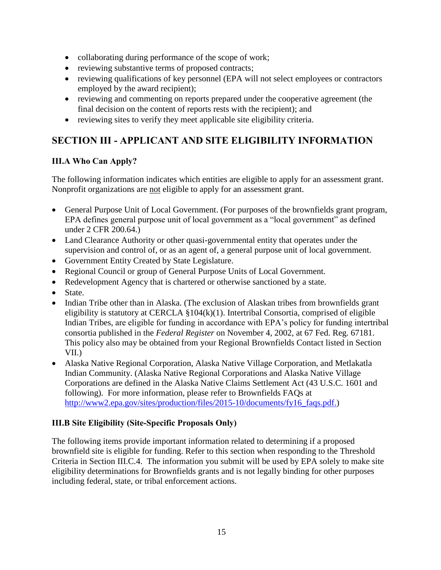- collaborating during performance of the scope of work;
- reviewing substantive terms of proposed contracts;
- reviewing qualifications of key personnel (EPA will not select employees or contractors employed by the award recipient);
- reviewing and commenting on reports prepared under the cooperative agreement (the final decision on the content of reports rests with the recipient); and
- reviewing sites to verify they meet applicable site eligibility criteria.

# <span id="page-14-0"></span>**SECTION III - APPLICANT AND SITE ELIGIBILITY INFORMATION**

# <span id="page-14-1"></span>**III.A Who Can Apply?**

The following information indicates which entities are eligible to apply for an assessment grant. Nonprofit organizations are not eligible to apply for an assessment grant.

- General Purpose Unit of Local Government. (For purposes of the brownfields grant program, EPA defines general purpose unit of local government as a "local government" as defined under 2 CFR 200.64.)
- Land Clearance Authority or other quasi-governmental entity that operates under the supervision and control of, or as an agent of, a general purpose unit of local government.
- Government Entity Created by State Legislature.
- Regional Council or group of General Purpose Units of Local Government.
- Redevelopment Agency that is chartered or otherwise sanctioned by a state.
- State.
- Indian Tribe other than in Alaska. (The exclusion of Alaskan tribes from brownfields grant eligibility is statutory at CERCLA §104(k)(1). Intertribal Consortia, comprised of eligible Indian Tribes, are eligible for funding in accordance with EPA's policy for funding intertribal consortia published in the *Federal Register* on November 4, 2002, at 67 Fed. Reg. 67181. This policy also may be obtained from your Regional Brownfields Contact listed in Section VII.)
- Alaska Native Regional Corporation, Alaska Native Village Corporation, and Metlakatla Indian Community. (Alaska Native Regional Corporations and Alaska Native Village Corporations are defined in the Alaska Native Claims Settlement Act (43 U.S.C. 1601 and following). For more information, please refer to Brownfields FAQs at [http://www2.epa.gov/sites/production/files/2015-10/documents/fy16\\_faqs.pdf.](http://www2.epa.gov/sites/production/files/2015-10/documents/fy16_faqs.pdf))

# <span id="page-14-2"></span>**III.B Site Eligibility (Site-Specific Proposals Only)**

The following items provide important information related to determining if a proposed brownfield site is eligible for funding. Refer to this section when responding to the Threshold Criteria in Section III.C.4. The information you submit will be used by EPA solely to make site eligibility determinations for Brownfields grants and is not legally binding for other purposes including federal, state, or tribal enforcement actions.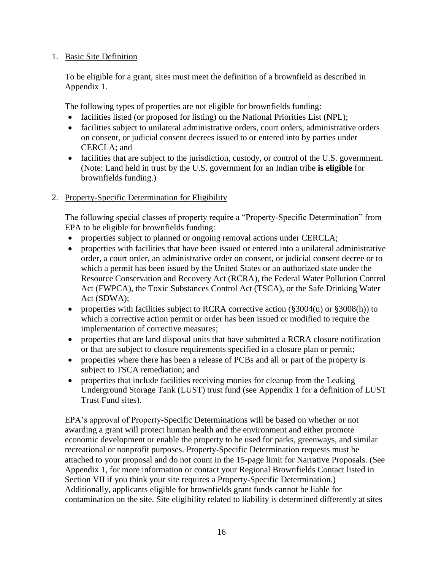#### 1. Basic Site Definition

To be eligible for a grant, sites must meet the definition of a brownfield as described in Appendix 1.

The following types of properties are not eligible for brownfields funding:

- facilities listed (or proposed for listing) on the National Priorities List (NPL);
- facilities subject to unilateral administrative orders, court orders, administrative orders on consent, or judicial consent decrees issued to or entered into by parties under CERCLA; and
- facilities that are subject to the jurisdiction, custody, or control of the U.S. government. (Note: Land held in trust by the U.S. government for an Indian tribe **is eligible** for brownfields funding.)
- 2. Property-Specific Determination for Eligibility

The following special classes of property require a "Property-Specific Determination" from EPA to be eligible for brownfields funding:

- properties subject to planned or ongoing removal actions under CERCLA;
- properties with facilities that have been issued or entered into a unilateral administrative order, a court order, an administrative order on consent, or judicial consent decree or to which a permit has been issued by the United States or an authorized state under the Resource Conservation and Recovery Act (RCRA), the Federal Water Pollution Control Act (FWPCA), the Toxic Substances Control Act (TSCA), or the Safe Drinking Water Act (SDWA);
- properties with facilities subject to RCRA corrective action (§3004(u) or §3008(h)) to which a corrective action permit or order has been issued or modified to require the implementation of corrective measures;
- properties that are land disposal units that have submitted a RCRA closure notification or that are subject to closure requirements specified in a closure plan or permit;
- properties where there has been a release of PCBs and all or part of the property is subject to TSCA remediation; and
- properties that include facilities receiving monies for cleanup from the Leaking Underground Storage Tank (LUST) trust fund (see Appendix 1 for a definition of LUST Trust Fund sites).

EPA's approval of Property-Specific Determinations will be based on whether or not awarding a grant will protect human health and the environment and either promote economic development or enable the property to be used for parks, greenways, and similar recreational or nonprofit purposes. Property-Specific Determination requests must be attached to your proposal and do not count in the 15-page limit for Narrative Proposals. (See Appendix 1, for more information or contact your Regional Brownfields Contact listed in Section VII if you think your site requires a Property-Specific Determination.) Additionally, applicants eligible for brownfields grant funds cannot be liable for contamination on the site. Site eligibility related to liability is determined differently at sites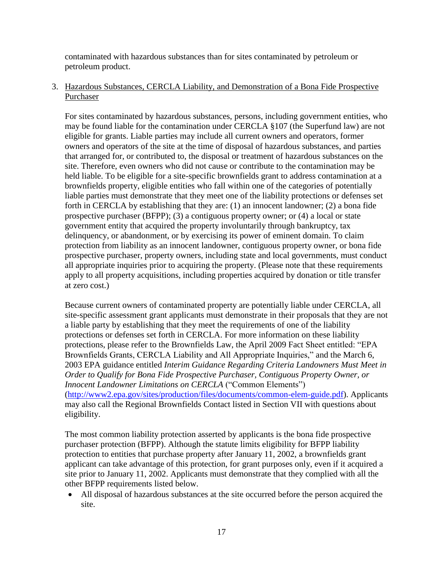contaminated with hazardous substances than for sites contaminated by petroleum or petroleum product.

3. Hazardous Substances, CERCLA Liability, and Demonstration of a Bona Fide Prospective Purchaser

For sites contaminated by hazardous substances, persons, including government entities, who may be found liable for the contamination under CERCLA §107 (the Superfund law) are not eligible for grants. Liable parties may include all current owners and operators, former owners and operators of the site at the time of disposal of hazardous substances, and parties that arranged for, or contributed to, the disposal or treatment of hazardous substances on the site. Therefore, even owners who did not cause or contribute to the contamination may be held liable. To be eligible for a site-specific brownfields grant to address contamination at a brownfields property, eligible entities who fall within one of the categories of potentially liable parties must demonstrate that they meet one of the liability protections or defenses set forth in CERCLA by establishing that they are: (1) an innocent landowner; (2) a bona fide prospective purchaser (BFPP); (3) a contiguous property owner; or (4) a local or state government entity that acquired the property involuntarily through bankruptcy, tax delinquency, or abandonment, or by exercising its power of eminent domain. To claim protection from liability as an innocent landowner, contiguous property owner, or bona fide prospective purchaser, property owners, including state and local governments, must conduct all appropriate inquiries prior to acquiring the property. (Please note that these requirements apply to all property acquisitions, including properties acquired by donation or title transfer at zero cost.)

Because current owners of contaminated property are potentially liable under CERCLA, all site-specific assessment grant applicants must demonstrate in their proposals that they are not a liable party by establishing that they meet the requirements of one of the liability protections or defenses set forth in CERCLA. For more information on these liability protections, please refer to the Brownfields Law, the April 2009 Fact Sheet entitled: "EPA Brownfields Grants, CERCLA Liability and All Appropriate Inquiries," and the March 6, 2003 EPA guidance entitled *Interim Guidance Regarding Criteria Landowners Must Meet in Order to Qualify for Bona Fide Prospective Purchaser, Contiguous Property Owner, or Innocent Landowner Limitations on CERCLA* ("Common Elements") [\(http://www2.epa.gov/sites/production/files/documents/common-elem-guide.pdf\)](http://www2.epa.gov/sites/production/files/documents/common-elem-guide.pdf). Applicants may also call the Regional Brownfields Contact listed in Section VII with questions about eligibility.

The most common liability protection asserted by applicants is the bona fide prospective purchaser protection (BFPP). Although the statute limits eligibility for BFPP liability protection to entities that purchase property after January 11, 2002, a brownfields grant applicant can take advantage of this protection, for grant purposes only, even if it acquired a site prior to January 11, 2002. Applicants must demonstrate that they complied with all the other BFPP requirements listed below.

 All disposal of hazardous substances at the site occurred before the person acquired the site.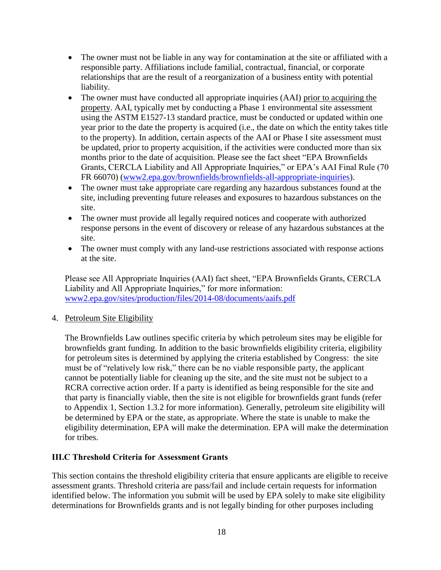- The owner must not be liable in any way for contamination at the site or affiliated with a responsible party. Affiliations include familial, contractual, financial, or corporate relationships that are the result of a reorganization of a business entity with potential liability.
- The owner must have conducted all appropriate inquiries (AAI) prior to acquiring the property. AAI, typically met by conducting a Phase 1 environmental site assessment using the ASTM E1527-13 standard practice, must be conducted or updated within one year prior to the date the property is acquired (i.e., the date on which the entity takes title to the property). In addition, certain aspects of the AAI or Phase I site assessment must be updated, prior to property acquisition, if the activities were conducted more than six months prior to the date of acquisition. Please see the fact sheet "EPA Brownfields Grants, CERCLA Liability and All Appropriate Inquiries," or EPA's AAI Final Rule (70 FR 66070) [\(www2.epa.gov/brownfields/brownfields-all-appropriate-inquiries\)](http://www2.epa.gov/brownfields/brownfields-all-appropriate-inquiries).
- The owner must take appropriate care regarding any hazardous substances found at the site, including preventing future releases and exposures to hazardous substances on the site.
- The owner must provide all legally required notices and cooperate with authorized response persons in the event of discovery or release of any hazardous substances at the site.
- The owner must comply with any land-use restrictions associated with response actions at the site.

Please see All Appropriate Inquiries (AAI) fact sheet, "EPA Brownfields Grants, CERCLA Liability and All Appropriate Inquiries," for more information: [www2.epa.gov/sites/production/files/2014-08/documents/aaifs.pdf](http://www2.epa.gov/sites/production/files/2014-08/documents/aaifs.pdf)

### 4. Petroleum Site Eligibility

The Brownfields Law outlines specific criteria by which petroleum sites may be eligible for brownfields grant funding. In addition to the basic brownfields eligibility criteria, eligibility for petroleum sites is determined by applying the criteria established by Congress: the site must be of "relatively low risk," there can be no viable responsible party, the applicant cannot be potentially liable for cleaning up the site, and the site must not be subject to a RCRA corrective action order. If a party is identified as being responsible for the site and that party is financially viable, then the site is not eligible for brownfields grant funds (refer to Appendix 1, Section 1.3.2 for more information). Generally, petroleum site eligibility will be determined by EPA or the state, as appropriate. Where the state is unable to make the eligibility determination, EPA will make the determination. EPA will make the determination for tribes.

### <span id="page-17-0"></span>**III.C Threshold Criteria for Assessment Grants**

This section contains the threshold eligibility criteria that ensure applicants are eligible to receive assessment grants. Threshold criteria are pass/fail and include certain requests for information identified below. The information you submit will be used by EPA solely to make site eligibility determinations for Brownfields grants and is not legally binding for other purposes including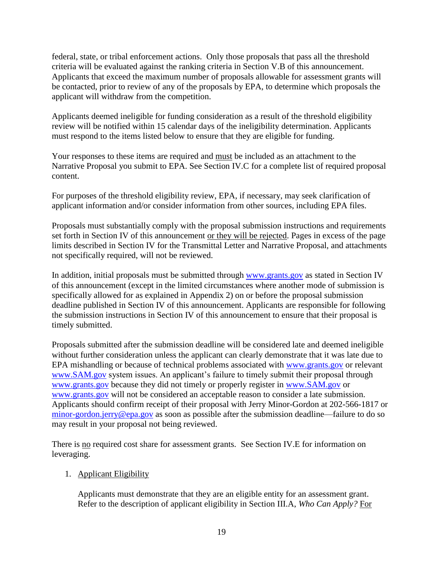federal, state, or tribal enforcement actions. Only those proposals that pass all the threshold criteria will be evaluated against the ranking criteria in Section V.B of this announcement. Applicants that exceed the maximum number of proposals allowable for assessment grants will be contacted, prior to review of any of the proposals by EPA, to determine which proposals the applicant will withdraw from the competition.

Applicants deemed ineligible for funding consideration as a result of the threshold eligibility review will be notified within 15 calendar days of the ineligibility determination. Applicants must respond to the items listed below to ensure that they are eligible for funding.

Your responses to these items are required and must be included as an attachment to the Narrative Proposal you submit to EPA. See Section IV.C for a complete list of required proposal content.

For purposes of the threshold eligibility review, EPA, if necessary, may seek clarification of applicant information and/or consider information from other sources, including EPA files.

Proposals must substantially comply with the proposal submission instructions and requirements set forth in Section IV of this announcement or they will be rejected. Pages in excess of the page limits described in Section IV for the Transmittal Letter and Narrative Proposal, and attachments not specifically required, will not be reviewed.

In addition, initial proposals must be submitted through [www.grants.gov](http://www.grants.gov/) as stated in Section IV of this announcement (except in the limited circumstances where another mode of submission is specifically allowed for as explained in Appendix 2) on or before the proposal submission deadline published in Section IV of this announcement. Applicants are responsible for following the submission instructions in Section IV of this announcement to ensure that their proposal is timely submitted.

Proposals submitted after the submission deadline will be considered late and deemed ineligible without further consideration unless the applicant can clearly demonstrate that it was late due to EPA mishandling or because of technical problems associated with [www.grants.gov](http://www.grants.gov/) or relevant [www.SAM.gov](http://www.sam.gov/) system issues. An applicant's failure to timely submit their proposal through [www.grants.gov](http://www.grants.gov/) because they did not timely or properly register in [www.SAM.gov](http://www.sam.gov/) or [www.grants.gov](http://www.grants.gov/) will not be considered an acceptable reason to consider a late submission. Applicants should confirm receipt of their proposal with Jerry Minor-Gordon at 202-566-1817 or [minor-gordon.jerry@epa.gov](mailto:minor-gordon.jerry@epa.gov) as soon as possible after the submission deadline—failure to do so may result in your proposal not being reviewed.

There is no required cost share for assessment grants. See Section IV.E for information on leveraging.

### <span id="page-18-0"></span>1. Applicant Eligibility

Applicants must demonstrate that they are an eligible entity for an assessment grant. Refer to the description of applicant eligibility in Section III.A, *Who Can Apply?* For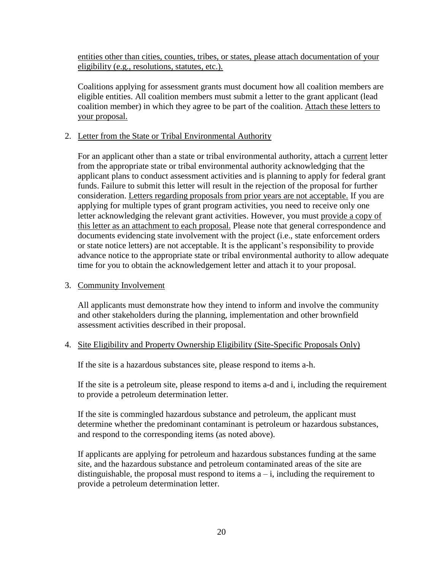entities other than cities, counties, tribes, or states, please attach documentation of your eligibility (e.g., resolutions, statutes, etc.).

Coalitions applying for assessment grants must document how all coalition members are eligible entities. All coalition members must submit a letter to the grant applicant (lead coalition member) in which they agree to be part of the coalition. Attach these letters to your proposal.

#### <span id="page-19-0"></span>2. Letter from the State or Tribal Environmental Authority

For an applicant other than a state or tribal environmental authority, attach a current letter from the appropriate state or tribal environmental authority acknowledging that the applicant plans to conduct assessment activities and is planning to apply for federal grant funds. Failure to submit this letter will result in the rejection of the proposal for further consideration. Letters regarding proposals from prior years are not acceptable. If you are applying for multiple types of grant program activities, you need to receive only one letter acknowledging the relevant grant activities. However, you must provide a copy of this letter as an attachment to each proposal. Please note that general correspondence and documents evidencing state involvement with the project (i.e., state enforcement orders or state notice letters) are not acceptable. It is the applicant's responsibility to provide advance notice to the appropriate state or tribal environmental authority to allow adequate time for you to obtain the acknowledgement letter and attach it to your proposal.

#### <span id="page-19-1"></span>3. Community Involvement

All applicants must demonstrate how they intend to inform and involve the community and other stakeholders during the planning, implementation and other brownfield assessment activities described in their proposal.

#### <span id="page-19-2"></span>4. Site Eligibility and Property Ownership Eligibility (Site-Specific Proposals Only)

If the site is a hazardous substances site, please respond to items a-h.

If the site is a petroleum site, please respond to items a-d and i, including the requirement to provide a petroleum determination letter.

If the site is commingled hazardous substance and petroleum, the applicant must determine whether the predominant contaminant is petroleum or hazardous substances, and respond to the corresponding items (as noted above).

If applicants are applying for petroleum and hazardous substances funding at the same site, and the hazardous substance and petroleum contaminated areas of the site are distinguishable, the proposal must respond to items  $a - i$ , including the requirement to provide a petroleum determination letter.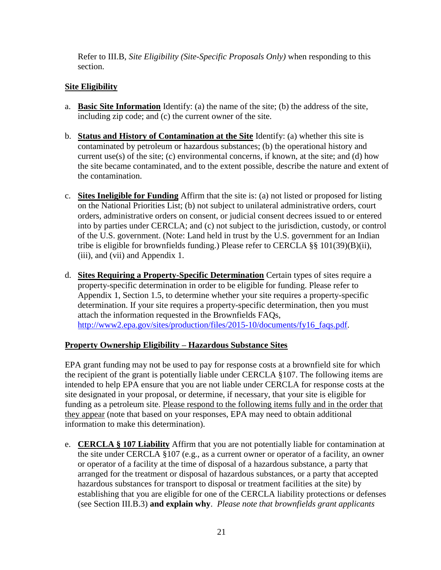Refer to III.B, *Site Eligibility (Site-Specific Proposals Only)* when responding to this section.

## **Site Eligibility**

- a. **Basic Site Information** Identify: (a) the name of the site; (b) the address of the site, including zip code; and (c) the current owner of the site.
- b. **Status and History of Contamination at the Site** Identify: (a) whether this site is contaminated by petroleum or hazardous substances; (b) the operational history and current use(s) of the site; (c) environmental concerns, if known, at the site; and (d) how the site became contaminated, and to the extent possible, describe the nature and extent of the contamination.
- c. **Sites Ineligible for Funding** Affirm that the site is: (a) not listed or proposed for listing on the National Priorities List; (b) not subject to unilateral administrative orders, court orders, administrative orders on consent, or judicial consent decrees issued to or entered into by parties under CERCLA; and (c) not subject to the jurisdiction, custody, or control of the U.S. government. (Note: Land held in trust by the U.S. government for an Indian tribe is eligible for brownfields funding.) Please refer to CERCLA §§ 101(39)(B)(ii), (iii), and (vii) and Appendix 1.
- d. **Sites Requiring a Property-Specific Determination** Certain types of sites require a property-specific determination in order to be eligible for funding. Please refer to Appendix 1, Section 1.5, to determine whether your site requires a property-specific determination. If your site requires a property-specific determination, then you must attach the information requested in the Brownfields FAQs, [http://www2.epa.gov/sites/production/files/2015-10/documents/fy16\\_faqs.pdf.](http://www2.epa.gov/sites/production/files/2015-10/documents/fy16_faqs.pdf)

### **Property Ownership Eligibility – Hazardous Substance Sites**

EPA grant funding may not be used to pay for response costs at a brownfield site for which the recipient of the grant is potentially liable under CERCLA §107. The following items are intended to help EPA ensure that you are not liable under CERCLA for response costs at the site designated in your proposal, or determine, if necessary, that your site is eligible for funding as a petroleum site. Please respond to the following items fully and in the order that they appear (note that based on your responses, EPA may need to obtain additional information to make this determination).

e. **CERCLA § 107 Liability** Affirm that you are not potentially liable for contamination at the site under CERCLA §107 (e.g., as a current owner or operator of a facility, an owner or operator of a facility at the time of disposal of a hazardous substance, a party that arranged for the treatment or disposal of hazardous substances, or a party that accepted hazardous substances for transport to disposal or treatment facilities at the site) by establishing that you are eligible for one of the CERCLA liability protections or defenses (see Section III.B.3) **and explain why**. *Please note that brownfields grant applicants*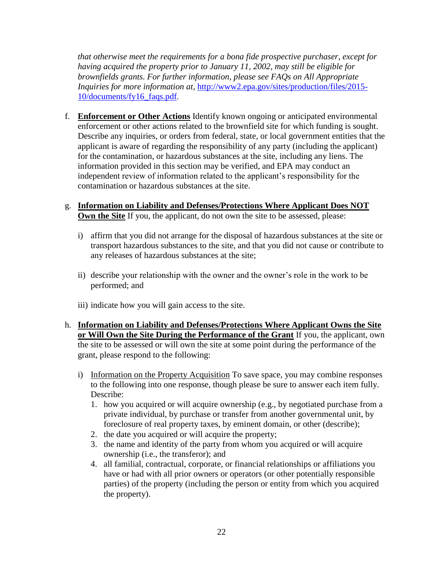*that otherwise meet the requirements for a bona fide prospective purchaser, except for having acquired the property prior to January 11, 2002, may still be eligible for brownfields grants. For further information, please see FAQs on All Appropriate Inquiries for more information at,* [http://www2.epa.gov/sites/production/files/2015-](http://www2.epa.gov/sites/production/files/2015-10/documents/fy16_faqs.pdf) [10/documents/fy16\\_faqs.pdf](http://www2.epa.gov/sites/production/files/2015-10/documents/fy16_faqs.pdf)*.*

- f. **Enforcement or Other Actions** Identify known ongoing or anticipated environmental enforcement or other actions related to the brownfield site for which funding is sought. Describe any inquiries, or orders from federal, state, or local government entities that the applicant is aware of regarding the responsibility of any party (including the applicant) for the contamination, or hazardous substances at the site, including any liens. The information provided in this section may be verified, and EPA may conduct an independent review of information related to the applicant's responsibility for the contamination or hazardous substances at the site.
- g. **Information on Liability and Defenses/Protections Where Applicant Does NOT Own the Site** If you, the applicant, do not own the site to be assessed, please:
	- i) affirm that you did not arrange for the disposal of hazardous substances at the site or transport hazardous substances to the site, and that you did not cause or contribute to any releases of hazardous substances at the site;
	- ii) describe your relationship with the owner and the owner's role in the work to be performed; and
	- iii) indicate how you will gain access to the site.
- h. **Information on Liability and Defenses/Protections Where Applicant Owns the Site or Will Own the Site During the Performance of the Grant** If you, the applicant, own the site to be assessed or will own the site at some point during the performance of the grant, please respond to the following:
	- i) Information on the Property Acquisition To save space, you may combine responses to the following into one response, though please be sure to answer each item fully. Describe:
		- 1. how you acquired or will acquire ownership (e.g., by negotiated purchase from a private individual, by purchase or transfer from another governmental unit, by foreclosure of real property taxes, by eminent domain, or other (describe);
		- 2. the date you acquired or will acquire the property;
		- 3. the name and identity of the party from whom you acquired or will acquire ownership (i.e., the transferor); and
		- 4. all familial, contractual, corporate, or financial relationships or affiliations you have or had with all prior owners or operators (or other potentially responsible parties) of the property (including the person or entity from which you acquired the property).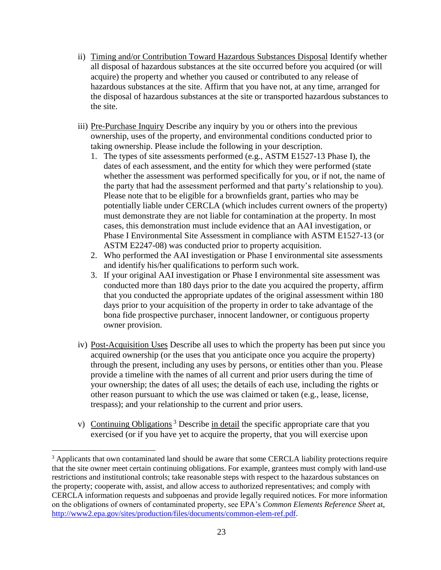- ii) Timing and/or Contribution Toward Hazardous Substances Disposal Identify whether all disposal of hazardous substances at the site occurred before you acquired (or will acquire) the property and whether you caused or contributed to any release of hazardous substances at the site. Affirm that you have not, at any time, arranged for the disposal of hazardous substances at the site or transported hazardous substances to the site.
- iii) Pre-Purchase Inquiry Describe any inquiry by you or others into the previous ownership, uses of the property, and environmental conditions conducted prior to taking ownership. Please include the following in your description.
	- 1. The types of site assessments performed (e.g., ASTM E1527-13 Phase I), the dates of each assessment, and the entity for which they were performed (state whether the assessment was performed specifically for you, or if not, the name of the party that had the assessment performed and that party's relationship to you). Please note that to be eligible for a brownfields grant, parties who may be potentially liable under CERCLA (which includes current owners of the property) must demonstrate they are not liable for contamination at the property. In most cases, this demonstration must include evidence that an AAI investigation, or Phase I Environmental Site Assessment in compliance with ASTM E1527-13 (or ASTM E2247-08) was conducted prior to property acquisition.
	- 2. Who performed the AAI investigation or Phase I environmental site assessments and identify his/her qualifications to perform such work.
	- 3. If your original AAI investigation or Phase I environmental site assessment was conducted more than 180 days prior to the date you acquired the property, affirm that you conducted the appropriate updates of the original assessment within 180 days prior to your acquisition of the property in order to take advantage of the bona fide prospective purchaser, innocent landowner, or contiguous property owner provision.
- iv) Post-Acquisition Uses Describe all uses to which the property has been put since you acquired ownership (or the uses that you anticipate once you acquire the property) through the present, including any uses by persons, or entities other than you. Please provide a timeline with the names of all current and prior users during the time of your ownership; the dates of all uses; the details of each use, including the rights or other reason pursuant to which the use was claimed or taken (e.g., lease, license, trespass); and your relationship to the current and prior users.
- v) Continuing Obligations<sup>3</sup> Describe in detail the specific appropriate care that you exercised (or if you have yet to acquire the property, that you will exercise upon

 $\overline{a}$ 

<sup>&</sup>lt;sup>3</sup> Applicants that own contaminated land should be aware that some CERCLA liability protections require that the site owner meet certain continuing obligations. For example, grantees must comply with land-use restrictions and institutional controls; take reasonable steps with respect to the hazardous substances on the property; cooperate with, assist, and allow access to authorized representatives; and comply with CERCLA information requests and subpoenas and provide legally required notices. For more information on the obligations of owners of contaminated property, see EPA's *Common Elements Reference Sheet* at, [http://www2.epa.gov/sites/production/files/documents/common-elem-ref.pdf.](http://www2.epa.gov/sites/production/files/documents/common-elem-ref.pdf)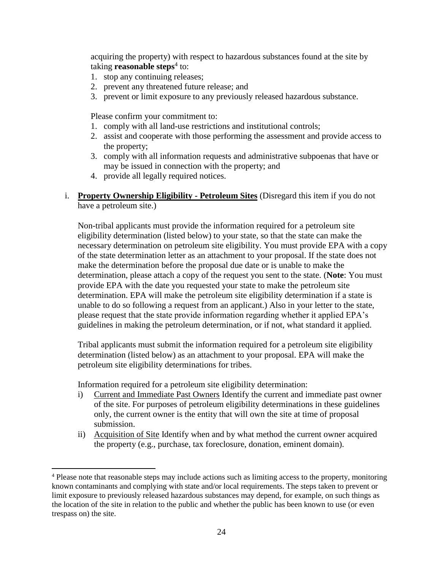acquiring the property) with respect to hazardous substances found at the site by taking **reasonable steps**<sup>4</sup> to:

- 1. stop any continuing releases;
- 2. prevent any threatened future release; and
- 3. prevent or limit exposure to any previously released hazardous substance.

Please confirm your commitment to:

- 1. comply with all land-use restrictions and institutional controls;
- 2. assist and cooperate with those performing the assessment and provide access to the property;
- 3. comply with all information requests and administrative subpoenas that have or may be issued in connection with the property; and
- 4. provide all legally required notices.

### i. **Property Ownership Eligibility - Petroleum Sites** (Disregard this item if you do not have a petroleum site.)

Non-tribal applicants must provide the information required for a petroleum site eligibility determination (listed below) to your state, so that the state can make the necessary determination on petroleum site eligibility. You must provide EPA with a copy of the state determination letter as an attachment to your proposal. If the state does not make the determination before the proposal due date or is unable to make the determination, please attach a copy of the request you sent to the state. (**Note**: You must provide EPA with the date you requested your state to make the petroleum site determination. EPA will make the petroleum site eligibility determination if a state is unable to do so following a request from an applicant.) Also in your letter to the state, please request that the state provide information regarding whether it applied EPA's guidelines in making the petroleum determination, or if not, what standard it applied.

Tribal applicants must submit the information required for a petroleum site eligibility determination (listed below) as an attachment to your proposal. EPA will make the petroleum site eligibility determinations for tribes.

Information required for a petroleum site eligibility determination:

 $\overline{a}$ 

- i) Current and Immediate Past Owners Identify the current and immediate past owner of the site. For purposes of petroleum eligibility determinations in these guidelines only, the current owner is the entity that will own the site at time of proposal submission.
- ii) Acquisition of Site Identify when and by what method the current owner acquired the property (e.g., purchase, tax foreclosure, donation, eminent domain).

<sup>&</sup>lt;sup>4</sup> Please note that reasonable steps may include actions such as limiting access to the property, monitoring known contaminants and complying with state and/or local requirements. The steps taken to prevent or limit exposure to previously released hazardous substances may depend, for example, on such things as the location of the site in relation to the public and whether the public has been known to use (or even trespass on) the site.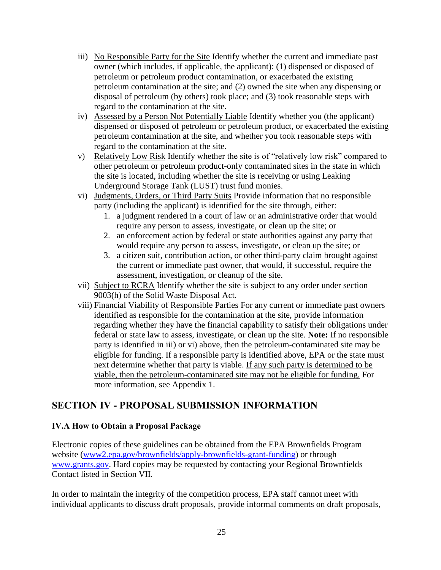- iii) No Responsible Party for the Site Identify whether the current and immediate past owner (which includes, if applicable, the applicant): (1) dispensed or disposed of petroleum or petroleum product contamination, or exacerbated the existing petroleum contamination at the site; and (2) owned the site when any dispensing or disposal of petroleum (by others) took place; and (3) took reasonable steps with regard to the contamination at the site.
- iv) Assessed by a Person Not Potentially Liable Identify whether you (the applicant) dispensed or disposed of petroleum or petroleum product, or exacerbated the existing petroleum contamination at the site, and whether you took reasonable steps with regard to the contamination at the site.
- v) Relatively Low Risk Identify whether the site is of "relatively low risk" compared to other petroleum or petroleum product-only contaminated sites in the state in which the site is located, including whether the site is receiving or using Leaking Underground Storage Tank (LUST) trust fund monies.
- vi) Judgments, Orders, or Third Party Suits Provide information that no responsible party (including the applicant) is identified for the site through, either:
	- 1. a judgment rendered in a court of law or an administrative order that would require any person to assess, investigate, or clean up the site; or
	- 2. an enforcement action by federal or state authorities against any party that would require any person to assess, investigate, or clean up the site; or
	- 3. a citizen suit, contribution action, or other third-party claim brought against the current or immediate past owner, that would, if successful, require the assessment, investigation, or cleanup of the site.
- vii) Subject to RCRA Identify whether the site is subject to any order under section 9003(h) of the Solid Waste Disposal Act.
- viii) Financial Viability of Responsible Parties For any current or immediate past owners identified as responsible for the contamination at the site, provide information regarding whether they have the financial capability to satisfy their obligations under federal or state law to assess, investigate, or clean up the site. **Note:** If no responsible party is identified in iii) or vi) above, then the petroleum-contaminated site may be eligible for funding. If a responsible party is identified above, EPA or the state must next determine whether that party is viable. If any such party is determined to be viable, then the petroleum-contaminated site may not be eligible for funding. For more information, see Appendix 1.

# <span id="page-24-0"></span>**SECTION IV - PROPOSAL SUBMISSION INFORMATION**

### <span id="page-24-1"></span>**IV.A How to Obtain a Proposal Package**

Electronic copies of these guidelines can be obtained from the EPA Brownfields Program website [\(www2.epa.gov/brownfields/apply-brownfields-grant-funding\)](http://www2.epa.gov/brownfields/apply-brownfields-grant-funding) or through [www.grants.gov.](http://www.grants.gov/) Hard copies may be requested by contacting your Regional Brownfields Contact listed in Section VII.

In order to maintain the integrity of the competition process, EPA staff cannot meet with individual applicants to discuss draft proposals, provide informal comments on draft proposals,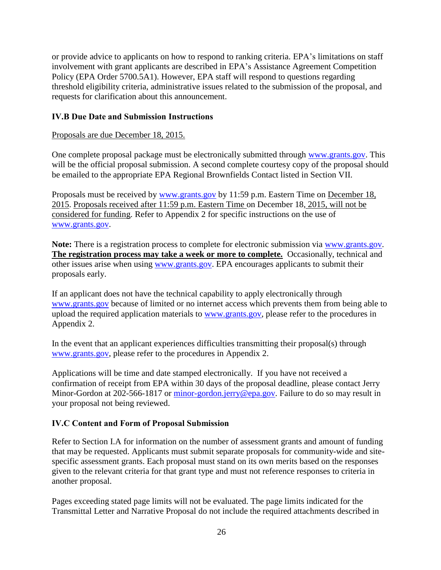or provide advice to applicants on how to respond to ranking criteria. EPA's limitations on staff involvement with grant applicants are described in EPA's Assistance Agreement Competition Policy (EPA Order 5700.5A1). However, EPA staff will respond to questions regarding threshold eligibility criteria, administrative issues related to the submission of the proposal, and requests for clarification about this announcement.

### <span id="page-25-0"></span>**IV.B Due Date and Submission Instructions**

Proposals are due December 18, 2015.

One complete proposal package must be electronically submitted through [www.grants.gov.](http://www.grants.gov/) This will be the official proposal submission. A second complete courtesy copy of the proposal should be emailed to the appropriate EPA Regional Brownfields Contact listed in Section VII.

Proposals must be received by [www.grants.gov](http://www.grants.gov/) by 11:59 p.m. Eastern Time on December 18, 2015. Proposals received after 11:59 p.m. Eastern Time on December 18, 2015, will not be considered for funding. Refer to Appendix 2 for specific instructions on the use of [www.grants.gov.](http://www.grants.gov/)

**Note:** There is a registration process to complete for electronic submission via [www.grants.gov.](http://www.grants.gov/) **The registration process may take a week or more to complete.** Occasionally, technical and other issues arise when using [www.grants.gov.](http://www.grants.gov/) EPA encourages applicants to submit their proposals early.

If an applicant does not have the technical capability to apply electronically through [www.grants.gov](http://www.grants.gov/) because of limited or no internet access which prevents them from being able to upload the required application materials to [www.grants.gov,](http://www.grants.gov/) please refer to the procedures in Appendix 2.

In the event that an applicant experiences difficulties transmitting their proposal(s) through [www.grants.gov,](http://www.grants.gov/) please refer to the procedures in Appendix 2.

Applications will be time and date stamped electronically. If you have not received a confirmation of receipt from EPA within 30 days of the proposal deadline, please contact Jerry Minor-Gordon at 202-566-1817 or [minor-gordon.jerry@epa.gov.](mailto:minor-gordon.jerry@epa.gov) Failure to do so may result in your proposal not being reviewed.

# <span id="page-25-1"></span>**IV.C Content and Form of Proposal Submission**

Refer to Section I.A for information on the number of assessment grants and amount of funding that may be requested. Applicants must submit separate proposals for community-wide and sitespecific assessment grants. Each proposal must stand on its own merits based on the responses given to the relevant criteria for that grant type and must not reference responses to criteria in another proposal.

Pages exceeding stated page limits will not be evaluated. The page limits indicated for the Transmittal Letter and Narrative Proposal do not include the required attachments described in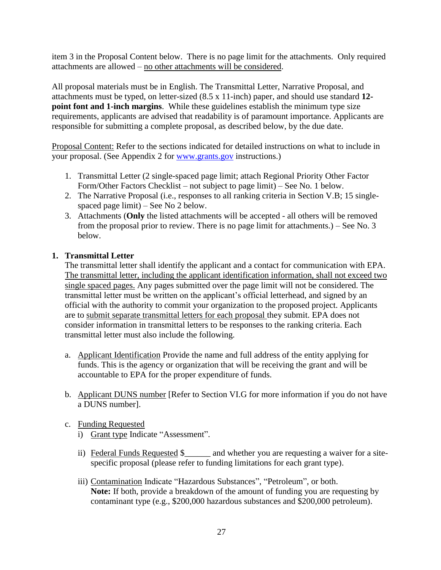item 3 in the Proposal Content below. There is no page limit for the attachments. Only required attachments are allowed – no other attachments will be considered.

All proposal materials must be in English. The Transmittal Letter, Narrative Proposal, and attachments must be typed, on letter-sized (8.5 x 11-inch) paper, and should use standard **12 point font and 1-inch margins**. While these guidelines establish the minimum type size requirements, applicants are advised that readability is of paramount importance. Applicants are responsible for submitting a complete proposal, as described below, by the due date.

Proposal Content: Refer to the sections indicated for detailed instructions on what to include in your proposal. (See Appendix 2 for [www.grants.gov](http://www.grants.gov/) instructions.)

- 1. Transmittal Letter (2 single-spaced page limit; attach Regional Priority Other Factor Form/Other Factors Checklist – not subject to page limit) – See No. 1 below.
- 2. The Narrative Proposal (i.e., responses to all ranking criteria in Section V.B; 15 singlespaced page limit) – See No 2 below.
- 3. Attachments (**Only** the listed attachments will be accepted all others will be removed from the proposal prior to review. There is no page limit for attachments.) – See No. 3 below.

#### **1. Transmittal Letter**

The transmittal letter shall identify the applicant and a contact for communication with EPA. The transmittal letter, including the applicant identification information, shall not exceed two single spaced pages. Any pages submitted over the page limit will not be considered. The transmittal letter must be written on the applicant's official letterhead, and signed by an official with the authority to commit your organization to the proposed project. Applicants are to submit separate transmittal letters for each proposal they submit. EPA does not consider information in transmittal letters to be responses to the ranking criteria. Each transmittal letter must also include the following.

- a. Applicant Identification Provide the name and full address of the entity applying for funds. This is the agency or organization that will be receiving the grant and will be accountable to EPA for the proper expenditure of funds.
- b. Applicant DUNS number [Refer to Section VI.G for more information if you do not have a DUNS number].

### c. Funding Requested

- i) Grant type Indicate "Assessment".
- ii) Federal Funds Requested \$\_\_\_\_\_\_ and whether you are requesting a waiver for a sitespecific proposal (please refer to funding limitations for each grant type).
- iii) Contamination Indicate "Hazardous Substances", "Petroleum", or both. **Note:** If both, provide a breakdown of the amount of funding you are requesting by contaminant type (e.g., \$200,000 hazardous substances and \$200,000 petroleum).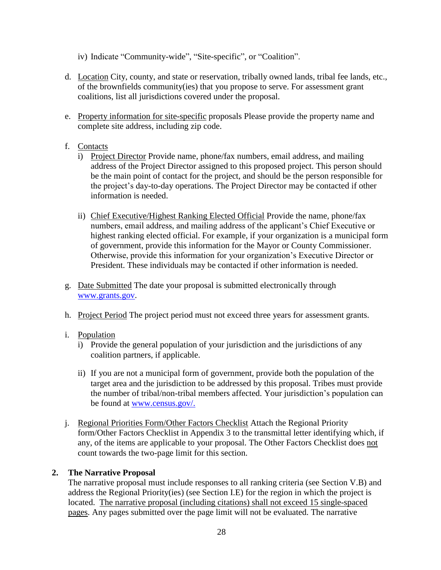iv) Indicate "Community-wide", "Site-specific", or "Coalition".

- d. Location City, county, and state or reservation, tribally owned lands, tribal fee lands, etc., of the brownfields community(ies) that you propose to serve. For assessment grant coalitions, list all jurisdictions covered under the proposal.
- e. Property information for site-specific proposals Please provide the property name and complete site address, including zip code.

### f. Contacts

- i) Project Director Provide name, phone/fax numbers, email address, and mailing address of the Project Director assigned to this proposed project. This person should be the main point of contact for the project, and should be the person responsible for the project's day-to-day operations. The Project Director may be contacted if other information is needed.
- ii) Chief Executive/Highest Ranking Elected Official Provide the name, phone/fax numbers, email address, and mailing address of the applicant's Chief Executive or highest ranking elected official. For example, if your organization is a municipal form of government, provide this information for the Mayor or County Commissioner. Otherwise, provide this information for your organization's Executive Director or President. These individuals may be contacted if other information is needed.
- g. Date Submitted The date your proposal is submitted electronically through [www.grants.gov.](http://www.grants.gov/)
- h. Project Period The project period must not exceed three years for assessment grants.

#### i. Population

- i) Provide the general population of your jurisdiction and the jurisdictions of any coalition partners, if applicable.
- ii) If you are not a municipal form of government, provide both the population of the target area and the jurisdiction to be addressed by this proposal. Tribes must provide the number of tribal/non-tribal members affected. Your jurisdiction's population can be found at [www.census.gov/.](http://www.census.gov/)
- j. Regional Priorities Form/Other Factors Checklist Attach the Regional Priority form/Other Factors Checklist in Appendix 3 to the transmittal letter identifying which, if any, of the items are applicable to your proposal. The Other Factors Checklist does not count towards the two-page limit for this section.

#### **2. The Narrative Proposal**

The narrative proposal must include responses to all ranking criteria (see Section V.B) and address the Regional Priority(ies) (see Section I.E) for the region in which the project is located. The narrative proposal (including citations) shall not exceed 15 single-spaced pages. Any pages submitted over the page limit will not be evaluated. The narrative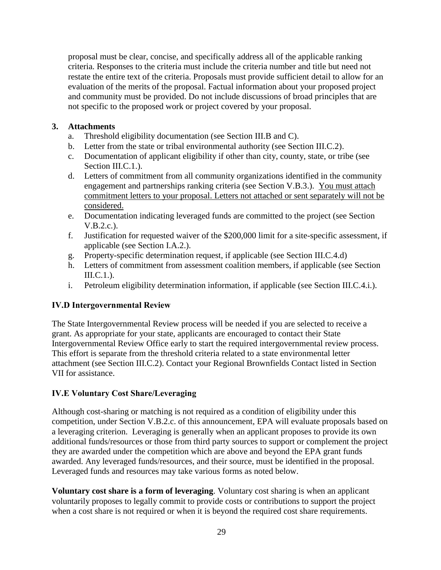proposal must be clear, concise, and specifically address all of the applicable ranking criteria. Responses to the criteria must include the criteria number and title but need not restate the entire text of the criteria. Proposals must provide sufficient detail to allow for an evaluation of the merits of the proposal. Factual information about your proposed project and community must be provided. Do not include discussions of broad principles that are not specific to the proposed work or project covered by your proposal.

## **3. Attachments**

- a. Threshold eligibility documentation (see Section III.B and C).
- b. Letter from the state or tribal environmental authority (see Section III.C.2).
- c. Documentation of applicant eligibility if other than city, county, state, or tribe (see Section III.C.1.).
- d. Letters of commitment from all community organizations identified in the community engagement and partnerships ranking criteria (see Section V.B.3.). You must attach commitment letters to your proposal. Letters not attached or sent separately will not be considered.
- e. Documentation indicating leveraged funds are committed to the project (see Section V.B.2.c.).
- f. Justification for requested waiver of the \$200,000 limit for a site-specific assessment, if applicable (see Section I.A.2.).
- g. Property-specific determination request, if applicable (see Section III.C.4.d)
- h. Letters of commitment from assessment coalition members, if applicable (see Section  $\text{III.C.1.}.$
- i. Petroleum eligibility determination information, if applicable (see Section III.C.4.i.).

# <span id="page-28-0"></span>**IV.D Intergovernmental Review**

The State Intergovernmental Review process will be needed if you are selected to receive a grant. As appropriate for your state, applicants are encouraged to contact their State Intergovernmental Review Office early to start the required intergovernmental review process. This effort is separate from the threshold criteria related to a state environmental letter attachment (see Section III.C.2). Contact your Regional Brownfields Contact listed in Section VII for assistance.

# <span id="page-28-1"></span>**IV.E Voluntary Cost Share/Leveraging**

Although cost-sharing or matching is not required as a condition of eligibility under this competition, under Section V.B.2.c. of this announcement, EPA will evaluate proposals based on a leveraging criterion. Leveraging is generally when an applicant proposes to provide its own additional funds/resources or those from third party sources to support or complement the project they are awarded under the competition which are above and beyond the EPA grant funds awarded. Any leveraged funds/resources, and their source, must be identified in the proposal. Leveraged funds and resources may take various forms as noted below.

**Voluntary cost share is a form of leveraging**. Voluntary cost sharing is when an applicant voluntarily proposes to legally commit to provide costs or contributions to support the project when a cost share is not required or when it is beyond the required cost share requirements.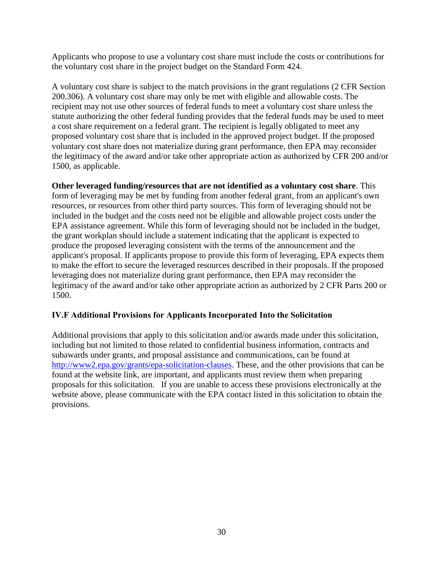Applicants who propose to use a voluntary cost share must include the costs or contributions for the voluntary cost share in the project budget on the Standard Form 424.

A voluntary cost share is subject to the match provisions in the grant regulations (2 CFR Section 200.306). A voluntary cost share may only be met with eligible and allowable costs. The recipient may not use other sources of federal funds to meet a voluntary cost share unless the statute authorizing the other federal funding provides that the federal funds may be used to meet a cost share requirement on a federal grant. The recipient is legally obligated to meet any proposed voluntary cost share that is included in the approved project budget. If the proposed voluntary cost share does not materialize during grant performance, then EPA may reconsider the legitimacy of the award and/or take other appropriate action as authorized by CFR 200 and/or 1500, as applicable.

**Other leveraged funding/resources that are not identified as a voluntary cost share**. This form of leveraging may be met by funding from another federal grant, from an applicant's own resources, or resources from other third party sources. This form of leveraging should not be included in the budget and the costs need not be eligible and allowable project costs under the EPA assistance agreement. While this form of leveraging should not be included in the budget, the grant workplan should include a statement indicating that the applicant is expected to produce the proposed leveraging consistent with the terms of the announcement and the applicant's proposal. If applicants propose to provide this form of leveraging, EPA expects them to make the effort to secure the leveraged resources described in their proposals. If the proposed leveraging does not materialize during grant performance, then EPA may reconsider the legitimacy of the award and/or take other appropriate action as authorized by 2 CFR Parts 200 or 1500.

### <span id="page-29-0"></span>**IV.F Additional Provisions for Applicants Incorporated Into the Solicitation**

<span id="page-29-1"></span>Additional provisions that apply to this solicitation and/or awards made under this solicitation, including but not limited to those related to confidential business information, contracts and subawards under grants, and proposal assistance and communications, can be found at [http://www2.epa.gov/grants/epa-solicitation-clauses.](http://www2.epa.gov/grants/epa-solicitation-clauses) These, and the other provisions that can be found at the website link, are important, and applicants must review them when preparing proposals for this solicitation. If you are unable to access these provisions electronically at the website above, please communicate with the EPA contact listed in this solicitation to obtain the provisions.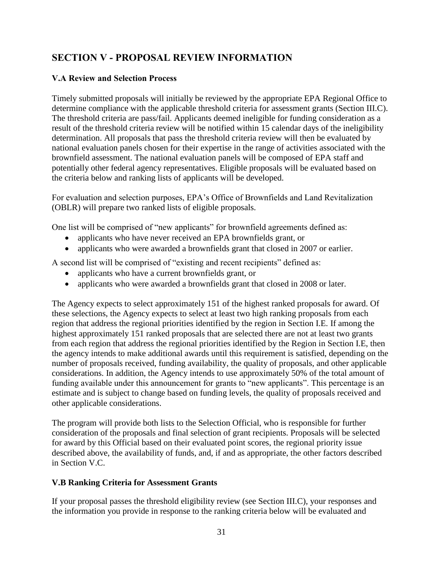# **SECTION V - PROPOSAL REVIEW INFORMATION**

# <span id="page-30-0"></span>**V.A Review and Selection Process**

Timely submitted proposals will initially be reviewed by the appropriate EPA Regional Office to determine compliance with the applicable threshold criteria for assessment grants (Section III.C). The threshold criteria are pass/fail. Applicants deemed ineligible for funding consideration as a result of the threshold criteria review will be notified within 15 calendar days of the ineligibility determination. All proposals that pass the threshold criteria review will then be evaluated by national evaluation panels chosen for their expertise in the range of activities associated with the brownfield assessment. The national evaluation panels will be composed of EPA staff and potentially other federal agency representatives. Eligible proposals will be evaluated based on the criteria below and ranking lists of applicants will be developed.

For evaluation and selection purposes, EPA's Office of Brownfields and Land Revitalization (OBLR) will prepare two ranked lists of eligible proposals.

One list will be comprised of "new applicants" for brownfield agreements defined as:

- applicants who have never received an EPA brownfields grant, or
- applicants who were awarded a brownfields grant that closed in 2007 or earlier.

A second list will be comprised of "existing and recent recipients" defined as:

- applicants who have a current brownfields grant, or
- applicants who were awarded a brownfields grant that closed in 2008 or later.

The Agency expects to select approximately 151 of the highest ranked proposals for award. Of these selections, the Agency expects to select at least two high ranking proposals from each region that address the regional priorities identified by the region in Section I.E. If among the highest approximately 151 ranked proposals that are selected there are not at least two grants from each region that address the regional priorities identified by the Region in Section I.E, then the agency intends to make additional awards until this requirement is satisfied, depending on the number of proposals received, funding availability, the quality of proposals, and other applicable considerations. In addition, the Agency intends to use approximately 50% of the total amount of funding available under this announcement for grants to "new applicants". This percentage is an estimate and is subject to change based on funding levels, the quality of proposals received and other applicable considerations.

The program will provide both lists to the Selection Official, who is responsible for further consideration of the proposals and final selection of grant recipients. Proposals will be selected for award by this Official based on their evaluated point scores, the regional priority issue described above, the availability of funds, and, if and as appropriate, the other factors described in Section V.C.

### <span id="page-30-1"></span>**V.B Ranking Criteria for Assessment Grants**

If your proposal passes the threshold eligibility review (see Section III.C), your responses and the information you provide in response to the ranking criteria below will be evaluated and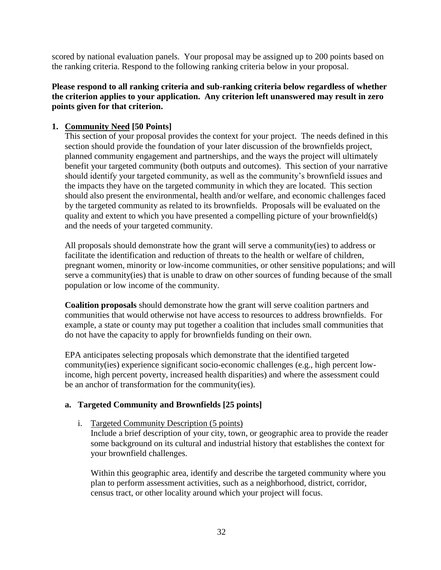scored by national evaluation panels. Your proposal may be assigned up to 200 points based on the ranking criteria. Respond to the following ranking criteria below in your proposal.

### **Please respond to all ranking criteria and sub-ranking criteria below regardless of whether the criterion applies to your application. Any criterion left unanswered may result in zero points given for that criterion.**

### <span id="page-31-0"></span>**1. Community Need [50 Points]**

This section of your proposal provides the context for your project. The needs defined in this section should provide the foundation of your later discussion of the brownfields project, planned community engagement and partnerships, and the ways the project will ultimately benefit your targeted community (both outputs and outcomes). This section of your narrative should identify your targeted community, as well as the community's brownfield issues and the impacts they have on the targeted community in which they are located. This section should also present the environmental, health and/or welfare, and economic challenges faced by the targeted community as related to its brownfields. Proposals will be evaluated on the quality and extent to which you have presented a compelling picture of your brownfield(s) and the needs of your targeted community.

All proposals should demonstrate how the grant will serve a community(ies) to address or facilitate the identification and reduction of threats to the health or welfare of children, pregnant women, minority or low-income communities, or other sensitive populations; and will serve a community(ies) that is unable to draw on other sources of funding because of the small population or low income of the community.

**Coalition proposals** should demonstrate how the grant will serve coalition partners and communities that would otherwise not have access to resources to address brownfields. For example, a state or county may put together a coalition that includes small communities that do not have the capacity to apply for brownfields funding on their own.

EPA anticipates selecting proposals which demonstrate that the identified targeted community(ies) experience significant socio-economic challenges (e.g., high percent lowincome, high percent poverty, increased health disparities) and where the assessment could be an anchor of transformation for the community(ies).

### **a. Targeted Community and Brownfields [25 points]**

### i. Targeted Community Description (5 points)

Include a brief description of your city, town, or geographic area to provide the reader some background on its cultural and industrial history that establishes the context for your brownfield challenges.

Within this geographic area, identify and describe the targeted community where you plan to perform assessment activities, such as a neighborhood, district, corridor, census tract, or other locality around which your project will focus.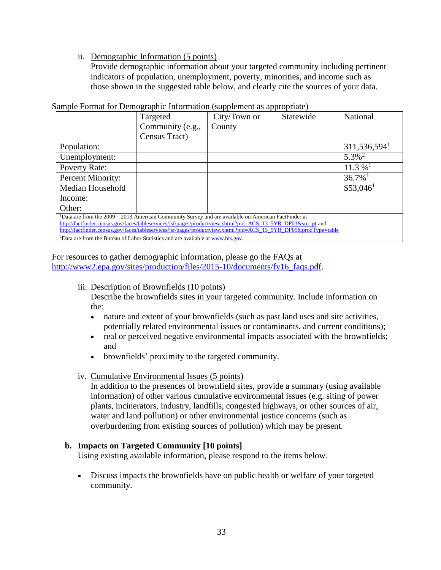#### ii. Demographic Information (5 points)

Provide demographic information about your targeted community including pertinent indicators of population, unemployment, poverty, minorities, and income such as those shown in the suggested table below, and clearly cite the sources of your data.

|                                                                                                                                                                                                                                | Targeted         | City/Town or | Statewide | National                   |  |
|--------------------------------------------------------------------------------------------------------------------------------------------------------------------------------------------------------------------------------|------------------|--------------|-----------|----------------------------|--|
|                                                                                                                                                                                                                                | Community (e.g., | County       |           |                            |  |
|                                                                                                                                                                                                                                | Census Tract)    |              |           |                            |  |
| Population:                                                                                                                                                                                                                    |                  |              |           | $311,536,594$ <sup>1</sup> |  |
| Unemployment:                                                                                                                                                                                                                  |                  |              |           | $5.3\%$ <sup>2</sup>       |  |
| <b>Poverty Rate:</b>                                                                                                                                                                                                           |                  |              |           | $11.3\%$ <sup>1</sup>      |  |
| Percent Minority:                                                                                                                                                                                                              |                  |              |           | $36.7\%$ <sup>1</sup>      |  |
| Median Household                                                                                                                                                                                                               |                  |              |           | $$53,046$ <sup>1</sup>     |  |
| Income:                                                                                                                                                                                                                        |                  |              |           |                            |  |
| Other:                                                                                                                                                                                                                         |                  |              |           |                            |  |
| $1$ Data are from the $2009 - 2013$ American Community Survey and are available on American FactFinder at                                                                                                                      |                  |              |           |                            |  |
| http://factfinder.census.gov/faces/tableservices/jsf/pages/productview.xhtml?pid=ACS_13_5YR_DP03&src=pt and<br>http://factfinder.census.gov/faces/tableservices/jsf/pages/productview.xhtml?pid=ACS_13_5YR_DP05&prodType=table |                  |              |           |                            |  |
| <sup>2</sup> Data are from the Bureau of Labor Statistics and are available at www.bls.gov.                                                                                                                                    |                  |              |           |                            |  |

#### Sample Format for Demographic Information (supplement as appropriate)

For resources to gather demographic information, please go the FAQs at [http://www2.epa.gov/sites/production/files/2015-10/documents/fy16\\_faqs.pdf.](http://www2.epa.gov/sites/production/files/2015-10/documents/fy16_faqs.pdf)

#### iii. Description of Brownfields (10 points)

Describe the brownfields sites in your targeted community. Include information on the:

- nature and extent of your brownfields (such as past land uses and site activities, potentially related environmental issues or contaminants, and current conditions);
- real or perceived negative environmental impacts associated with the brownfields; and
- brownfields' proximity to the targeted community.

#### iv. Cumulative Environmental Issues (5 points)

In addition to the presences of brownfield sites, provide a summary (using available information) of other various cumulative environmental issues (e.g. siting of power plants, incinerators, industry, landfills, congested highways, or other sources of air, water and land pollution) or other environmental justice concerns (such as overburdening from existing sources of pollution) which may be present.

#### **b. Impacts on Targeted Community [10 points]**

Using existing available information, please respond to the items below.

 Discuss impacts the brownfields have on public health or welfare of your targeted community.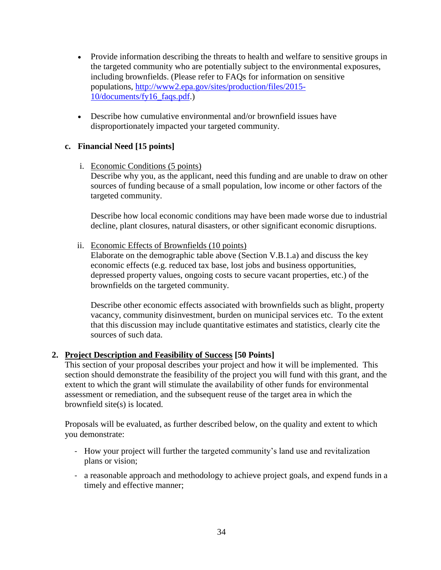- Provide information describing the threats to health and welfare to sensitive groups in the targeted community who are potentially subject to the environmental exposures, including brownfields. (Please refer to FAQs for information on sensitive populations, [http://www2.epa.gov/sites/production/files/2015-](http://www2.epa.gov/sites/production/files/2015-10/documents/fy16_faqs.pdf) [10/documents/fy16\\_faqs.pdf.](http://www2.epa.gov/sites/production/files/2015-10/documents/fy16_faqs.pdf))
- Describe how cumulative environmental and/or brownfield issues have disproportionately impacted your targeted community.

## **c. Financial Need [15 points]**

i. Economic Conditions (5 points) Describe why you, as the applicant, need this funding and are unable to draw on other sources of funding because of a small population, low income or other factors of the targeted community.

Describe how local economic conditions may have been made worse due to industrial decline, plant closures, natural disasters, or other significant economic disruptions.

ii. Economic Effects of Brownfields (10 points)

Elaborate on the demographic table above (Section V.B.1.a) and discuss the key economic effects (e.g. reduced tax base, lost jobs and business opportunities, depressed property values, ongoing costs to secure vacant properties, etc.) of the brownfields on the targeted community.

Describe other economic effects associated with brownfields such as blight, property vacancy, community disinvestment, burden on municipal services etc. To the extent that this discussion may include quantitative estimates and statistics, clearly cite the sources of such data.

### <span id="page-33-0"></span>**2. Project Description and Feasibility of Success [50 Points]**

This section of your proposal describes your project and how it will be implemented. This section should demonstrate the feasibility of the project you will fund with this grant, and the extent to which the grant will stimulate the availability of other funds for environmental assessment or remediation, and the subsequent reuse of the target area in which the brownfield site(s) is located.

Proposals will be evaluated, as further described below, on the quality and extent to which you demonstrate:

- How your project will further the targeted community's land use and revitalization plans or vision;
- a reasonable approach and methodology to achieve project goals, and expend funds in a timely and effective manner;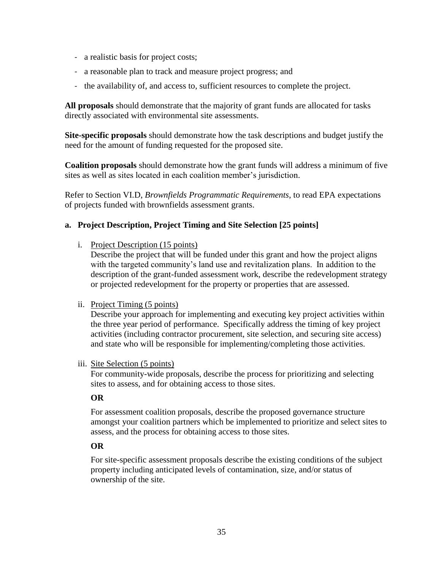- a realistic basis for project costs;
- a reasonable plan to track and measure project progress; and
- the availability of, and access to, sufficient resources to complete the project.

**All proposals** should demonstrate that the majority of grant funds are allocated for tasks directly associated with environmental site assessments.

**Site-specific proposals** should demonstrate how the task descriptions and budget justify the need for the amount of funding requested for the proposed site.

**Coalition proposals** should demonstrate how the grant funds will address a minimum of five sites as well as sites located in each coalition member's jurisdiction.

Refer to Section VI.D, *Brownfields Programmatic Requirements*, to read EPA expectations of projects funded with brownfields assessment grants.

### **a. Project Description, Project Timing and Site Selection [25 points]**

i. Project Description (15 points)

Describe the project that will be funded under this grant and how the project aligns with the targeted community's land use and revitalization plans. In addition to the description of the grant-funded assessment work, describe the redevelopment strategy or projected redevelopment for the property or properties that are assessed.

#### ii. Project Timing (5 points)

Describe your approach for implementing and executing key project activities within the three year period of performance. Specifically address the timing of key project activities (including contractor procurement, site selection, and securing site access) and state who will be responsible for implementing/completing those activities.

#### iii. Site Selection (5 points)

For community-wide proposals, describe the process for prioritizing and selecting sites to assess, and for obtaining access to those sites.

#### **OR**

For assessment coalition proposals, describe the proposed governance structure amongst your coalition partners which be implemented to prioritize and select sites to assess, and the process for obtaining access to those sites.

### **OR**

For site-specific assessment proposals describe the existing conditions of the subject property including anticipated levels of contamination, size, and/or status of ownership of the site.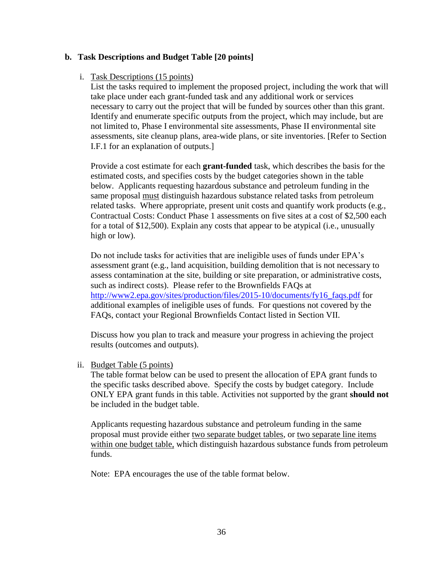#### **b. Task Descriptions and Budget Table [20 points]**

#### i. Task Descriptions (15 points)

List the tasks required to implement the proposed project, including the work that will take place under each grant-funded task and any additional work or services necessary to carry out the project that will be funded by sources other than this grant. Identify and enumerate specific outputs from the project, which may include, but are not limited to, Phase I environmental site assessments, Phase II environmental site assessments, site cleanup plans, area-wide plans, or site inventories. [Refer to Section I.F.1 for an explanation of outputs.]

Provide a cost estimate for each **grant-funded** task, which describes the basis for the estimated costs, and specifies costs by the budget categories shown in the table below. Applicants requesting hazardous substance and petroleum funding in the same proposal must distinguish hazardous substance related tasks from petroleum related tasks. Where appropriate, present unit costs and quantify work products (e.g., Contractual Costs: Conduct Phase 1 assessments on five sites at a cost of \$2,500 each for a total of \$12,500). Explain any costs that appear to be atypical (i.e., unusually high or low).

Do not include tasks for activities that are ineligible uses of funds under EPA's assessment grant (e.g., land acquisition, building demolition that is not necessary to assess contamination at the site, building or site preparation, or administrative costs, such as indirect costs). Please refer to the Brownfields FAQs at [http://www2.epa.gov/sites/production/files/2015-10/documents/fy16\\_faqs.pdf](http://www2.epa.gov/sites/production/files/2015-10/documents/fy16_faqs.pdf) for additional examples of ineligible uses of funds. For questions not covered by the FAQs, contact your Regional Brownfields Contact listed in Section VII.

Discuss how you plan to track and measure your progress in achieving the project results (outcomes and outputs).

ii. Budget Table (5 points)

The table format below can be used to present the allocation of EPA grant funds to the specific tasks described above. Specify the costs by budget category. Include ONLY EPA grant funds in this table. Activities not supported by the grant **should not** be included in the budget table.

Applicants requesting hazardous substance and petroleum funding in the same proposal must provide either two separate budget tables, or two separate line items within one budget table, which distinguish hazardous substance funds from petroleum funds.

Note: EPA encourages the use of the table format below.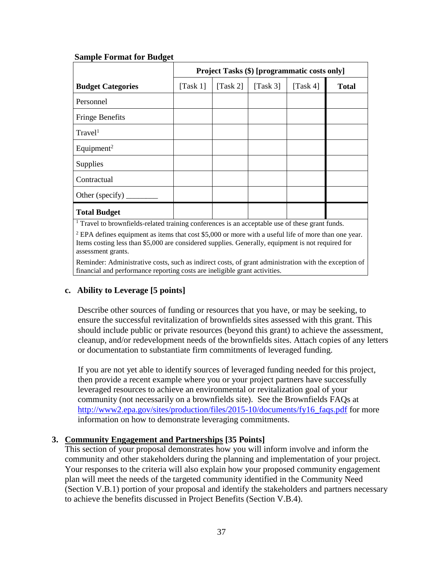|                                                                                                          | Project Tasks (\$) [programmatic costs only] |                          |                          |          |              |
|----------------------------------------------------------------------------------------------------------|----------------------------------------------|--------------------------|--------------------------|----------|--------------|
| <b>Budget Categories</b>                                                                                 | $\lceil \text{Task } 1 \rceil$               | $\text{Task } 2\text{]}$ | $\text{Task } 3\text{]}$ | [Task 4] | <b>Total</b> |
| Personnel                                                                                                |                                              |                          |                          |          |              |
| <b>Fringe Benefits</b>                                                                                   |                                              |                          |                          |          |              |
| Travel <sup>1</sup>                                                                                      |                                              |                          |                          |          |              |
| Equipment <sup>2</sup>                                                                                   |                                              |                          |                          |          |              |
| Supplies                                                                                                 |                                              |                          |                          |          |              |
| Contractual                                                                                              |                                              |                          |                          |          |              |
| Other (specify)                                                                                          |                                              |                          |                          |          |              |
| <b>Total Budget</b>                                                                                      |                                              |                          |                          |          |              |
| $\frac{1}{1}$ Travel to brounfields related training conformed is an ecceptable use of these graps funds |                                              |                          |                          |          |              |

#### **Sample Format for Budget**

<sup>1</sup> Travel to brownfields-related training conferences is an acceptable use of these grant funds.

<sup>2</sup> EPA defines equipment as items that cost \$5,000 or more with a useful life of more than one year. Items costing less than \$5,000 are considered supplies. Generally, equipment is not required for assessment grants.

Reminder: Administrative costs, such as indirect costs, of grant administration with the exception of financial and performance reporting costs are ineligible grant activities.

### **c. Ability to Leverage [5 points]**

Describe other sources of funding or resources that you have, or may be seeking, to ensure the successful revitalization of brownfields sites assessed with this grant. This should include public or private resources (beyond this grant) to achieve the assessment, cleanup, and/or redevelopment needs of the brownfields sites. Attach copies of any letters or documentation to substantiate firm commitments of leveraged funding.

If you are not yet able to identify sources of leveraged funding needed for this project, then provide a recent example where you or your project partners have successfully leveraged resources to achieve an environmental or revitalization goal of your community (not necessarily on a brownfields site). See the Brownfields FAQs at [http://www2.epa.gov/sites/production/files/2015-10/documents/fy16\\_faqs.pdf](http://www2.epa.gov/sites/production/files/2015-10/documents/fy16_faqs.pdf) for more information on how to demonstrate leveraging commitments.

#### <span id="page-36-0"></span>**3. Community Engagement and Partnerships [35 Points]**

This section of your proposal demonstrates how you will inform involve and inform the community and other stakeholders during the planning and implementation of your project. Your responses to the criteria will also explain how your proposed community engagement plan will meet the needs of the targeted community identified in the Community Need (Section V.B.1) portion of your proposal and identify the stakeholders and partners necessary to achieve the benefits discussed in Project Benefits (Section V.B.4).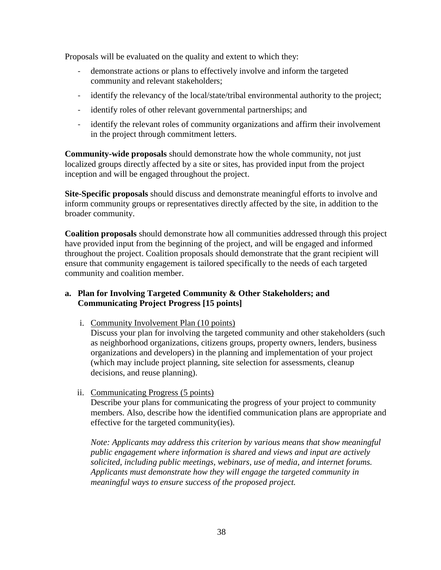Proposals will be evaluated on the quality and extent to which they:

- demonstrate actions or plans to effectively involve and inform the targeted community and relevant stakeholders;
- identify the relevancy of the local/state/tribal environmental authority to the project;
- identify roles of other relevant governmental partnerships; and
- identify the relevant roles of community organizations and affirm their involvement in the project through commitment letters.

**Community-wide proposals** should demonstrate how the whole community, not just localized groups directly affected by a site or sites, has provided input from the project inception and will be engaged throughout the project.

**Site-Specific proposals** should discuss and demonstrate meaningful efforts to involve and inform community groups or representatives directly affected by the site, in addition to the broader community.

**Coalition proposals** should demonstrate how all communities addressed through this project have provided input from the beginning of the project, and will be engaged and informed throughout the project. Coalition proposals should demonstrate that the grant recipient will ensure that community engagement is tailored specifically to the needs of each targeted community and coalition member.

### **a. Plan for Involving Targeted Community & Other Stakeholders; and Communicating Project Progress [15 points]**

i. Community Involvement Plan (10 points)

Discuss your plan for involving the targeted community and other stakeholders (such as neighborhood organizations, citizens groups, property owners, lenders, business organizations and developers) in the planning and implementation of your project (which may include project planning, site selection for assessments, cleanup decisions, and reuse planning).

ii. Communicating Progress (5 points)

Describe your plans for communicating the progress of your project to community members. Also, describe how the identified communication plans are appropriate and effective for the targeted community(ies).

*Note: Applicants may address this criterion by various means that show meaningful public engagement where information is shared and views and input are actively solicited, including public meetings, webinars, use of media, and internet forums. Applicants must demonstrate how they will engage the targeted community in meaningful ways to ensure success of the proposed project.*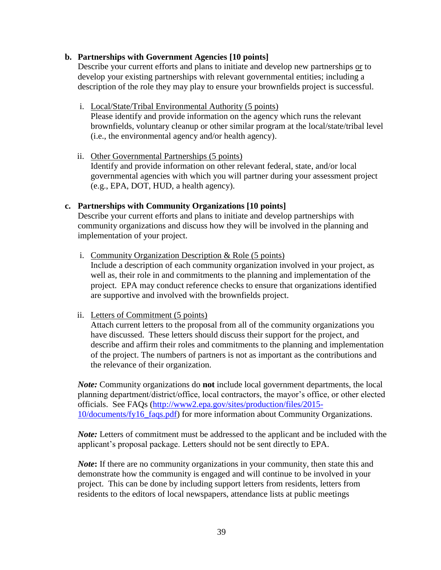#### **b. Partnerships with Government Agencies [10 points]**

Describe your current efforts and plans to initiate and develop new partnerships or to develop your existing partnerships with relevant governmental entities; including a description of the role they may play to ensure your brownfields project is successful.

- i. Local/State/Tribal Environmental Authority (5 points) Please identify and provide information on the agency which runs the relevant brownfields, voluntary cleanup or other similar program at the local/state/tribal level (i.e., the environmental agency and/or health agency).
- ii. Other Governmental Partnerships (5 points) Identify and provide information on other relevant federal, state, and/or local governmental agencies with which you will partner during your assessment project (e.g., EPA, DOT, HUD, a health agency).

#### **c. Partnerships with Community Organizations [10 points]**

Describe your current efforts and plans to initiate and develop partnerships with community organizations and discuss how they will be involved in the planning and implementation of your project.

i. Community Organization Description & Role (5 points)

Include a description of each community organization involved in your project, as well as, their role in and commitments to the planning and implementation of the project. EPA may conduct reference checks to ensure that organizations identified are supportive and involved with the brownfields project.

#### ii. Letters of Commitment (5 points)

Attach current letters to the proposal from all of the community organizations you have discussed. These letters should discuss their support for the project, and describe and affirm their roles and commitments to the planning and implementation of the project. The numbers of partners is not as important as the contributions and the relevance of their organization.

*Note:* Community organizations do **not** include local government departments, the local planning department/district/office, local contractors, the mayor's office, or other elected officials. See FAQs [\(http://www2.epa.gov/sites/production/files/2015-](http://www2.epa.gov/sites/production/files/2015-10/documents/fy16_faqs.pdf) [10/documents/fy16\\_faqs.pdf\)](http://www2.epa.gov/sites/production/files/2015-10/documents/fy16_faqs.pdf) for more information about Community Organizations.

*Note:* Letters of commitment must be addressed to the applicant and be included with the applicant's proposal package. Letters should not be sent directly to EPA.

*Note*: If there are no community organizations in your community, then state this and demonstrate how the community is engaged and will continue to be involved in your project. This can be done by including support letters from residents, letters from residents to the editors of local newspapers, attendance lists at public meetings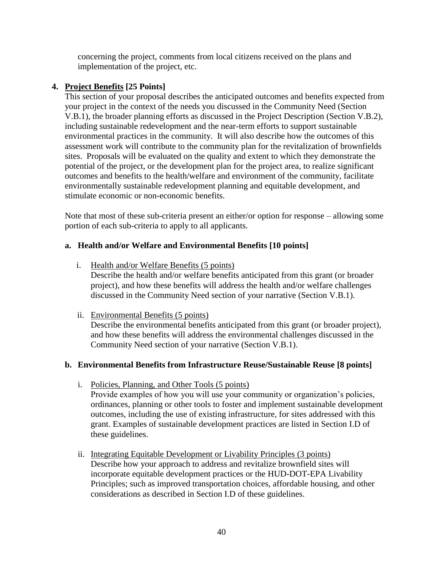concerning the project, comments from local citizens received on the plans and implementation of the project, etc.

### <span id="page-39-0"></span>**4. Project Benefits [25 Points]**

This section of your proposal describes the anticipated outcomes and benefits expected from your project in the context of the needs you discussed in the Community Need (Section V.B.1), the broader planning efforts as discussed in the Project Description (Section V.B.2), including sustainable redevelopment and the near-term efforts to support sustainable environmental practices in the community. It will also describe how the outcomes of this assessment work will contribute to the community plan for the revitalization of brownfields sites. Proposals will be evaluated on the quality and extent to which they demonstrate the potential of the project, or the development plan for the project area, to realize significant outcomes and benefits to the health/welfare and environment of the community, facilitate environmentally sustainable redevelopment planning and equitable development, and stimulate economic or non-economic benefits.

Note that most of these sub-criteria present an either/or option for response – allowing some portion of each sub-criteria to apply to all applicants.

### **a. Health and/or Welfare and Environmental Benefits [10 points]**

i. Health and/or Welfare Benefits (5 points)

Describe the health and/or welfare benefits anticipated from this grant (or broader project), and how these benefits will address the health and/or welfare challenges discussed in the Community Need section of your narrative (Section V.B.1).

ii. Environmental Benefits (5 points)

Describe the environmental benefits anticipated from this grant (or broader project), and how these benefits will address the environmental challenges discussed in the Community Need section of your narrative (Section V.B.1).

### **b. Environmental Benefits from Infrastructure Reuse/Sustainable Reuse [8 points]**

i. Policies, Planning, and Other Tools (5 points)

Provide examples of how you will use your community or organization's policies, ordinances, planning or other tools to foster and implement sustainable development outcomes, including the use of existing infrastructure, for sites addressed with this grant. Examples of sustainable development practices are listed in Section I.D of these guidelines.

ii. Integrating Equitable Development or Livability Principles (3 points) Describe how your approach to address and revitalize brownfield sites will incorporate equitable development practices or the HUD-DOT-EPA Livability Principles; such as improved transportation choices, affordable housing, and other considerations as described in Section I.D of these guidelines.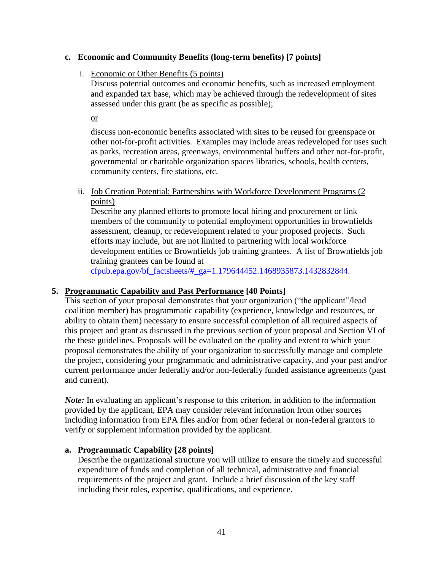#### **c. Economic and Community Benefits (long-term benefits) [7 points]**

#### i. Economic or Other Benefits (5 points)

Discuss potential outcomes and economic benefits, such as increased employment and expanded tax base, which may be achieved through the redevelopment of sites assessed under this grant (be as specific as possible);

or

discuss non-economic benefits associated with sites to be reused for greenspace or other not-for-profit activities. Examples may include areas redeveloped for uses such as parks, recreation areas, greenways, environmental buffers and other not-for-profit, governmental or charitable organization spaces libraries, schools, health centers, community centers, fire stations, etc.

#### ii. Job Creation Potential: Partnerships with Workforce Development Programs (2 points)

Describe any planned efforts to promote local hiring and procurement or link members of the community to potential employment opportunities in brownfields assessment, cleanup, or redevelopment related to your proposed projects. Such efforts may include, but are not limited to partnering with local workforce development entities or Brownfields job training grantees. A list of Brownfields job training grantees can be found at

[cfpub.epa.gov/bf\\_factsheets/#\\_ga=1.179644452.1468935873.1432832844.](http://cfpub.epa.gov/bf_factsheets/#_ga=1.179644452.1468935873.1432832844)

### <span id="page-40-0"></span>**5. Programmatic Capability and Past Performance [40 Points]**

This section of your proposal demonstrates that your organization ("the applicant"/lead coalition member) has programmatic capability (experience, knowledge and resources, or ability to obtain them) necessary to ensure successful completion of all required aspects of this project and grant as discussed in the previous section of your proposal and Section VI of the these guidelines. Proposals will be evaluated on the quality and extent to which your proposal demonstrates the ability of your organization to successfully manage and complete the project, considering your programmatic and administrative capacity, and your past and/or current performance under federally and/or non-federally funded assistance agreements (past and current).

*Note:* In evaluating an applicant's response to this criterion, in addition to the information provided by the applicant, EPA may consider relevant information from other sources including information from EPA files and/or from other federal or non-federal grantors to verify or supplement information provided by the applicant.

### **a. Programmatic Capability [28 points]**

Describe the organizational structure you will utilize to ensure the timely and successful expenditure of funds and completion of all technical, administrative and financial requirements of the project and grant. Include a brief discussion of the key staff including their roles, expertise, qualifications, and experience.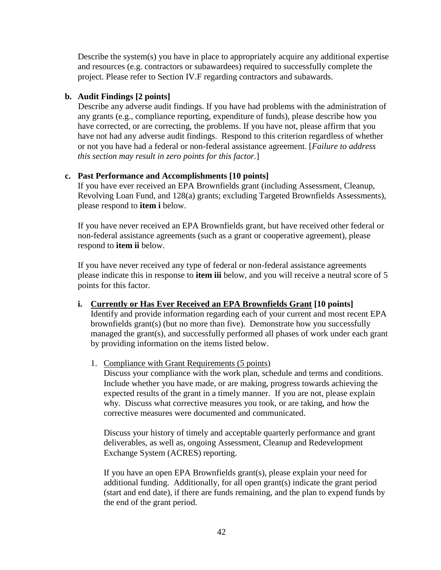Describe the system(s) you have in place to appropriately acquire any additional expertise and resources (e.g. contractors or subawardees) required to successfully complete the project. Please refer to Section IV.F regarding contractors and subawards.

#### **b. Audit Findings [2 points]**

Describe any adverse audit findings. If you have had problems with the administration of any grants (e.g., compliance reporting, expenditure of funds), please describe how you have corrected, or are correcting, the problems. If you have not, please affirm that you have not had any adverse audit findings. Respond to this criterion regardless of whether or not you have had a federal or non-federal assistance agreement. [*Failure to address this section may result in zero points for this factor.*]

### **c. Past Performance and Accomplishments [10 points]**

If you have ever received an EPA Brownfields grant (including Assessment, Cleanup, Revolving Loan Fund, and 128(a) grants; excluding Targeted Brownfields Assessments), please respond to **item i** below.

If you have never received an EPA Brownfields grant, but have received other federal or non-federal assistance agreements (such as a grant or cooperative agreement), please respond to **item ii** below.

If you have never received any type of federal or non-federal assistance agreements please indicate this in response to **item iii** below, and you will receive a neutral score of 5 points for this factor.

**i. Currently or Has Ever Received an EPA Brownfields Grant [10 points]** Identify and provide information regarding each of your current and most recent EPA brownfields grant(s) (but no more than five). Demonstrate how you successfully

managed the grant(s), and successfully performed all phases of work under each grant by providing information on the items listed below.

1. Compliance with Grant Requirements (5 points)

Discuss your compliance with the work plan, schedule and terms and conditions. Include whether you have made, or are making, progress towards achieving the expected results of the grant in a timely manner. If you are not, please explain why. Discuss what corrective measures you took, or are taking, and how the corrective measures were documented and communicated.

Discuss your history of timely and acceptable quarterly performance and grant deliverables, as well as, ongoing Assessment, Cleanup and Redevelopment Exchange System (ACRES) reporting.

If you have an open EPA Brownfields grant(s), please explain your need for additional funding. Additionally, for all open grant(s) indicate the grant period (start and end date), if there are funds remaining, and the plan to expend funds by the end of the grant period.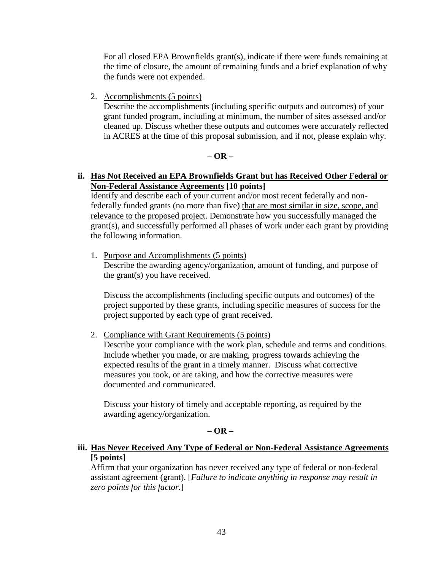For all closed EPA Brownfields grant(s), indicate if there were funds remaining at the time of closure, the amount of remaining funds and a brief explanation of why the funds were not expended.

2. Accomplishments (5 points)

Describe the accomplishments (including specific outputs and outcomes) of your grant funded program, including at minimum, the number of sites assessed and/or cleaned up. Discuss whether these outputs and outcomes were accurately reflected in ACRES at the time of this proposal submission, and if not, please explain why.

#### **– OR –**

#### **ii. Has Not Received an EPA Brownfields Grant but has Received Other Federal or Non-Federal Assistance Agreements [10 points]**

Identify and describe each of your current and/or most recent federally and nonfederally funded grants (no more than five) that are most similar in size, scope, and relevance to the proposed project. Demonstrate how you successfully managed the grant(s), and successfully performed all phases of work under each grant by providing the following information.

1. Purpose and Accomplishments (5 points)

Describe the awarding agency/organization, amount of funding, and purpose of the grant(s) you have received.

Discuss the accomplishments (including specific outputs and outcomes) of the project supported by these grants, including specific measures of success for the project supported by each type of grant received.

2. Compliance with Grant Requirements (5 points)

Describe your compliance with the work plan, schedule and terms and conditions. Include whether you made, or are making, progress towards achieving the expected results of the grant in a timely manner. Discuss what corrective measures you took, or are taking, and how the corrective measures were documented and communicated.

Discuss your history of timely and acceptable reporting, as required by the awarding agency/organization.

#### **– OR –**

#### **iii. Has Never Received Any Type of Federal or Non-Federal Assistance Agreements [5 points]**

Affirm that your organization has never received any type of federal or non-federal assistant agreement (grant). [*Failure to indicate anything in response may result in zero points for this factor.*]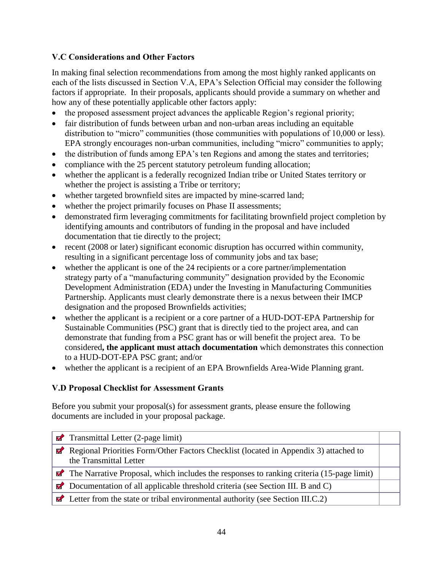## <span id="page-43-0"></span>**V.C Considerations and Other Factors**

In making final selection recommendations from among the most highly ranked applicants on each of the lists discussed in Section V.A, EPA's Selection Official may consider the following factors if appropriate. In their proposals, applicants should provide a summary on whether and how any of these potentially applicable other factors apply:

- the proposed assessment project advances the applicable Region's regional priority;
- fair distribution of funds between urban and non-urban areas including an equitable distribution to "micro" communities (those communities with populations of 10,000 or less). EPA strongly encourages non-urban communities, including "micro" communities to apply;
- the distribution of funds among EPA's ten Regions and among the states and territories;
- compliance with the 25 percent statutory petroleum funding allocation;
- whether the applicant is a federally recognized Indian tribe or United States territory or whether the project is assisting a Tribe or territory;
- whether targeted brownfield sites are impacted by mine-scarred land;
- whether the project primarily focuses on Phase II assessments;
- demonstrated firm leveraging commitments for facilitating brownfield project completion by identifying amounts and contributors of funding in the proposal and have included documentation that tie directly to the project;
- recent (2008 or later) significant economic disruption has occurred within community, resulting in a significant percentage loss of community jobs and tax base;
- whether the applicant is one of the 24 recipients or a core partner/implementation strategy party of a "manufacturing community" designation provided by the Economic Development Administration (EDA) under the Investing in Manufacturing Communities Partnership. Applicants must clearly demonstrate there is a nexus between their IMCP designation and the proposed Brownfields activities;
- whether the applicant is a recipient or a core partner of a HUD-DOT-EPA Partnership for Sustainable Communities (PSC) grant that is directly tied to the project area, and can demonstrate that funding from a PSC grant has or will benefit the project area. To be considered**, the applicant must attach documentation** which demonstrates this connection to a HUD-DOT-EPA PSC grant; and/or
- whether the applicant is a recipient of an EPA Brownfields Area-Wide Planning grant.

# <span id="page-43-1"></span>**V.D Proposal Checklist for Assessment Grants**

Before you submit your proposal(s) for assessment grants, please ensure the following documents are included in your proposal package.

|                         | $\Box$ Transmittal Letter (2-page limit)                                                                       |  |
|-------------------------|----------------------------------------------------------------------------------------------------------------|--|
| $\overline{\mathbf{z}}$ | Regional Priorities Form/Other Factors Checklist (located in Appendix 3) attached to<br>the Transmittal Letter |  |
|                         | $\triangleright$ The Narrative Proposal, which includes the responses to ranking criteria (15-page limit)      |  |
|                         | $\triangleright$ Documentation of all applicable threshold criteria (see Section III. B and C)                 |  |
|                         | $\Box$ Letter from the state or tribal environmental authority (see Section III.C.2)                           |  |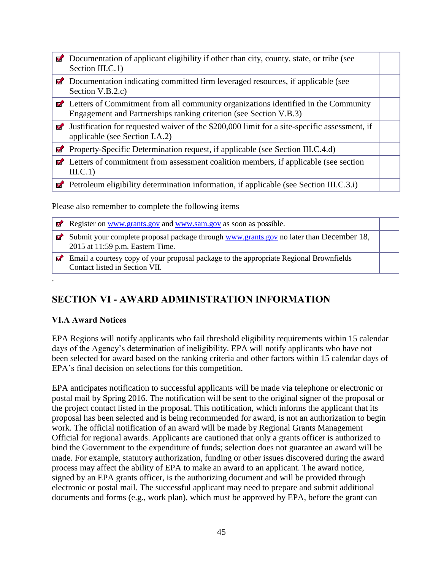|          | <b>Z</b> Documentation of applicant eligibility if other than city, county, state, or tribe (see<br>Section III.C.1)                                                   |  |
|----------|------------------------------------------------------------------------------------------------------------------------------------------------------------------------|--|
| V        | Documentation indicating committed firm leveraged resources, if applicable (see<br>Section V.B.2.c)                                                                    |  |
|          | $\blacksquare$ Letters of Commitment from all community organizations identified in the Community<br>Engagement and Partnerships ranking criterion (see Section V.B.3) |  |
|          | $\blacksquare$ Justification for requested waiver of the \$200,000 limit for a site-specific assessment, if<br>applicable (see Section I.A.2)                          |  |
| Ø        | Property-Specific Determination request, if applicable (see Section III.C.4.d)                                                                                         |  |
| $\sigma$ | Letters of commitment from assessment coalition members, if applicable (see section<br>III.C.1)                                                                        |  |
|          | $\triangleright$ Petroleum eligibility determination information, if applicable (see Section III.C.3.i)                                                                |  |

Please also remember to complete the following items

Register on [www.grants.gov](http://www.grants.gov/) and [www.sam.gov](http://www.sam.gov/) as soon as possible. Submit your complete proposal package through [www.grants.gov](http://www.grants.gov/) no later than December 18, 2015 at 11:59 p.m. Eastern Time. **Email a courtesy copy of your proposal package to the appropriate Regional Brownfields** Contact listed in Section VII.

# **SECTION VI - AWARD ADMINISTRATION INFORMATION**

# <span id="page-44-1"></span>**VI.A Award Notices**

<span id="page-44-0"></span>.

EPA Regions will notify applicants who fail threshold eligibility requirements within 15 calendar days of the Agency's determination of ineligibility. EPA will notify applicants who have not been selected for award based on the ranking criteria and other factors within 15 calendar days of EPA's final decision on selections for this competition.

EPA anticipates notification to successful applicants will be made via telephone or electronic or postal mail by Spring 2016. The notification will be sent to the original signer of the proposal or the project contact listed in the proposal. This notification, which informs the applicant that its proposal has been selected and is being recommended for award, is not an authorization to begin work. The official notification of an award will be made by Regional Grants Management Official for regional awards. Applicants are cautioned that only a grants officer is authorized to bind the Government to the expenditure of funds; selection does not guarantee an award will be made. For example, statutory authorization, funding or other issues discovered during the award process may affect the ability of EPA to make an award to an applicant. The award notice, signed by an EPA grants officer, is the authorizing document and will be provided through electronic or postal mail. The successful applicant may need to prepare and submit additional documents and forms (e.g., work plan), which must be approved by EPA, before the grant can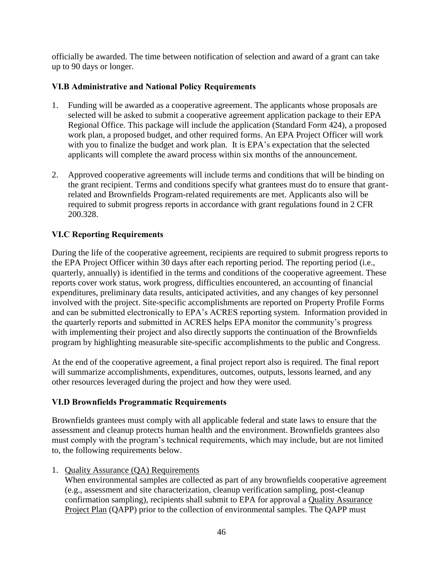officially be awarded. The time between notification of selection and award of a grant can take up to 90 days or longer.

### <span id="page-45-0"></span>**VI.B Administrative and National Policy Requirements**

- 1. Funding will be awarded as a cooperative agreement. The applicants whose proposals are selected will be asked to submit a cooperative agreement application package to their EPA Regional Office. This package will include the application (Standard Form 424), a proposed work plan, a proposed budget, and other required forms. An EPA Project Officer will work with you to finalize the budget and work plan. It is EPA's expectation that the selected applicants will complete the award process within six months of the announcement.
- 2. Approved cooperative agreements will include terms and conditions that will be binding on the grant recipient. Terms and conditions specify what grantees must do to ensure that grantrelated and Brownfields Program-related requirements are met. Applicants also will be required to submit progress reports in accordance with grant regulations found in 2 CFR 200.328.

## <span id="page-45-1"></span>**VI.C Reporting Requirements**

During the life of the cooperative agreement, recipients are required to submit progress reports to the EPA Project Officer within 30 days after each reporting period. The reporting period (i.e., quarterly, annually) is identified in the terms and conditions of the cooperative agreement. These reports cover work status, work progress, difficulties encountered, an accounting of financial expenditures, preliminary data results, anticipated activities, and any changes of key personnel involved with the project. Site-specific accomplishments are reported on Property Profile Forms and can be submitted electronically to EPA's ACRES reporting system. Information provided in the quarterly reports and submitted in ACRES helps EPA monitor the community's progress with implementing their project and also directly supports the continuation of the Brownfields program by highlighting measurable site-specific accomplishments to the public and Congress.

At the end of the cooperative agreement, a final project report also is required. The final report will summarize accomplishments, expenditures, outcomes, outputs, lessons learned, and any other resources leveraged during the project and how they were used.

### <span id="page-45-2"></span>**VI.D Brownfields Programmatic Requirements**

Brownfields grantees must comply with all applicable federal and state laws to ensure that the assessment and cleanup protects human health and the environment. Brownfields grantees also must comply with the program's technical requirements, which may include, but are not limited to, the following requirements below.

### 1. Quality Assurance (QA) Requirements

When environmental samples are collected as part of any brownfields cooperative agreement (e.g., assessment and site characterization, cleanup verification sampling, post-cleanup confirmation sampling), recipients shall submit to EPA for approval a Quality Assurance Project Plan (QAPP) prior to the collection of environmental samples. The QAPP must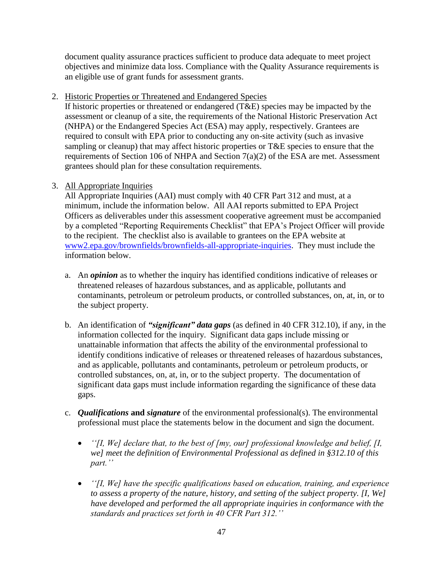document quality assurance practices sufficient to produce data adequate to meet project objectives and minimize data loss. Compliance with the Quality Assurance requirements is an eligible use of grant funds for assessment grants.

2. Historic Properties or Threatened and Endangered Species

If historic properties or threatened or endangered  $(T&E)$  species may be impacted by the assessment or cleanup of a site, the requirements of the National Historic Preservation Act (NHPA) or the Endangered Species Act (ESA) may apply, respectively. Grantees are required to consult with EPA prior to conducting any on-site activity (such as invasive sampling or cleanup) that may affect historic properties or T&E species to ensure that the requirements of Section 106 of NHPA and Section  $7(a)(2)$  of the ESA are met. Assessment grantees should plan for these consultation requirements.

# 3. All Appropriate Inquiries

All Appropriate Inquiries (AAI) must comply with 40 CFR Part 312 and must, at a minimum, include the information below. All AAI reports submitted to EPA Project Officers as deliverables under this assessment cooperative agreement must be accompanied by a completed "Reporting Requirements Checklist" that EPA's Project Officer will provide to the recipient. The checklist also is available to grantees on the EPA website at [www2.epa.gov/brownfields/brownfields-all-appropriate-inquiries.](http://www2.epa.gov/brownfields/brownfields-all-appropriate-inquiries) They must include the information below.

- a. An *opinion* as to whether the inquiry has identified conditions indicative of releases or threatened releases of hazardous substances, and as applicable, pollutants and contaminants, petroleum or petroleum products, or controlled substances, on, at, in, or to the subject property.
- b. An identification of *"significant" data gaps* (as defined in 40 CFR 312.10), if any, in the information collected for the inquiry. Significant data gaps include missing or unattainable information that affects the ability of the environmental professional to identify conditions indicative of releases or threatened releases of hazardous substances, and as applicable, pollutants and contaminants, petroleum or petroleum products, or controlled substances, on, at, in, or to the subject property. The documentation of significant data gaps must include information regarding the significance of these data gaps.
- c. *Qualifications* **and** *signature* of the environmental professional(s). The environmental professional must place the statements below in the document and sign the document.
	- *''[I, We] declare that, to the best of [my, our] professional knowledge and belief, [I, we] meet the definition of Environmental Professional as defined in §312.10 of this part.''*
	- *''[I, We] have the specific qualifications based on education, training, and experience to assess a property of the nature, history, and setting of the subject property. [I, We] have developed and performed the all appropriate inquiries in conformance with the standards and practices set forth in 40 CFR Part 312.''*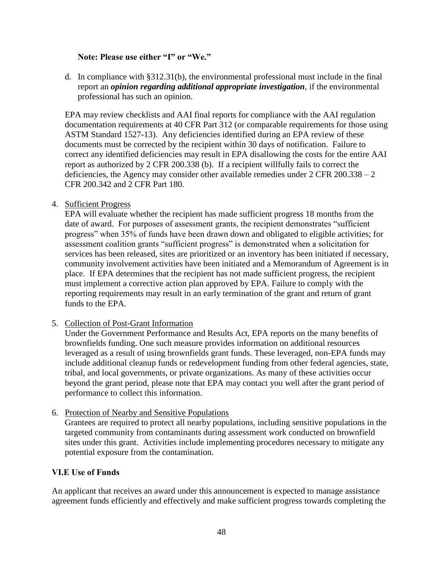#### **Note: Please use either "I" or "We."**

d. In compliance with §312.31(b), the environmental professional must include in the final report an *opinion regarding additional appropriate investigation*, if the environmental professional has such an opinion.

EPA may review checklists and AAI final reports for compliance with the AAI regulation documentation requirements at 40 CFR Part 312 (or comparable requirements for those using ASTM Standard 1527-13). Any deficiencies identified during an EPA review of these documents must be corrected by the recipient within 30 days of notification. Failure to correct any identified deficiencies may result in EPA disallowing the costs for the entire AAI report as authorized by 2 CFR 200.338 (b). If a recipient willfully fails to correct the deficiencies, the Agency may consider other available remedies under 2 CFR 200.338 – 2 CFR 200.342 and 2 CFR Part 180.

#### 4. Sufficient Progress

EPA will evaluate whether the recipient has made sufficient progress 18 months from the date of award. For purposes of assessment grants, the recipient demonstrates "sufficient progress" when 35% of funds have been drawn down and obligated to eligible activities; for assessment coalition grants "sufficient progress" is demonstrated when a solicitation for services has been released, sites are prioritized or an inventory has been initiated if necessary, community involvement activities have been initiated and a Memorandum of Agreement is in place. If EPA determines that the recipient has not made sufficient progress, the recipient must implement a corrective action plan approved by EPA. Failure to comply with the reporting requirements may result in an early termination of the grant and return of grant funds to the EPA.

### 5. Collection of Post-Grant Information

Under the Government Performance and Results Act, EPA reports on the many benefits of brownfields funding. One such measure provides information on additional resources leveraged as a result of using brownfields grant funds. These leveraged, non-EPA funds may include additional cleanup funds or redevelopment funding from other federal agencies, state, tribal, and local governments, or private organizations. As many of these activities occur beyond the grant period, please note that EPA may contact you well after the grant period of performance to collect this information.

#### 6. Protection of Nearby and Sensitive Populations

Grantees are required to protect all nearby populations, including sensitive populations in the targeted community from contaminants during assessment work conducted on brownfield sites under this grant. Activities include implementing procedures necessary to mitigate any potential exposure from the contamination.

### <span id="page-47-0"></span>**VI.E Use of Funds**

An applicant that receives an award under this announcement is expected to manage assistance agreement funds efficiently and effectively and make sufficient progress towards completing the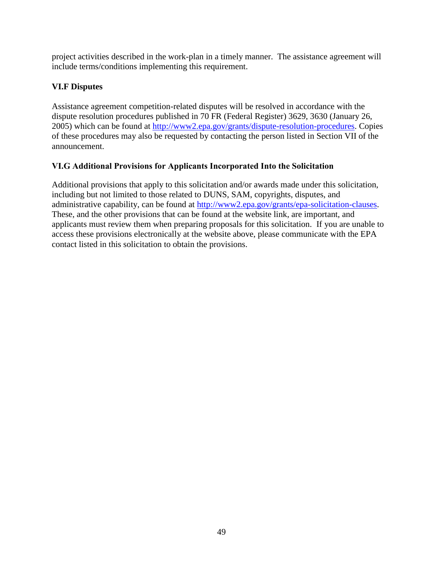project activities described in the work-plan in a timely manner. The assistance agreement will include terms/conditions implementing this requirement.

# <span id="page-48-0"></span>**VI.F Disputes**

Assistance agreement competition-related disputes will be resolved in accordance with the dispute resolution procedures published in 70 FR (Federal Register) 3629, 3630 (January 26, 2005) which can be found at [http://www2.epa.gov/grants/dispute-resolution-procedures.](http://www2.epa.gov/grants/dispute-resolution-procedures) Copies of these procedures may also be requested by contacting the person listed in Section VII of the announcement.

# <span id="page-48-1"></span>**VI.G Additional Provisions for Applicants Incorporated Into the Solicitation**

Additional provisions that apply to this solicitation and/or awards made under this solicitation, including but not limited to those related to DUNS, SAM, copyrights, disputes, and administrative capability, can be found at [http://www2.epa.gov/grants/epa-solicitation-clauses.](http://www2.epa.gov/grants/epa-solicitation-clauses) These, and the other provisions that can be found at the website link, are important, and applicants must review them when preparing proposals for this solicitation. If you are unable to access these provisions electronically at the website above, please communicate with the EPA contact listed in this solicitation to obtain the provisions.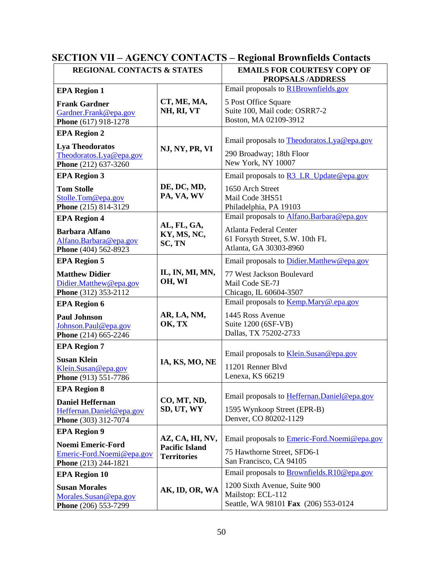<span id="page-49-0"></span>

| <b>SECTION VII – AGENCY CONTACTS – Regional Brownfields Contacts</b> |  |  |  |
|----------------------------------------------------------------------|--|--|--|
|----------------------------------------------------------------------|--|--|--|

| <b>REGIONAL CONTACTS &amp; STATES</b>                                                                |                                                                | <b>EMAILS FOR COURTESY COPY OF</b><br><b>PROPSALS/ADDRESS</b>                                                                           |
|------------------------------------------------------------------------------------------------------|----------------------------------------------------------------|-----------------------------------------------------------------------------------------------------------------------------------------|
| <b>EPA Region 1</b>                                                                                  |                                                                | Email proposals to R1Brownfields.gov                                                                                                    |
| <b>Frank Gardner</b><br>Gardner.Frank@epa.gov<br>Phone (617) 918-1278                                | CT, ME, MA,<br>NH, RI, VT                                      | 5 Post Office Square<br>Suite 100, Mail code: OSRR7-2<br>Boston, MA 02109-3912                                                          |
| <b>EPA Region 2</b><br><b>Lya Theodoratos</b><br>Theodoratos.Lya@epa.gov<br>Phone (212) 637-3260     | NJ, NY, PR, VI                                                 | Email proposals to Theodoratos. Lya@epa.gov<br>290 Broadway; 18th Floor<br>New York, NY 10007                                           |
| <b>EPA Region 3</b><br><b>Tom Stolle</b><br>Stolle.Tom@epa.gov<br>Phone (215) 814-3129               | DE, DC, MD,<br>PA, VA, WV                                      | Email proposals to <b>R3 LR Update@epa.gov</b><br>1650 Arch Street<br>Mail Code 3HS51<br>Philadelphia, PA 19103                         |
| <b>EPA Region 4</b><br><b>Barbara Alfano</b><br>Alfano.Barbara@epa.gov<br>Phone (404) 562-8923       | AL, FL, GA,<br>KY, MS, NC,<br>SC, TN                           | Email proposals to Alfano.Barbara@epa.gov<br>Atlanta Federal Center<br>61 Forsyth Street, S.W. 10th FL<br>Atlanta, GA 30303-8960        |
| <b>EPA Region 5</b><br><b>Matthew Didier</b><br>Didier.Matthew@epa.gov<br>Phone (312) 353-2112       | IL, IN, MI, MN,<br>OH, WI                                      | Email proposals to Didier. Matthew@epa.gov<br>77 West Jackson Boulevard<br>Mail Code SE-7J<br>Chicago, IL 60604-3507                    |
| <b>EPA Region 6</b><br><b>Paul Johnson</b><br>Johnson.Paul@epa.gov<br>Phone (214) 665-2246           | AR, LA, NM,<br>OK, TX                                          | Email proposals to Kemp.Mary@.epa.gov<br>1445 Ross Avenue<br>Suite 1200 (6SF-VB)<br>Dallas, TX 75202-2733                               |
| <b>EPA Region 7</b><br><b>Susan Klein</b><br>Klein.Susan@epa.gov<br>Phone (913) 551-7786             | IA, KS, MO, NE                                                 | Email proposals to Klein.Susan@epa.gov<br>11201 Renner Blvd<br>Lenexa, KS 66219                                                         |
| <b>EPA Region 8</b><br><b>Daniel Heffernan</b><br>Heffernan.Daniel@epa.gov<br>Phone (303) 312-7074   | CO, MT, ND,<br>SD, UT, WY                                      | Email proposals to Heffernan. Daniel@epa.gov<br>1595 Wynkoop Street (EPR-B)<br>Denver, CO 80202-1129                                    |
| <b>EPA Region 9</b><br><b>Noemi Emeric-Ford</b><br>Emeric-Ford.Noemi@epa.gov<br>Phone (213) 244-1821 | AZ, CA, HI, NV,<br><b>Pacific Island</b><br><b>Territories</b> | Email proposals to <b>Emeric-Ford. Noemi@epa.gov</b><br>75 Hawthorne Street, SFD6-1<br>San Francisco, CA 94105                          |
| <b>EPA Region 10</b><br><b>Susan Morales</b><br>Morales.Susan@epa.gov<br>Phone (206) 553-7299        | AK, ID, OR, WA                                                 | Email proposals to Brownfields.R10@epa.gov<br>1200 Sixth Avenue, Suite 900<br>Mailstop: ECL-112<br>Seattle, WA 98101 Fax (206) 553-0124 |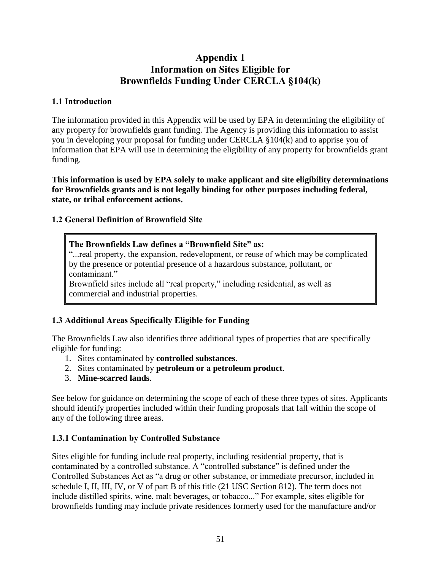# **Appendix 1 Information on Sites Eligible for Brownfields Funding Under CERCLA §104(k)**

### <span id="page-50-0"></span>**1.1 Introduction**

The information provided in this Appendix will be used by EPA in determining the eligibility of any property for brownfields grant funding. The Agency is providing this information to assist you in developing your proposal for funding under CERCLA §104(k) and to apprise you of information that EPA will use in determining the eligibility of any property for brownfields grant funding.

**This information is used by EPA solely to make applicant and site eligibility determinations for Brownfields grants and is not legally binding for other purposes including federal, state, or tribal enforcement actions.** 

# **1.2 General Definition of Brownfield Site**

## **The Brownfields Law defines a "Brownfield Site" as:**

"...real property, the expansion, redevelopment, or reuse of which may be complicated by the presence or potential presence of a hazardous substance, pollutant, or contaminant."

Brownfield sites include all "real property," including residential, as well as commercial and industrial properties.

# **1.3 Additional Areas Specifically Eligible for Funding**

The Brownfields Law also identifies three additional types of properties that are specifically eligible for funding:

- 1. Sites contaminated by **controlled substances**.
- 2. Sites contaminated by **petroleum or a petroleum product**.
- 3. **Mine-scarred lands**.

See below for guidance on determining the scope of each of these three types of sites. Applicants should identify properties included within their funding proposals that fall within the scope of any of the following three areas.

# **1.3.1 Contamination by Controlled Substance**

Sites eligible for funding include real property, including residential property, that is contaminated by a controlled substance. A "controlled substance" is defined under the Controlled Substances Act as "a drug or other substance, or immediate precursor, included in schedule I, II, III, IV, or V of part B of this title (21 USC Section 812). The term does not include distilled spirits, wine, malt beverages, or tobacco..." For example, sites eligible for brownfields funding may include private residences formerly used for the manufacture and/or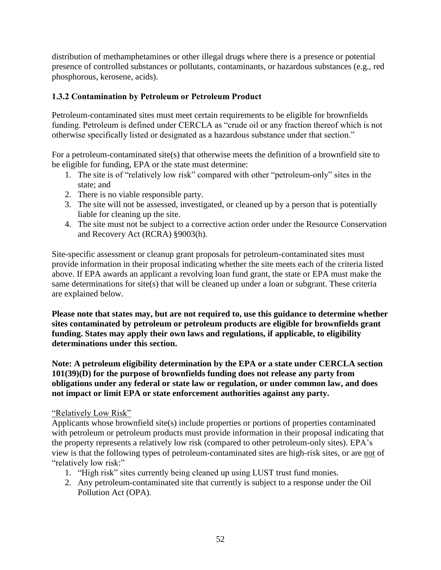distribution of methamphetamines or other illegal drugs where there is a presence or potential presence of controlled substances or pollutants, contaminants, or hazardous substances (e.g., red phosphorous, kerosene, acids).

## **1.3.2 Contamination by Petroleum or Petroleum Product**

Petroleum-contaminated sites must meet certain requirements to be eligible for brownfields funding. Petroleum is defined under CERCLA as "crude oil or any fraction thereof which is not otherwise specifically listed or designated as a hazardous substance under that section."

For a petroleum-contaminated site(s) that otherwise meets the definition of a brownfield site to be eligible for funding, EPA or the state must determine:

- 1. The site is of "relatively low risk" compared with other "petroleum-only" sites in the state; and
- 2. There is no viable responsible party.
- 3. The site will not be assessed, investigated, or cleaned up by a person that is potentially liable for cleaning up the site.
- 4. The site must not be subject to a corrective action order under the Resource Conservation and Recovery Act (RCRA) §9003(h).

Site-specific assessment or cleanup grant proposals for petroleum-contaminated sites must provide information in their proposal indicating whether the site meets each of the criteria listed above. If EPA awards an applicant a revolving loan fund grant, the state or EPA must make the same determinations for site(s) that will be cleaned up under a loan or subgrant. These criteria are explained below.

**Please note that states may, but are not required to, use this guidance to determine whether sites contaminated by petroleum or petroleum products are eligible for brownfields grant funding. States may apply their own laws and regulations, if applicable, to eligibility determinations under this section.** 

**Note: A petroleum eligibility determination by the EPA or a state under CERCLA section 101(39)(D) for the purpose of brownfields funding does not release any party from obligations under any federal or state law or regulation, or under common law, and does not impact or limit EPA or state enforcement authorities against any party.** 

#### "Relatively Low Risk"

Applicants whose brownfield site(s) include properties or portions of properties contaminated with petroleum or petroleum products must provide information in their proposal indicating that the property represents a relatively low risk (compared to other petroleum-only sites). EPA's view is that the following types of petroleum-contaminated sites are high-risk sites, or are not of "relatively low risk:"

- 1. "High risk" sites currently being cleaned up using LUST trust fund monies.
- 2. Any petroleum-contaminated site that currently is subject to a response under the Oil Pollution Act (OPA).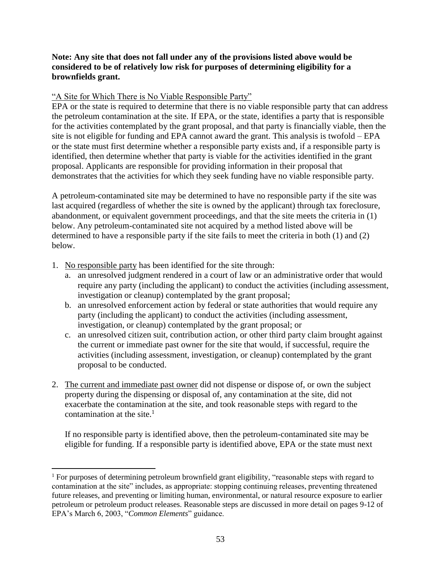#### **Note: Any site that does not fall under any of the provisions listed above would be considered to be of relatively low risk for purposes of determining eligibility for a brownfields grant.**

### "A Site for Which There is No Viable Responsible Party"

EPA or the state is required to determine that there is no viable responsible party that can address the petroleum contamination at the site. If EPA, or the state, identifies a party that is responsible for the activities contemplated by the grant proposal, and that party is financially viable, then the site is not eligible for funding and EPA cannot award the grant. This analysis is twofold – EPA or the state must first determine whether a responsible party exists and, if a responsible party is identified, then determine whether that party is viable for the activities identified in the grant proposal. Applicants are responsible for providing information in their proposal that demonstrates that the activities for which they seek funding have no viable responsible party.

A petroleum-contaminated site may be determined to have no responsible party if the site was last acquired (regardless of whether the site is owned by the applicant) through tax foreclosure, abandonment, or equivalent government proceedings, and that the site meets the criteria in (1) below. Any petroleum-contaminated site not acquired by a method listed above will be determined to have a responsible party if the site fails to meet the criteria in both (1) and (2) below.

1. No responsible party has been identified for the site through:

 $\overline{a}$ 

- a. an unresolved judgment rendered in a court of law or an administrative order that would require any party (including the applicant) to conduct the activities (including assessment, investigation or cleanup) contemplated by the grant proposal;
- b. an unresolved enforcement action by federal or state authorities that would require any party (including the applicant) to conduct the activities (including assessment, investigation, or cleanup) contemplated by the grant proposal; or
- c. an unresolved citizen suit, contribution action, or other third party claim brought against the current or immediate past owner for the site that would, if successful, require the activities (including assessment, investigation, or cleanup) contemplated by the grant proposal to be conducted.
- 2. The current and immediate past owner did not dispense or dispose of, or own the subject property during the dispensing or disposal of, any contamination at the site, did not exacerbate the contamination at the site, and took reasonable steps with regard to the contamination at the site. $1$

If no responsible party is identified above, then the petroleum-contaminated site may be eligible for funding. If a responsible party is identified above, EPA or the state must next

<sup>&</sup>lt;sup>1</sup> For purposes of determining petroleum brownfield grant eligibility, "reasonable steps with regard to contamination at the site" includes, as appropriate: stopping continuing releases, preventing threatened future releases, and preventing or limiting human, environmental, or natural resource exposure to earlier petroleum or petroleum product releases. Reasonable steps are discussed in more detail on pages 9-12 of EPA's March 6, 2003, "*Common Elements*" guidance.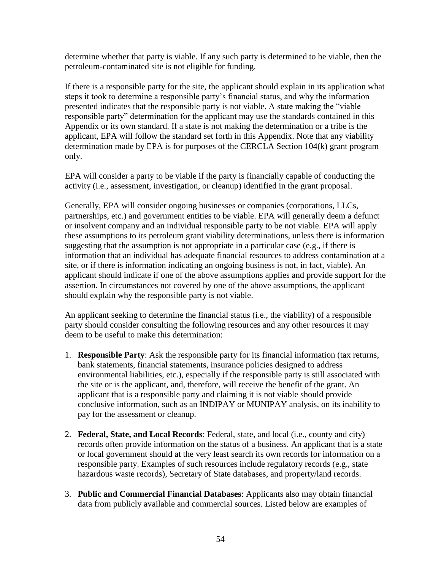determine whether that party is viable. If any such party is determined to be viable, then the petroleum-contaminated site is not eligible for funding.

If there is a responsible party for the site, the applicant should explain in its application what steps it took to determine a responsible party's financial status, and why the information presented indicates that the responsible party is not viable. A state making the "viable responsible party" determination for the applicant may use the standards contained in this Appendix or its own standard. If a state is not making the determination or a tribe is the applicant, EPA will follow the standard set forth in this Appendix. Note that any viability determination made by EPA is for purposes of the CERCLA Section 104(k) grant program only.

EPA will consider a party to be viable if the party is financially capable of conducting the activity (i.e., assessment, investigation, or cleanup) identified in the grant proposal.

Generally, EPA will consider ongoing businesses or companies (corporations, LLCs, partnerships, etc.) and government entities to be viable. EPA will generally deem a defunct or insolvent company and an individual responsible party to be not viable. EPA will apply these assumptions to its petroleum grant viability determinations, unless there is information suggesting that the assumption is not appropriate in a particular case (e.g., if there is information that an individual has adequate financial resources to address contamination at a site, or if there is information indicating an ongoing business is not, in fact, viable). An applicant should indicate if one of the above assumptions applies and provide support for the assertion. In circumstances not covered by one of the above assumptions, the applicant should explain why the responsible party is not viable.

An applicant seeking to determine the financial status (i.e., the viability) of a responsible party should consider consulting the following resources and any other resources it may deem to be useful to make this determination:

- 1. **Responsible Party**: Ask the responsible party for its financial information (tax returns, bank statements, financial statements, insurance policies designed to address environmental liabilities, etc.), especially if the responsible party is still associated with the site or is the applicant, and, therefore, will receive the benefit of the grant. An applicant that is a responsible party and claiming it is not viable should provide conclusive information, such as an INDIPAY or MUNIPAY analysis, on its inability to pay for the assessment or cleanup.
- 2. **Federal, State, and Local Records**: Federal, state, and local (i.e., county and city) records often provide information on the status of a business. An applicant that is a state or local government should at the very least search its own records for information on a responsible party. Examples of such resources include regulatory records (e.g., state hazardous waste records), Secretary of State databases, and property/land records.
- 3. **Public and Commercial Financial Databases**: Applicants also may obtain financial data from publicly available and commercial sources. Listed below are examples of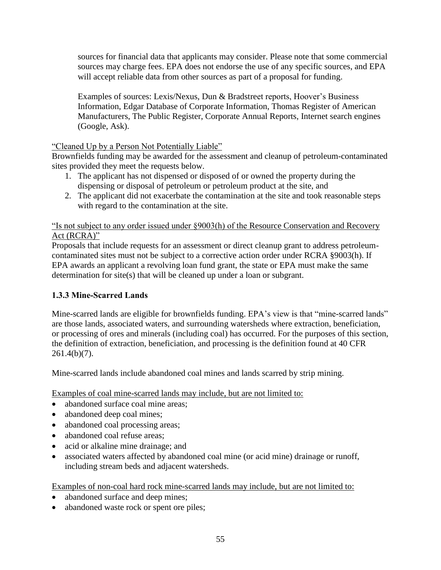sources for financial data that applicants may consider. Please note that some commercial sources may charge fees. EPA does not endorse the use of any specific sources, and EPA will accept reliable data from other sources as part of a proposal for funding.

Examples of sources: Lexis/Nexus, Dun & Bradstreet reports, Hoover's Business Information, Edgar Database of Corporate Information, Thomas Register of American Manufacturers, The Public Register, Corporate Annual Reports, Internet search engines (Google, Ask).

## "Cleaned Up by a Person Not Potentially Liable"

Brownfields funding may be awarded for the assessment and cleanup of petroleum-contaminated sites provided they meet the requests below.

- 1. The applicant has not dispensed or disposed of or owned the property during the dispensing or disposal of petroleum or petroleum product at the site, and
- 2. The applicant did not exacerbate the contamination at the site and took reasonable steps with regard to the contamination at the site.

"Is not subject to any order issued under §9003(h) of the Resource Conservation and Recovery Act (RCRA)"

Proposals that include requests for an assessment or direct cleanup grant to address petroleumcontaminated sites must not be subject to a corrective action order under RCRA §9003(h). If EPA awards an applicant a revolving loan fund grant, the state or EPA must make the same determination for site(s) that will be cleaned up under a loan or subgrant.

# **1.3.3 Mine-Scarred Lands**

Mine-scarred lands are eligible for brownfields funding. EPA's view is that "mine-scarred lands" are those lands, associated waters, and surrounding watersheds where extraction, beneficiation, or processing of ores and minerals (including coal) has occurred. For the purposes of this section, the definition of extraction, beneficiation, and processing is the definition found at 40 CFR 261.4(b)(7).

Mine-scarred lands include abandoned coal mines and lands scarred by strip mining.

Examples of coal mine-scarred lands may include, but are not limited to:

- abandoned surface coal mine areas;
- abandoned deep coal mines;
- abandoned coal processing areas;
- abandoned coal refuse areas;
- acid or alkaline mine drainage; and
- associated waters affected by abandoned coal mine (or acid mine) drainage or runoff, including stream beds and adjacent watersheds.

Examples of non-coal hard rock mine-scarred lands may include, but are not limited to:

- abandoned surface and deep mines;
- abandoned waste rock or spent ore piles;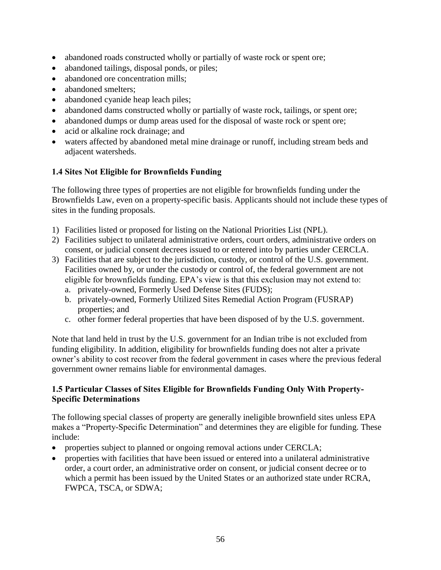- abandoned roads constructed wholly or partially of waste rock or spent ore;
- abandoned tailings, disposal ponds, or piles;
- abandoned ore concentration mills;
- abandoned smelters:
- abandoned cyanide heap leach piles;
- abandoned dams constructed wholly or partially of waste rock, tailings, or spent ore;
- abandoned dumps or dump areas used for the disposal of waste rock or spent ore;
- acid or alkaline rock drainage; and
- waters affected by abandoned metal mine drainage or runoff, including stream beds and adjacent watersheds.

## **1.4 Sites Not Eligible for Brownfields Funding**

The following three types of properties are not eligible for brownfields funding under the Brownfields Law, even on a property-specific basis. Applicants should not include these types of sites in the funding proposals.

- 1) Facilities listed or proposed for listing on the National Priorities List (NPL).
- 2) Facilities subject to unilateral administrative orders, court orders, administrative orders on consent, or judicial consent decrees issued to or entered into by parties under CERCLA.
- 3) Facilities that are subject to the jurisdiction, custody, or control of the U.S. government. Facilities owned by, or under the custody or control of, the federal government are not eligible for brownfields funding. EPA's view is that this exclusion may not extend to:
	- a. privately-owned, Formerly Used Defense Sites (FUDS);
	- b. privately-owned, Formerly Utilized Sites Remedial Action Program (FUSRAP) properties; and
	- c. other former federal properties that have been disposed of by the U.S. government.

Note that land held in trust by the U.S. government for an Indian tribe is not excluded from funding eligibility. In addition, eligibility for brownfields funding does not alter a private owner's ability to cost recover from the federal government in cases where the previous federal government owner remains liable for environmental damages.

### **1.5 Particular Classes of Sites Eligible for Brownfields Funding Only With Property-Specific Determinations**

The following special classes of property are generally ineligible brownfield sites unless EPA makes a "Property-Specific Determination" and determines they are eligible for funding. These include:

- properties subject to planned or ongoing removal actions under CERCLA;
- properties with facilities that have been issued or entered into a unilateral administrative order, a court order, an administrative order on consent, or judicial consent decree or to which a permit has been issued by the United States or an authorized state under RCRA, FWPCA, TSCA, or SDWA;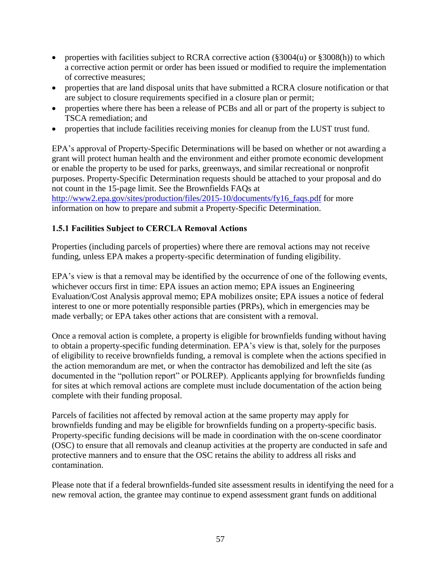- properties with facilities subject to RCRA corrective action  $(\frac{2004(u)}{u})$  or  $\frac{2008(h)}{u}$  to which a corrective action permit or order has been issued or modified to require the implementation of corrective measures;
- properties that are land disposal units that have submitted a RCRA closure notification or that are subject to closure requirements specified in a closure plan or permit;
- properties where there has been a release of PCBs and all or part of the property is subject to TSCA remediation; and
- properties that include facilities receiving monies for cleanup from the LUST trust fund.

EPA's approval of Property-Specific Determinations will be based on whether or not awarding a grant will protect human health and the environment and either promote economic development or enable the property to be used for parks, greenways, and similar recreational or nonprofit purposes. Property-Specific Determination requests should be attached to your proposal and do not count in the 15-page limit. See the Brownfields FAQs at

[http://www2.epa.gov/sites/production/files/2015-10/documents/fy16\\_faqs.pdf](http://www2.epa.gov/sites/production/files/2015-10/documents/fy16_faqs.pdf) for more information on how to prepare and submit a Property-Specific Determination.

## **1.5.1 Facilities Subject to CERCLA Removal Actions**

Properties (including parcels of properties) where there are removal actions may not receive funding, unless EPA makes a property-specific determination of funding eligibility.

EPA's view is that a removal may be identified by the occurrence of one of the following events, whichever occurs first in time: EPA issues an action memo; EPA issues an Engineering Evaluation/Cost Analysis approval memo; EPA mobilizes onsite; EPA issues a notice of federal interest to one or more potentially responsible parties (PRPs), which in emergencies may be made verbally; or EPA takes other actions that are consistent with a removal.

Once a removal action is complete, a property is eligible for brownfields funding without having to obtain a property-specific funding determination. EPA's view is that, solely for the purposes of eligibility to receive brownfields funding, a removal is complete when the actions specified in the action memorandum are met, or when the contractor has demobilized and left the site (as documented in the "pollution report" or POLREP). Applicants applying for brownfields funding for sites at which removal actions are complete must include documentation of the action being complete with their funding proposal.

Parcels of facilities not affected by removal action at the same property may apply for brownfields funding and may be eligible for brownfields funding on a property-specific basis. Property-specific funding decisions will be made in coordination with the on-scene coordinator (OSC) to ensure that all removals and cleanup activities at the property are conducted in safe and protective manners and to ensure that the OSC retains the ability to address all risks and contamination.

Please note that if a federal brownfields-funded site assessment results in identifying the need for a new removal action, the grantee may continue to expend assessment grant funds on additional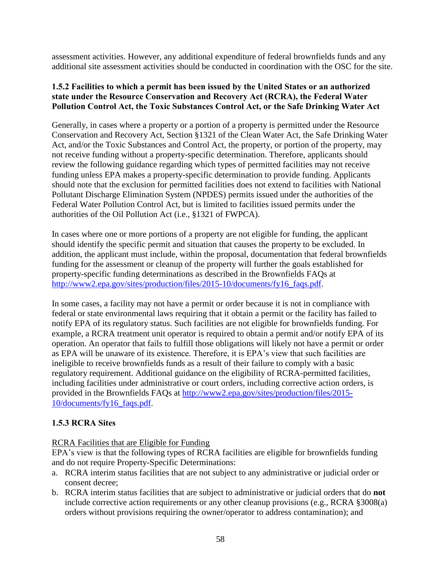assessment activities. However, any additional expenditure of federal brownfields funds and any additional site assessment activities should be conducted in coordination with the OSC for the site.

### **1.5.2 Facilities to which a permit has been issued by the United States or an authorized state under the Resource Conservation and Recovery Act (RCRA), the Federal Water Pollution Control Act, the Toxic Substances Control Act, or the Safe Drinking Water Act**

Generally, in cases where a property or a portion of a property is permitted under the Resource Conservation and Recovery Act, Section §1321 of the Clean Water Act, the Safe Drinking Water Act, and/or the Toxic Substances and Control Act, the property, or portion of the property, may not receive funding without a property-specific determination. Therefore, applicants should review the following guidance regarding which types of permitted facilities may not receive funding unless EPA makes a property-specific determination to provide funding. Applicants should note that the exclusion for permitted facilities does not extend to facilities with National Pollutant Discharge Elimination System (NPDES) permits issued under the authorities of the Federal Water Pollution Control Act, but is limited to facilities issued permits under the authorities of the Oil Pollution Act (i.e., §1321 of FWPCA).

In cases where one or more portions of a property are not eligible for funding, the applicant should identify the specific permit and situation that causes the property to be excluded. In addition, the applicant must include, within the proposal, documentation that federal brownfields funding for the assessment or cleanup of the property will further the goals established for property-specific funding determinations as described in the Brownfields FAQs at [http://www2.epa.gov/sites/production/files/2015-10/documents/fy16\\_faqs.pdf.](http://www2.epa.gov/sites/production/files/2015-10/documents/fy16_faqs.pdf)

In some cases, a facility may not have a permit or order because it is not in compliance with federal or state environmental laws requiring that it obtain a permit or the facility has failed to notify EPA of its regulatory status. Such facilities are not eligible for brownfields funding. For example, a RCRA treatment unit operator is required to obtain a permit and/or notify EPA of its operation. An operator that fails to fulfill those obligations will likely not have a permit or order as EPA will be unaware of its existence. Therefore, it is EPA's view that such facilities are ineligible to receive brownfields funds as a result of their failure to comply with a basic regulatory requirement. Additional guidance on the eligibility of RCRA-permitted facilities, including facilities under administrative or court orders, including corrective action orders, is provided in the Brownfields FAQs at [http://www2.epa.gov/sites/production/files/2015-](http://www2.epa.gov/sites/production/files/2015-10/documents/fy16_faqs.pdf) [10/documents/fy16\\_faqs.pdf.](http://www2.epa.gov/sites/production/files/2015-10/documents/fy16_faqs.pdf)

# **1.5.3 RCRA Sites**

### RCRA Facilities that are Eligible for Funding

EPA's view is that the following types of RCRA facilities are eligible for brownfields funding and do not require Property-Specific Determinations:

- a. RCRA interim status facilities that are not subject to any administrative or judicial order or consent decree;
- b. RCRA interim status facilities that are subject to administrative or judicial orders that do **not**  include corrective action requirements or any other cleanup provisions (e.g., RCRA §3008(a) orders without provisions requiring the owner/operator to address contamination); and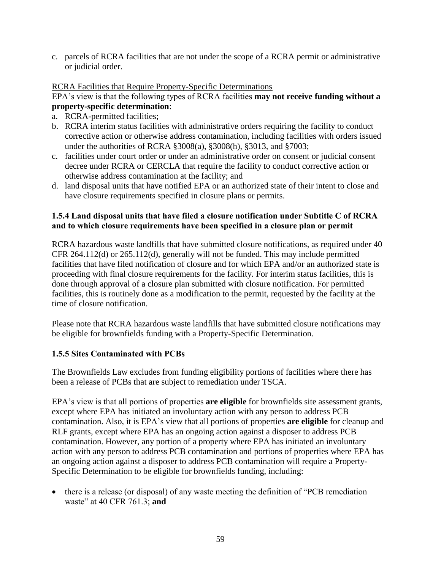c. parcels of RCRA facilities that are not under the scope of a RCRA permit or administrative or judicial order.

### RCRA Facilities that Require Property-Specific Determinations

#### EPA's view is that the following types of RCRA facilities **may not receive funding without a property-specific determination**:

- a. RCRA-permitted facilities;
- b. RCRA interim status facilities with administrative orders requiring the facility to conduct corrective action or otherwise address contamination, including facilities with orders issued under the authorities of RCRA §3008(a), §3008(h), §3013, and §7003;
- c. facilities under court order or under an administrative order on consent or judicial consent decree under RCRA or CERCLA that require the facility to conduct corrective action or otherwise address contamination at the facility; and
- d. land disposal units that have notified EPA or an authorized state of their intent to close and have closure requirements specified in closure plans or permits.

## **1.5.4 Land disposal units that have filed a closure notification under Subtitle C of RCRA and to which closure requirements have been specified in a closure plan or permit**

RCRA hazardous waste landfills that have submitted closure notifications, as required under 40 CFR 264.112(d) or 265.112(d), generally will not be funded. This may include permitted facilities that have filed notification of closure and for which EPA and/or an authorized state is proceeding with final closure requirements for the facility. For interim status facilities, this is done through approval of a closure plan submitted with closure notification. For permitted facilities, this is routinely done as a modification to the permit, requested by the facility at the time of closure notification.

Please note that RCRA hazardous waste landfills that have submitted closure notifications may be eligible for brownfields funding with a Property-Specific Determination.

# **1.5.5 Sites Contaminated with PCBs**

The Brownfields Law excludes from funding eligibility portions of facilities where there has been a release of PCBs that are subject to remediation under TSCA.

EPA's view is that all portions of properties **are eligible** for brownfields site assessment grants, except where EPA has initiated an involuntary action with any person to address PCB contamination. Also, it is EPA's view that all portions of properties **are eligible** for cleanup and RLF grants, except where EPA has an ongoing action against a disposer to address PCB contamination. However, any portion of a property where EPA has initiated an involuntary action with any person to address PCB contamination and portions of properties where EPA has an ongoing action against a disposer to address PCB contamination will require a Property-Specific Determination to be eligible for brownfields funding, including:

 there is a release (or disposal) of any waste meeting the definition of "PCB remediation waste" at 40 CFR 761.3; **and**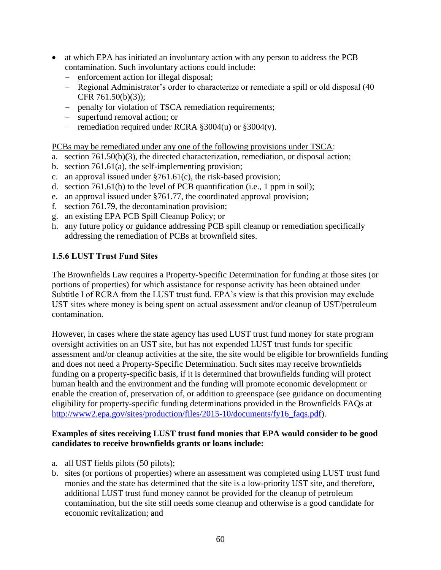- at which EPA has initiated an involuntary action with any person to address the PCB contamination. Such involuntary actions could include:
	- enforcement action for illegal disposal;
	- Regional Administrator's order to characterize or remediate a spill or old disposal (40 CFR 761.50(b)(3));
	- penalty for violation of TSCA remediation requirements;
	- superfund removal action; or
	- remediation required under RCRA §3004(u) or §3004(v).

PCBs may be remediated under any one of the following provisions under TSCA:

- a. section 761.50(b)(3), the directed characterization, remediation, or disposal action;
- b. section 761.61(a), the self-implementing provision;
- c. an approval issued under §761.61(c), the risk-based provision;
- d. section 761.61(b) to the level of PCB quantification (i.e., 1 ppm in soil);
- e. an approval issued under §761.77, the coordinated approval provision;
- f. section 761.79, the decontamination provision;
- g. an existing EPA PCB Spill Cleanup Policy; or
- h. any future policy or guidance addressing PCB spill cleanup or remediation specifically addressing the remediation of PCBs at brownfield sites.

### **1.5.6 LUST Trust Fund Sites**

The Brownfields Law requires a Property-Specific Determination for funding at those sites (or portions of properties) for which assistance for response activity has been obtained under Subtitle I of RCRA from the LUST trust fund. EPA's view is that this provision may exclude UST sites where money is being spent on actual assessment and/or cleanup of UST/petroleum contamination.

However, in cases where the state agency has used LUST trust fund money for state program oversight activities on an UST site, but has not expended LUST trust funds for specific assessment and/or cleanup activities at the site, the site would be eligible for brownfields funding and does not need a Property-Specific Determination. Such sites may receive brownfields funding on a property-specific basis, if it is determined that brownfields funding will protect human health and the environment and the funding will promote economic development or enable the creation of, preservation of, or addition to greenspace (see guidance on documenting eligibility for property-specific funding determinations provided in the Brownfields FAQs at [http://www2.epa.gov/sites/production/files/2015-10/documents/fy16\\_faqs.pdf\)](http://www2.epa.gov/sites/production/files/2015-10/documents/fy16_faqs.pdf).

#### **Examples of sites receiving LUST trust fund monies that EPA would consider to be good candidates to receive brownfields grants or loans include:**

- a. all UST fields pilots (50 pilots);
- b. sites (or portions of properties) where an assessment was completed using LUST trust fund monies and the state has determined that the site is a low-priority UST site, and therefore, additional LUST trust fund money cannot be provided for the cleanup of petroleum contamination, but the site still needs some cleanup and otherwise is a good candidate for economic revitalization; and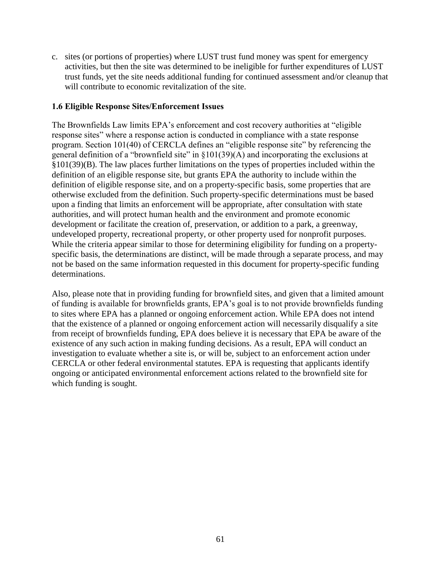c. sites (or portions of properties) where LUST trust fund money was spent for emergency activities, but then the site was determined to be ineligible for further expenditures of LUST trust funds, yet the site needs additional funding for continued assessment and/or cleanup that will contribute to economic revitalization of the site.

#### **1.6 Eligible Response Sites/Enforcement Issues**

The Brownfields Law limits EPA's enforcement and cost recovery authorities at "eligible response sites" where a response action is conducted in compliance with a state response program. Section 101(40) of CERCLA defines an "eligible response site" by referencing the general definition of a "brownfield site" in §101(39)(A) and incorporating the exclusions at §101(39)(B). The law places further limitations on the types of properties included within the definition of an eligible response site, but grants EPA the authority to include within the definition of eligible response site, and on a property-specific basis, some properties that are otherwise excluded from the definition. Such property-specific determinations must be based upon a finding that limits an enforcement will be appropriate, after consultation with state authorities, and will protect human health and the environment and promote economic development or facilitate the creation of, preservation, or addition to a park, a greenway, undeveloped property, recreational property, or other property used for nonprofit purposes. While the criteria appear similar to those for determining eligibility for funding on a propertyspecific basis, the determinations are distinct, will be made through a separate process, and may not be based on the same information requested in this document for property-specific funding determinations.

Also, please note that in providing funding for brownfield sites, and given that a limited amount of funding is available for brownfields grants, EPA's goal is to not provide brownfields funding to sites where EPA has a planned or ongoing enforcement action. While EPA does not intend that the existence of a planned or ongoing enforcement action will necessarily disqualify a site from receipt of brownfields funding, EPA does believe it is necessary that EPA be aware of the existence of any such action in making funding decisions. As a result, EPA will conduct an investigation to evaluate whether a site is, or will be, subject to an enforcement action under CERCLA or other federal environmental statutes. EPA is requesting that applicants identify ongoing or anticipated environmental enforcement actions related to the brownfield site for which funding is sought.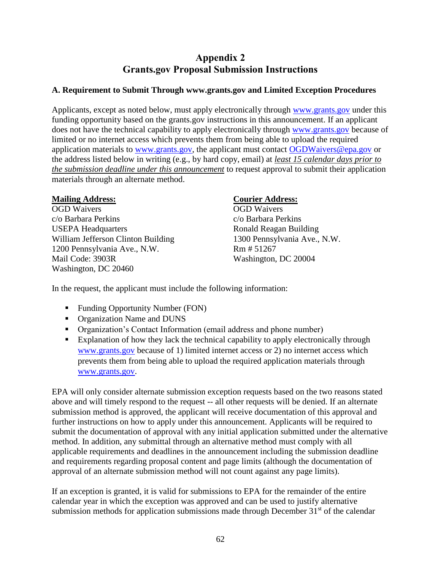# **Appendix 2 Grants.gov Proposal Submission Instructions**

## <span id="page-61-0"></span>**A. Requirement to Submit Through www.grants.gov and Limited Exception Procedures**

Applicants, except as noted below, must apply electronically through [www.grants.gov](http://www.grants.gov/) under this funding opportunity based on the grants.gov instructions in this announcement. If an applicant does not have the technical capability to apply electronically through [www.grants.gov](http://www.grants.gov/) because of limited or no internet access which prevents them from being able to upload the required application materials to [www.grants.gov,](http://www.grants.gov/) the applicant must contact [OGDWaivers@epa.gov](mailto:OGDWaivers@epa.gov) or the address listed below in writing (e.g., by hard copy, email) at *least 15 calendar days prior to the submission deadline under this announcement* to request approval to submit their application materials through an alternate method.

## **Mailing Address:**

OGD Waivers c/o Barbara Perkins USEPA Headquarters William Jefferson Clinton Building 1200 Pennsylvania Ave., N.W. Mail Code: 3903R Washington, DC 20460

## **Courier Address:**

OGD Waivers c/o Barbara Perkins Ronald Reagan Building 1300 Pennsylvania Ave., N.W. Rm # 51267 Washington, DC 20004

In the request, the applicant must include the following information:

- **Funding Opportunity Number (FON)**
- Organization Name and DUNS
- Organization's Contact Information (email address and phone number)
- Explanation of how they lack the technical capability to apply electronically through [www.grants.gov](http://www.grants.gov/) because of 1) limited internet access or 2) no internet access which prevents them from being able to upload the required application materials through [www.grants.gov.](http://www.grants.gov/)

EPA will only consider alternate submission exception requests based on the two reasons stated above and will timely respond to the request -- all other requests will be denied. If an alternate submission method is approved, the applicant will receive documentation of this approval and further instructions on how to apply under this announcement. Applicants will be required to submit the documentation of approval with any initial application submitted under the alternative method. In addition, any submittal through an alternative method must comply with all applicable requirements and deadlines in the announcement including the submission deadline and requirements regarding proposal content and page limits (although the documentation of approval of an alternate submission method will not count against any page limits).

If an exception is granted, it is valid for submissions to EPA for the remainder of the entire calendar year in which the exception was approved and can be used to justify alternative submission methods for application submissions made through December  $31<sup>st</sup>$  of the calendar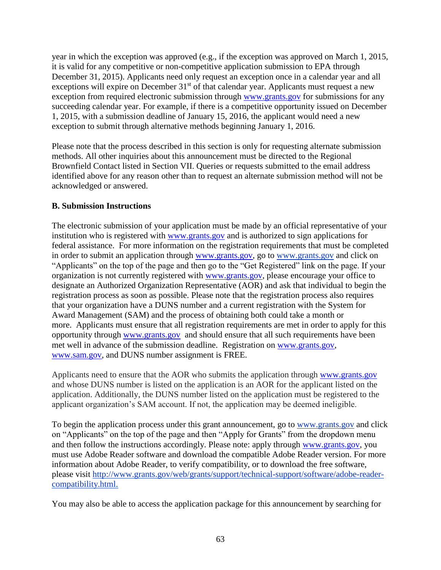year in which the exception was approved (e.g., if the exception was approved on March 1, 2015, it is valid for any competitive or non-competitive application submission to EPA through December 31, 2015). Applicants need only request an exception once in a calendar year and all exceptions will expire on December  $31<sup>st</sup>$  of that calendar year. Applicants must request a new exception from required electronic submission through [www.grants.gov](http://www.grants.gov/) for submissions for any succeeding calendar year. For example, if there is a competitive opportunity issued on December 1, 2015, with a submission deadline of January 15, 2016, the applicant would need a new exception to submit through alternative methods beginning January 1, 2016.

Please note that the process described in this section is only for requesting alternate submission methods. All other inquiries about this announcement must be directed to the Regional Brownfield Contact listed in Section VII. Queries or requests submitted to the email address identified above for any reason other than to request an alternate submission method will not be acknowledged or answered.

## **B. Submission Instructions**

The electronic submission of your application must be made by an official representative of your institution who is registered with [www.grants.gov](http://www.grants.gov/) and is authorized to sign applications for federal assistance. For more information on the registration requirements that must be completed in order to submit an application through [www.grants.gov,](http://www.grants.gov/) go to [www.grants.gov](http://www.grants.gov/) and click on "Applicants" on the top of the page and then go to the "Get Registered" link on the page. If your organization is not currently registered with [www.grants.gov,](http://www.grants.gov/) please encourage your office to designate an Authorized Organization Representative (AOR) and ask that individual to begin the registration process as soon as possible. Please note that the registration process also requires that your organization have a DUNS number and a current registration with the System for Award Management (SAM) and the process of obtaining both could take a month or more. Applicants must ensure that all registration requirements are met in order to apply for this opportunity through [www.grants.gov](http://www.grants.gov/) and should ensure that all such requirements have been met well in advance of the submission deadline. Registration on [www.grants.gov,](http://www.grants.gov/) [www.sam.gov,](http://www.sam.gov/) and DUNS number assignment is FREE.

Applicants need to ensure that the AOR who submits the application through [www.grants.gov](http://www.grants.gov/) and whose DUNS number is listed on the application is an AOR for the applicant listed on the application. Additionally, the DUNS number listed on the application must be registered to the applicant organization's SAM account. If not, the application may be deemed ineligible.

To begin the application process under this grant announcement, go to [www.grants.gov](http://www.grants.gov/) and click on "Applicants" on the top of the page and then "Apply for Grants" from the dropdown menu and then follow the instructions accordingly. Please note: apply through [www.grants.gov,](http://www.grants.gov/) you must use Adobe Reader software and download the compatible Adobe Reader version. For more information about Adobe Reader, to verify compatibility, or to download the free software, please visit [http://www.grants.gov/web/grants/support/technical-support/software/adobe-reader](http://www.grants.gov/web/grants/support/technical-support/software/adobe-reader-compatibility.html)[compatibility.html.](http://www.grants.gov/web/grants/support/technical-support/software/adobe-reader-compatibility.html)

You may also be able to access the application package for this announcement by searching for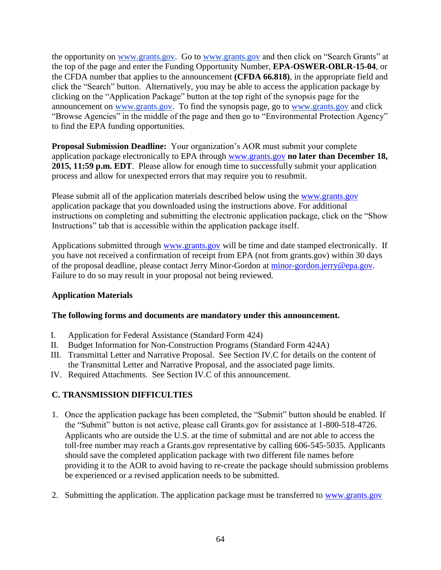the opportunity on [www.grants.gov.](http://www.grants.gov/) Go to [www.grants.gov](http://www.grants.gov/) and then click on "Search Grants" at the top of the page and enter the Funding Opportunity Number, **EPA-OSWER-OBLR-15-04**, or the CFDA number that applies to the announcement **(CFDA 66.818)**, in the appropriate field and click the "Search" button. Alternatively, you may be able to access the application package by clicking on the "Application Package" button at the top right of the synopsis page for the announcement on [www.grants.gov.](http://www.grants.gov/) To find the synopsis page, go to [www.grants.gov](http://www.grants.gov/) and click "Browse Agencies" in the middle of the page and then go to "Environmental Protection Agency" to find the EPA funding opportunities.

**Proposal Submission Deadline:** Your organization's AOR must submit your complete application package electronically to EPA through [www.grants.gov](http://www.grants.gov/) **no later than December 18, 2015, 11:59 p.m. EDT**. Please allow for enough time to successfully submit your application process and allow for unexpected errors that may require you to resubmit.

Please submit all of the application materials described below using the [www.grants.gov](http://www.grants.gov/) application package that you downloaded using the instructions above. For additional instructions on completing and submitting the electronic application package, click on the "Show Instructions" tab that is accessible within the application package itself.

Applications submitted through [www.grants.gov](http://www.grants.gov/) will be time and date stamped electronically. If you have not received a confirmation of receipt from EPA (not from grants.gov) within 30 days of the proposal deadline, please contact Jerry Minor-Gordon at [minor-gordon.jerry@epa.gov.](mailto:minor-gordon.jerry@epa.gov) Failure to do so may result in your proposal not being reviewed.

# **Application Materials**

### **The following forms and documents are mandatory under this announcement.**

- I. Application for Federal Assistance (Standard Form 424)
- II. Budget Information for Non-Construction Programs (Standard Form 424A)
- III. Transmittal Letter and Narrative Proposal. See Section IV.C for details on the content of the Transmittal Letter and Narrative Proposal, and the associated page limits.
- IV. Required Attachments. See Section IV.C of this announcement.

# **C. TRANSMISSION DIFFICULTIES**

- 1. Once the application package has been completed, the "Submit" button should be enabled. If the "Submit" button is not active, please call Grants.gov for assistance at 1-800-518-4726. Applicants who are outside the U.S. at the time of submittal and are not able to access the toll-free number may reach a Grants.gov representative by calling 606-545-5035. Applicants should save the completed application package with two different file names before providing it to the AOR to avoid having to re-create the package should submission problems be experienced or a revised application needs to be submitted.
- 2. Submitting the application. The application package must be transferred to [www.grants.gov](http://www.grants.gov/)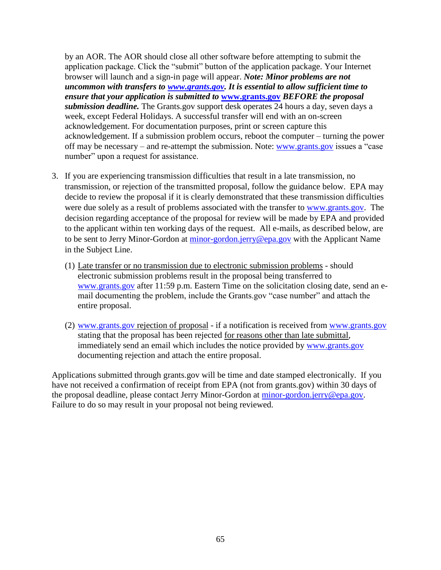by an AOR. The AOR should close all other software before attempting to submit the application package. Click the "submit" button of the application package. Your Internet browser will launch and a sign-in page will appear. *Note: Minor problems are not uncommon with transfers to [www.grants.gov.](http://www.grants.gov/) It is essential to allow sufficient time to ensure that your application is submitted to* **[www.grants.gov](http://www.grants.gov/)** *BEFORE the proposal submission deadline.* The Grants.gov support desk operates 24 hours a day, seven days a week, except Federal Holidays. A successful transfer will end with an on-screen acknowledgement. For documentation purposes, print or screen capture this acknowledgement. If a submission problem occurs, reboot the computer – turning the power off may be necessary – and re-attempt the submission. Note: [www.grants.gov](http://www.grants.gov/) issues a "case number" upon a request for assistance.

- 3. If you are experiencing transmission difficulties that result in a late transmission, no transmission, or rejection of the transmitted proposal, follow the guidance below. EPA may decide to review the proposal if it is clearly demonstrated that these transmission difficulties were due solely as a result of problems associated with the transfer to [www.grants.gov.](http://www.grants.gov/) The decision regarding acceptance of the proposal for review will be made by EPA and provided to the applicant within ten working days of the request. All e-mails, as described below, are to be sent to Jerry Minor-Gordon at [minor-gordon.jerry@epa.gov](mailto:minor-gordon.jerry@epa.gov) with the Applicant Name in the Subject Line.
	- (1) Late transfer or no transmission due to electronic submission problems should electronic submission problems result in the proposal being transferred to [www.grants.gov](http://www.grants.gov/) after 11:59 p.m. Eastern Time on the solicitation closing date, send an email documenting the problem, include the Grants.gov "case number" and attach the entire proposal.
	- (2) [www.grants.gov](http://www.grants.gov/) rejection of proposal if a notification is received from [www.grants.gov](http://www.grants.gov/) stating that the proposal has been rejected for reasons other than late submittal, immediately send an email which includes the notice provided by [www.grants.gov](http://www.grants.gov/) documenting rejection and attach the entire proposal.

Applications submitted through grants.gov will be time and date stamped electronically. If you have not received a confirmation of receipt from EPA (not from grants.gov) within 30 days of the proposal deadline, please contact Jerry Minor-Gordon at [minor-gordon.jerry@epa.gov.](mailto:minor-gordon.jerry@epa.gov) Failure to do so may result in your proposal not being reviewed.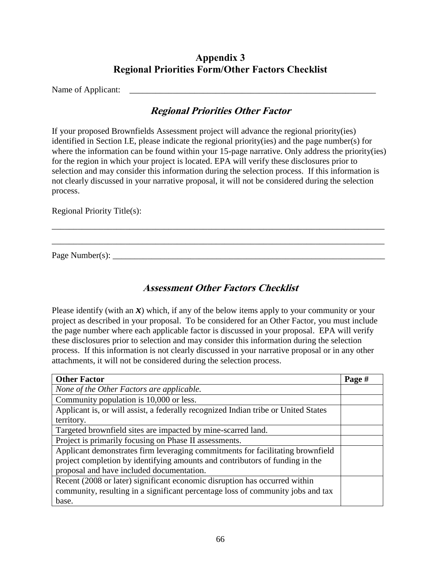# **Appendix 3 Regional Priorities Form/Other Factors Checklist**

<span id="page-65-0"></span>Name of Applicant: \_\_\_\_\_\_\_\_\_\_\_\_\_\_\_\_\_\_\_\_\_\_\_\_\_\_\_\_\_\_\_\_\_\_\_\_\_\_\_\_\_\_\_\_\_\_\_\_\_\_\_\_\_\_\_\_\_

# **Regional Priorities Other Factor**

If your proposed Brownfields Assessment project will advance the regional priority(ies) identified in Section I.E, please indicate the regional priority(ies) and the page number(s) for where the information can be found within your 15-page narrative. Only address the priority(ies) for the region in which your project is located. EPA will verify these disclosures prior to selection and may consider this information during the selection process. If this information is not clearly discussed in your narrative proposal, it will not be considered during the selection process.

\_\_\_\_\_\_\_\_\_\_\_\_\_\_\_\_\_\_\_\_\_\_\_\_\_\_\_\_\_\_\_\_\_\_\_\_\_\_\_\_\_\_\_\_\_\_\_\_\_\_\_\_\_\_\_\_\_\_\_\_\_\_\_\_\_\_\_\_\_\_\_\_\_\_\_\_\_

\_\_\_\_\_\_\_\_\_\_\_\_\_\_\_\_\_\_\_\_\_\_\_\_\_\_\_\_\_\_\_\_\_\_\_\_\_\_\_\_\_\_\_\_\_\_\_\_\_\_\_\_\_\_\_\_\_\_\_\_\_\_\_\_\_\_\_\_\_\_\_\_\_\_\_\_\_

Regional Priority Title(s):

Page Number(s):

# **Assessment Other Factors Checklist**

Please identify (with an  $\mathcal{X}$ ) which, if any of the below items apply to your community or your project as described in your proposal. To be considered for an Other Factor, you must include the page number where each applicable factor is discussed in your proposal. EPA will verify these disclosures prior to selection and may consider this information during the selection process. If this information is not clearly discussed in your narrative proposal or in any other attachments, it will not be considered during the selection process.

| <b>Other Factor</b>                                                                | Page # |  |
|------------------------------------------------------------------------------------|--------|--|
| None of the Other Factors are applicable.                                          |        |  |
| Community population is 10,000 or less.                                            |        |  |
| Applicant is, or will assist, a federally recognized Indian tribe or United States |        |  |
| territory.                                                                         |        |  |
| Targeted brownfield sites are impacted by mine-scarred land.                       |        |  |
| Project is primarily focusing on Phase II assessments.                             |        |  |
| Applicant demonstrates firm leveraging commitments for facilitating brownfield     |        |  |
| project completion by identifying amounts and contributors of funding in the       |        |  |
| proposal and have included documentation.                                          |        |  |
| Recent (2008 or later) significant economic disruption has occurred within         |        |  |
| community, resulting in a significant percentage loss of community jobs and tax    |        |  |
| base.                                                                              |        |  |